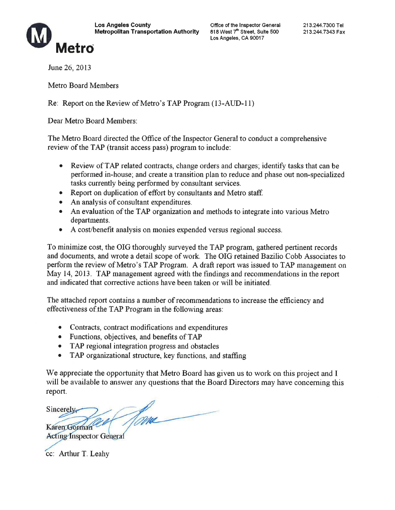

June 26, 2013

Metro

**Metro Board Members** 

Re: Report on the Review of Metro's TAP Program (13-AUD-11)

Dear Metro Board Members:

The Metro Board directed the Office of the Inspector General to conduct a comprehensive review of the TAP (transit access pass) program to include:

- Review of TAP related contracts, change orders and charges; identify tasks that can be performed in-house; and create a transition plan to reduce and phase out non-specialized tasks currently being performed by consultant services.
- Report on duplication of effort by consultants and Metro staff.
- An analysis of consultant expenditures.
- An evaluation of the TAP organization and methods to integrate into various Metro departments.
- A cost/benefit analysis on monies expended versus regional success.

To minimize cost, the OIG thoroughly surveyed the TAP program, gathered pertinent records and documents, and wrote a detail scope of work. The OIG retained Bazilio Cobb Associates to perform the review of Metro's TAP Program. A draft report was issued to TAP management on May 14, 2013. TAP management agreed with the findings and recommendations in the report and indicated that corrective actions have been taken or will be initiated.

The attached report contains a number of recommendations to increase the efficiency and effectiveness of the TAP Program in the following areas:

- Contracts, contract modifications and expenditures
- Functions, objectives, and benefits of TAP
- TAP regional integration progress and obstacles
- $\bullet$ TAP organizational structure, key functions, and staffing

We appreciate the opportunity that Metro Board has given us to work on this project and I will be available to answer any questions that the Board Directors may have concerning this report.

Home Sincerely Karen Gorman **Acting Inspector General** 

cc: Arthur T. Leahy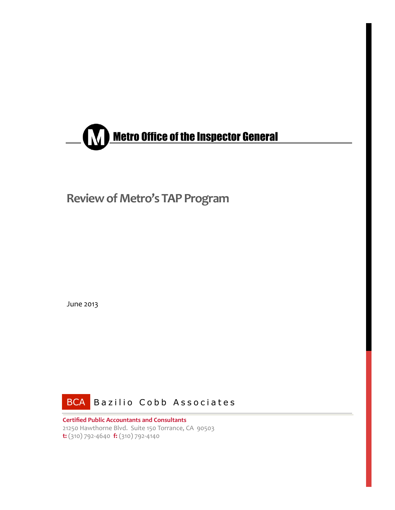

# **Review of Metro's TAP Program**

June 2013



**Certified Public Accountants and Consultants** 21250 Hawthorne Blvd. Suite 150 Torrance, CA 90503  $\mathbf{t}: (310)$  792-4640  $\mathbf{f}: (310)$  792-4140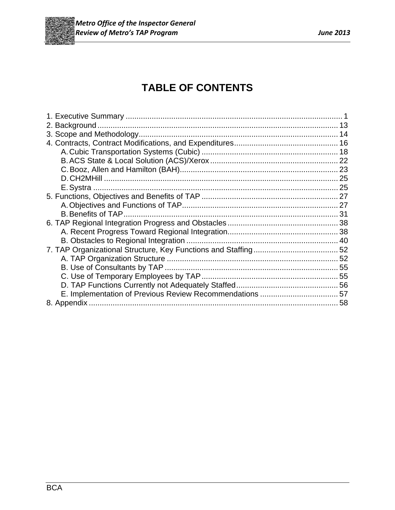

# **TABLE OF CONTENTS**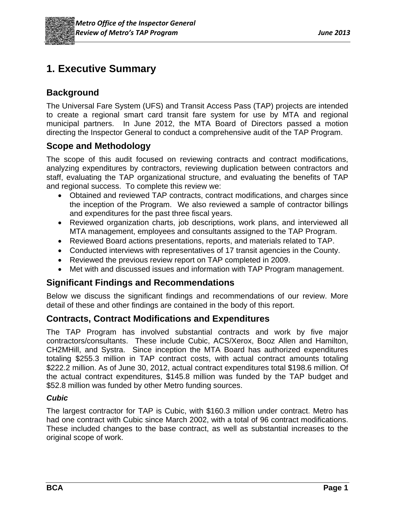

# **1. Executive Summary**

## **Background**

The Universal Fare System (UFS) and Transit Access Pass (TAP) projects are intended to create a regional smart card transit fare system for use by MTA and regional municipal partners. In June 2012, the MTA Board of Directors passed a motion directing the Inspector General to conduct a comprehensive audit of the TAP Program.

## **Scope and Methodology**

The scope of this audit focused on reviewing contracts and contract modifications, analyzing expenditures by contractors, reviewing duplication between contractors and staff, evaluating the TAP organizational structure, and evaluating the benefits of TAP and regional success. To complete this review we:

- Obtained and reviewed TAP contracts, contract modifications, and charges since the inception of the Program. We also reviewed a sample of contractor billings and expenditures for the past three fiscal years.
- Reviewed organization charts, job descriptions, work plans, and interviewed all MTA management, employees and consultants assigned to the TAP Program.
- Reviewed Board actions presentations, reports, and materials related to TAP.
- Conducted interviews with representatives of 17 transit agencies in the County.
- Reviewed the previous review report on TAP completed in 2009.
- Met with and discussed issues and information with TAP Program management.

## **Significant Findings and Recommendations**

Below we discuss the significant findings and recommendations of our review. More detail of these and other findings are contained in the body of this report.

### **Contracts, Contract Modifications and Expenditures**

The TAP Program has involved substantial contracts and work by five major contractors/consultants. These include Cubic, ACS/Xerox, Booz Allen and Hamilton, CH2MHill, and Systra. Since inception the MTA Board has authorized expenditures totaling \$255.3 million in TAP contract costs, with actual contract amounts totaling \$222.2 million. As of June 30, 2012, actual contract expenditures total \$198.6 million. Of the actual contract expenditures, \$145.8 million was funded by the TAP budget and \$52.8 million was funded by other Metro funding sources.

#### *Cubic*

The largest contractor for TAP is Cubic, with \$160.3 million under contract. Metro has had one contract with Cubic since March 2002, with a total of 96 contract modifications. These included changes to the base contract, as well as substantial increases to the original scope of work.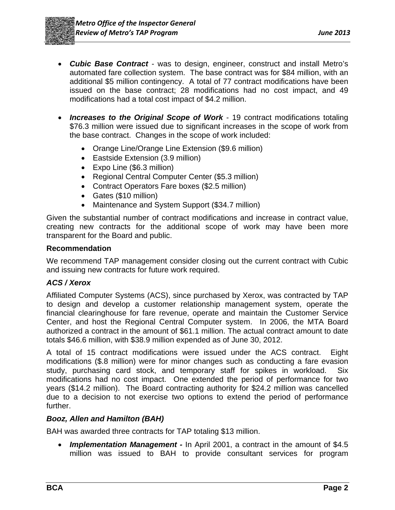- *Cubic Base Contract* was to design, engineer, construct and install Metro's automated fare collection system. The base contract was for \$84 million, with an additional \$5 million contingency. A total of 77 contract modifications have been issued on the base contract; 28 modifications had no cost impact, and 49 modifications had a total cost impact of \$4.2 million.
- *Increases to the Original Scope of Work* 19 contract modifications totaling \$76.3 million were issued due to significant increases in the scope of work from the base contract. Changes in the scope of work included:
	- Orange Line/Orange Line Extension (\$9.6 million)
	- Eastside Extension (3.9 million)
	- Expo Line (\$6.3 million)
	- Regional Central Computer Center (\$5.3 million)
	- Contract Operators Fare boxes (\$2.5 million)
	- Gates (\$10 million)
	- Maintenance and System Support (\$34.7 million)

Given the substantial number of contract modifications and increase in contract value, creating new contracts for the additional scope of work may have been more transparent for the Board and public.

#### **Recommendation**

We recommend TAP management consider closing out the current contract with Cubic and issuing new contracts for future work required.

#### *ACS / Xerox*

Affiliated Computer Systems (ACS), since purchased by Xerox, was contracted by TAP to design and develop a customer relationship management system, operate the financial clearinghouse for fare revenue, operate and maintain the Customer Service Center, and host the Regional Central Computer system. In 2006, the MTA Board authorized a contract in the amount of \$61.1 million. The actual contract amount to date totals \$46.6 million, with \$38.9 million expended as of June 30, 2012.

A total of 15 contract modifications were issued under the ACS contract. Eight modifications (\$.8 million) were for minor changes such as conducting a fare evasion study, purchasing card stock, and temporary staff for spikes in workload. Six modifications had no cost impact. One extended the period of performance for two years (\$14.2 million). The Board contracting authority for \$24.2 million was cancelled due to a decision to not exercise two options to extend the period of performance further.

#### *Booz, Allen and Hamilton (BAH)*

BAH was awarded three contracts for TAP totaling \$13 million.

 *Implementation Management -* In April 2001, a contract in the amount of \$4.5 million was issued to BAH to provide consultant services for program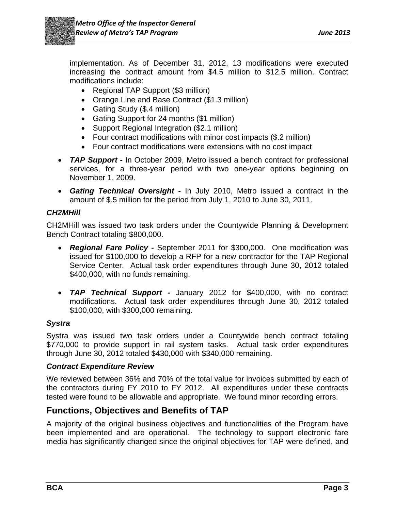

implementation. As of December 31, 2012, 13 modifications were executed increasing the contract amount from \$4.5 million to \$12.5 million. Contract modifications include:

- Regional TAP Support (\$3 million)
- Orange Line and Base Contract (\$1.3 million)
- Gating Study (\$.4 million)
- Gating Support for 24 months (\$1 million)
- Support Regional Integration (\$2.1 million)
- Four contract modifications with minor cost impacts (\$.2 million)
- Four contract modifications were extensions with no cost impact
- *TAP Support* In October 2009, Metro issued a bench contract for professional services, for a three-year period with two one-year options beginning on November 1, 2009.
- *Gating Technical Oversight* In July 2010, Metro issued a contract in the amount of \$.5 million for the period from July 1, 2010 to June 30, 2011.

#### *CH2MHill*

CH2MHill was issued two task orders under the Countywide Planning & Development Bench Contract totaling \$800,000.

- *Regional Fare Policy* September 2011 for \$300,000. One modification was issued for \$100,000 to develop a RFP for a new contractor for the TAP Regional Service Center. Actual task order expenditures through June 30, 2012 totaled \$400,000, with no funds remaining.
- *TAP Technical Support* January 2012 for \$400,000, with no contract modifications. Actual task order expenditures through June 30, 2012 totaled \$100,000, with \$300,000 remaining.

#### *Systra*

Systra was issued two task orders under a Countywide bench contract totaling \$770,000 to provide support in rail system tasks. Actual task order expenditures through June 30, 2012 totaled \$430,000 with \$340,000 remaining.

#### *Contract Expenditure Review*

We reviewed between 36% and 70% of the total value for invoices submitted by each of the contractors during FY 2010 to FY 2012. All expenditures under these contracts tested were found to be allowable and appropriate. We found minor recording errors.

### **Functions, Objectives and Benefits of TAP**

A majority of the original business objectives and functionalities of the Program have been implemented and are operational. The technology to support electronic fare media has significantly changed since the original objectives for TAP were defined, and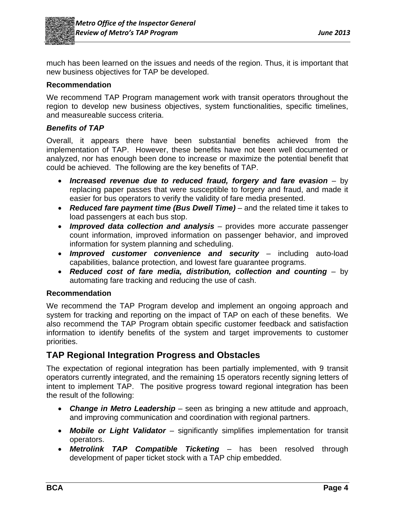

much has been learned on the issues and needs of the region. Thus, it is important that new business objectives for TAP be developed.

#### **Recommendation**

We recommend TAP Program management work with transit operators throughout the region to develop new business objectives, system functionalities, specific timelines, and measureable success criteria.

#### *Benefits of TAP*

Overall, it appears there have been substantial benefits achieved from the implementation of TAP. However, these benefits have not been well documented or analyzed, nor has enough been done to increase or maximize the potential benefit that could be achieved. The following are the key benefits of TAP.

- *Increased revenue due to reduced fraud, forgery and fare evasion* by replacing paper passes that were susceptible to forgery and fraud, and made it easier for bus operators to verify the validity of fare media presented.
- *Reduced fare payment time (Bus Dwell Time)* and the related time it takes to load passengers at each bus stop.
- *Improved data collection and analysis* provides more accurate passenger count information, improved information on passenger behavior, and improved information for system planning and scheduling.
- *Improved customer convenience and security* including auto-load capabilities, balance protection, and lowest fare guarantee programs.
- *Reduced cost of fare media, distribution, collection and counting* by automating fare tracking and reducing the use of cash.

#### **Recommendation**

We recommend the TAP Program develop and implement an ongoing approach and system for tracking and reporting on the impact of TAP on each of these benefits. We also recommend the TAP Program obtain specific customer feedback and satisfaction information to identify benefits of the system and target improvements to customer priorities.

### **TAP Regional Integration Progress and Obstacles**

The expectation of regional integration has been partially implemented, with 9 transit operators currently integrated, and the remaining 15 operators recently signing letters of intent to implement TAP. The positive progress toward regional integration has been the result of the following:

- *Change in Metro Leadership* seen as bringing a new attitude and approach, and improving communication and coordination with regional partners.
- *Mobile or Light Validator* significantly simplifies implementation for transit operators.
- *Metrolink TAP Compatible Ticketing* has been resolved through development of paper ticket stock with a TAP chip embedded.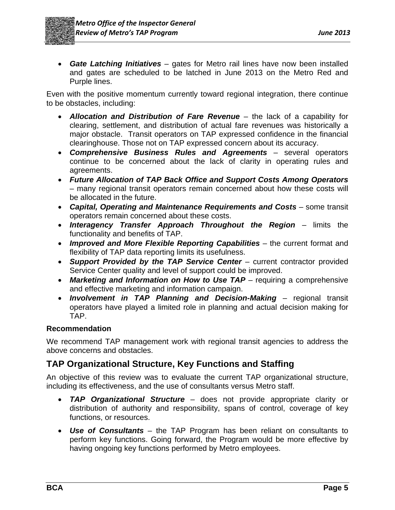*Gate Latching Initiatives* – gates for Metro rail lines have now been installed and gates are scheduled to be latched in June 2013 on the Metro Red and Purple lines.

Even with the positive momentum currently toward regional integration, there continue to be obstacles, including:

- *Allocation and Distribution of Fare Revenue* the lack of a capability for clearing, settlement, and distribution of actual fare revenues was historically a major obstacle. Transit operators on TAP expressed confidence in the financial clearinghouse. Those not on TAP expressed concern about its accuracy.
- *Comprehensive Business Rules and Agreements* several operators continue to be concerned about the lack of clarity in operating rules and agreements.
- *Future Allocation of TAP Back Office and Support Costs Among Operators* – many regional transit operators remain concerned about how these costs will be allocated in the future.
- *Capital, Operating and Maintenance Requirements and Costs* some transit operators remain concerned about these costs.
- *Interagency Transfer Approach Throughout the Region* limits the functionality and benefits of TAP.
- *Improved and More Flexible Reporting Capabilities* the current format and flexibility of TAP data reporting limits its usefulness.
- *Support Provided by the TAP Service Center* current contractor provided Service Center quality and level of support could be improved.
- *Marketing and Information on How to Use TAP* requiring a comprehensive and effective marketing and information campaign.
- *Involvement in TAP Planning and Decision-Making* regional transit operators have played a limited role in planning and actual decision making for TAP.

### **Recommendation**

We recommend TAP management work with regional transit agencies to address the above concerns and obstacles.

## **TAP Organizational Structure, Key Functions and Staffing**

An objective of this review was to evaluate the current TAP organizational structure, including its effectiveness, and the use of consultants versus Metro staff.

- *TAP Organizational Structure* does not provide appropriate clarity or distribution of authority and responsibility, spans of control, coverage of key functions, or resources.
- *Use of Consultants* the TAP Program has been reliant on consultants to perform key functions. Going forward, the Program would be more effective by having ongoing key functions performed by Metro employees.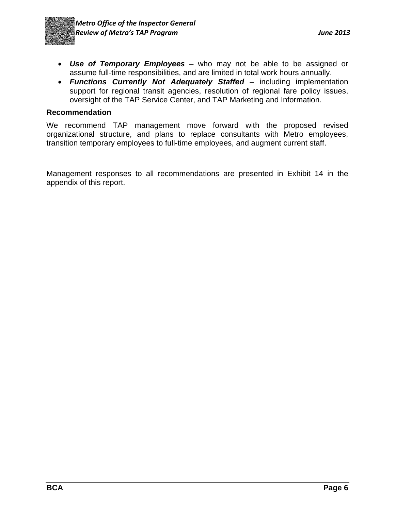

- *Use of Temporary Employees* who may not be able to be assigned or assume full-time responsibilities, and are limited in total work hours annually.
- *Functions Currently Not Adequately Staffed* including implementation support for regional transit agencies, resolution of regional fare policy issues, oversight of the TAP Service Center, and TAP Marketing and Information.

#### **Recommendation**

We recommend TAP management move forward with the proposed revised organizational structure, and plans to replace consultants with Metro employees, transition temporary employees to full-time employees, and augment current staff.

Management responses to all recommendations are presented in Exhibit 14 in the appendix of this report.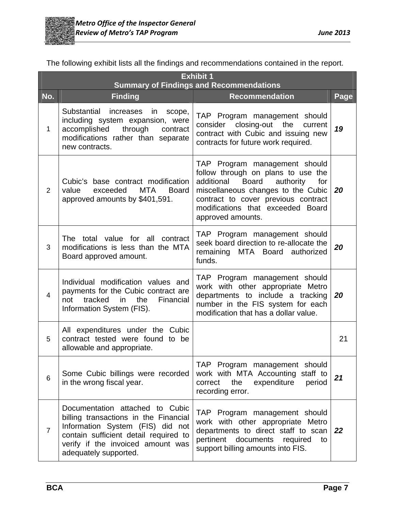

The following exhibit lists all the findings and recommendations contained in the report.

|                | <b>Exhibit 1</b><br><b>Summary of Findings and Recommendations</b>                                                                                                                                                  |                                                                                                                                                                                                                                                              |             |  |
|----------------|---------------------------------------------------------------------------------------------------------------------------------------------------------------------------------------------------------------------|--------------------------------------------------------------------------------------------------------------------------------------------------------------------------------------------------------------------------------------------------------------|-------------|--|
| No.            | <b>Finding</b>                                                                                                                                                                                                      | <b>Recommendation</b>                                                                                                                                                                                                                                        | <b>Page</b> |  |
| 1              | Substantial<br>increases<br>in<br>scope,<br>including system expansion, were<br>accomplished<br>through contract<br>modifications rather than separate<br>new contracts.                                            | TAP Program management should<br>consider closing-out the<br>current<br>contract with Cubic and issuing new<br>contracts for future work required.                                                                                                           | 19          |  |
| $\overline{2}$ | Cubic's base contract modification<br>value<br>exceeded<br><b>MTA</b><br><b>Board</b><br>approved amounts by \$401,591.                                                                                             | TAP Program management should<br>follow through on plans to use the<br>additional<br><b>Board</b><br>authority<br>for<br>miscellaneous changes to the Cubic<br>contract to cover previous contract<br>modifications that exceeded Board<br>approved amounts. | 20          |  |
| 3              | The total value for all contract<br>modifications is less than the MTA<br>Board approved amount.                                                                                                                    | TAP Program management should<br>seek board direction to re-allocate the<br>remaining MTA Board authorized<br>funds.                                                                                                                                         | 20          |  |
| 4              | Individual modification values and<br>payments for the Cubic contract are<br>the<br>tracked<br>in<br>Financial<br>not<br>Information System (FIS).                                                                  | TAP Program management should<br>work with other appropriate Metro<br>departments to include a tracking<br>number in the FIS system for each<br>modification that has a dollar value.                                                                        | 20          |  |
| 5              | All expenditures under the Cubic<br>contract tested were found to be<br>allowable and appropriate.                                                                                                                  |                                                                                                                                                                                                                                                              | 21          |  |
| 6              | Some Cubic billings were recorded<br>in the wrong fiscal year.                                                                                                                                                      | TAP Program management should<br>work with MTA Accounting staff to<br>expenditure<br>the<br>period<br>correct<br>recording error.                                                                                                                            | 21          |  |
| $\overline{7}$ | Documentation attached to Cubic<br>billing transactions in the Financial<br>Information System (FIS) did not<br>contain sufficient detail required to<br>verify if the invoiced amount was<br>adequately supported. | TAP Program management should<br>work with other appropriate Metro<br>departments to direct staff to scan<br>pertinent<br>documents<br>required<br>to<br>support billing amounts into FIS.                                                                   | 22          |  |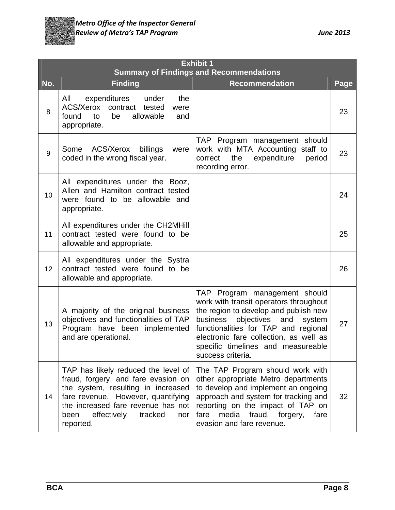

|     | <b>Exhibit 1</b><br><b>Summary of Findings and Recommendations</b>                                                                                                                                                                                 |                                                                                                                                                                                                                                                                                                       |      |  |
|-----|----------------------------------------------------------------------------------------------------------------------------------------------------------------------------------------------------------------------------------------------------|-------------------------------------------------------------------------------------------------------------------------------------------------------------------------------------------------------------------------------------------------------------------------------------------------------|------|--|
| No. | <b>Finding</b>                                                                                                                                                                                                                                     | <b>Recommendation</b>                                                                                                                                                                                                                                                                                 | Page |  |
| 8   | expenditures under<br>the<br>All<br>ACS/Xerox contract tested<br>were<br>found<br>be<br>allowable<br>to<br>and<br>appropriate.                                                                                                                     |                                                                                                                                                                                                                                                                                                       | 23   |  |
| 9   | Some<br>ACS/Xerox<br>billings<br>were<br>coded in the wrong fiscal year.                                                                                                                                                                           | TAP Program management should<br>work with MTA Accounting staff to<br>expenditure<br>correct the<br>period<br>recording error.                                                                                                                                                                        | 23   |  |
| 10  | All expenditures under the Booz,<br>Allen and Hamilton contract tested<br>were found to be allowable and<br>appropriate.                                                                                                                           |                                                                                                                                                                                                                                                                                                       | 24   |  |
| 11  | All expenditures under the CH2MHill<br>contract tested were found to be<br>allowable and appropriate.                                                                                                                                              |                                                                                                                                                                                                                                                                                                       | 25   |  |
| 12  | All expenditures under the Systra<br>contract tested were found to be<br>allowable and appropriate.                                                                                                                                                |                                                                                                                                                                                                                                                                                                       | 26   |  |
| 13  | A majority of the original business<br>objectives and functionalities of TAP<br>Program have been implemented<br>and are operational.                                                                                                              | TAP Program management should<br>work with transit operators throughout<br>the region to develop and publish new<br>objectives and<br>business<br>system<br>functionalities for TAP and regional<br>electronic fare collection, as well as<br>specific timelines and measureable<br>success criteria. | 27   |  |
| 14  | TAP has likely reduced the level of<br>fraud, forgery, and fare evasion on<br>the system, resulting in increased<br>fare revenue. However, quantifying<br>the increased fare revenue has not<br>effectively<br>tracked<br>been<br>nor<br>reported. | The TAP Program should work with<br>other appropriate Metro departments<br>to develop and implement an ongoing<br>approach and system for tracking and<br>reporting on the impact of TAP on<br>fare<br>media fraud, forgery,<br>fare<br>evasion and fare revenue.                                     | 32   |  |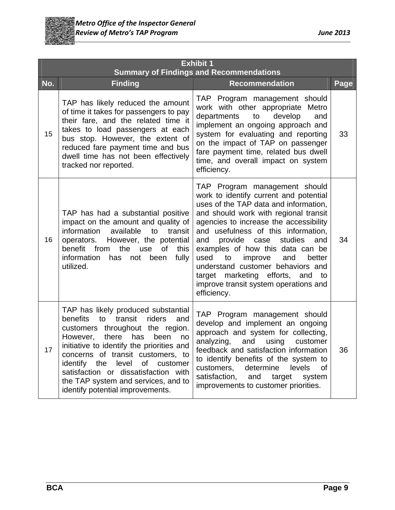

|     | <b>Exhibit 1</b><br><b>Summary of Findings and Recommendations</b>                                                                                                                                                                                                                                                                                                                                           |                                                                                                                                                                                                                                                                                                                                                                                                                                                                                                       |      |  |
|-----|--------------------------------------------------------------------------------------------------------------------------------------------------------------------------------------------------------------------------------------------------------------------------------------------------------------------------------------------------------------------------------------------------------------|-------------------------------------------------------------------------------------------------------------------------------------------------------------------------------------------------------------------------------------------------------------------------------------------------------------------------------------------------------------------------------------------------------------------------------------------------------------------------------------------------------|------|--|
| No. | <b>Finding</b>                                                                                                                                                                                                                                                                                                                                                                                               | <b>Recommendation</b>                                                                                                                                                                                                                                                                                                                                                                                                                                                                                 | Page |  |
| 15  | TAP has likely reduced the amount<br>of time it takes for passengers to pay<br>their fare, and the related time it<br>takes to load passengers at each<br>bus stop. However, the extent of<br>reduced fare payment time and bus<br>dwell time has not been effectively<br>tracked nor reported.                                                                                                              | TAP Program management should<br>work with other appropriate Metro<br>departments<br>to<br>develop<br>and<br>implement an ongoing approach and<br>system for evaluating and reporting<br>on the impact of TAP on passenger<br>fare payment time, related bus dwell<br>time, and overall impact on system<br>efficiency.                                                                                                                                                                               | 33   |  |
| 16  | TAP has had a substantial positive<br>impact on the amount and quality of<br>information<br>available<br>transit<br>to<br>operators. However, the potential<br>benefit from<br>the<br>use<br><b>of</b><br>this<br>information<br>fully<br>has<br>not been<br>utilized.                                                                                                                                       | TAP Program management should<br>work to identify current and potential<br>uses of the TAP data and information,<br>and should work with regional transit<br>agencies to increase the accessibility<br>and usefulness of this information,<br>studies<br>and<br>provide case<br>and<br>examples of how this data can be<br>used<br>improve<br>and<br>to<br>better<br>understand customer behaviors and<br>target marketing efforts, and<br>to<br>improve transit system operations and<br>efficiency. | 34   |  |
| 17  | TAP has likely produced substantial<br>transit<br>benefits<br>riders<br>to<br>and<br>customers throughout the region.<br>there<br>has<br>However,<br>been<br>no<br>initiative to identify the priorities and<br>concerns of transit customers, to<br>level of<br>identify the<br>customer<br>satisfaction or dissatisfaction with<br>the TAP system and services, and to<br>identify potential improvements. | TAP Program management should<br>develop and implement an ongoing<br>approach and system for collecting,<br>analyzing,<br>and using<br>customer<br>feedback and satisfaction information<br>to identify benefits of the system to<br>customers,<br>determine<br>levels<br>0f<br>satisfaction,<br>and<br>target<br>system<br>improvements to customer priorities.                                                                                                                                      | 36   |  |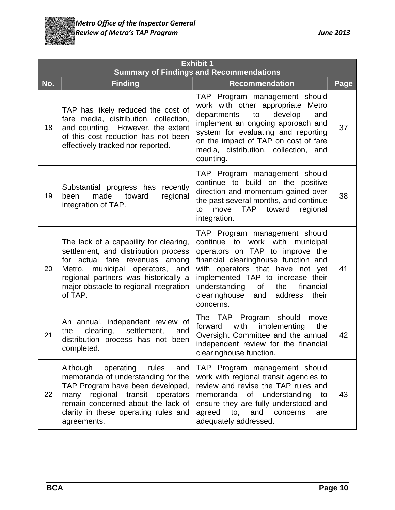

|     | <b>Exhibit 1</b><br><b>Summary of Findings and Recommendations</b>                                                                                                                                                                               |                                                                                                                                                                                                                                                                                                                          |      |  |  |
|-----|--------------------------------------------------------------------------------------------------------------------------------------------------------------------------------------------------------------------------------------------------|--------------------------------------------------------------------------------------------------------------------------------------------------------------------------------------------------------------------------------------------------------------------------------------------------------------------------|------|--|--|
| No. | <b>Finding</b>                                                                                                                                                                                                                                   | <b>Recommendation</b>                                                                                                                                                                                                                                                                                                    | Page |  |  |
| 18  | TAP has likely reduced the cost of<br>fare media, distribution, collection,<br>and counting. However, the extent<br>of this cost reduction has not been<br>effectively tracked nor reported.                                                     | TAP Program management should<br>work with other appropriate Metro<br>develop<br>and<br>departments<br>to<br>implement an ongoing approach and<br>system for evaluating and reporting<br>on the impact of TAP on cost of fare<br>media, distribution, collection, and<br>counting.                                       | 37   |  |  |
| 19  | Substantial progress has<br>recently<br>made<br>regional<br>been<br>toward<br>integration of TAP.                                                                                                                                                | TAP Program management should<br>continue to build on the positive<br>direction and momentum gained over<br>the past several months, and continue<br>move TAP toward regional<br>to<br>integration.                                                                                                                      | 38   |  |  |
| 20  | The lack of a capability for clearing,<br>settlement, and distribution process<br>for actual fare revenues among<br>Metro, municipal operators, and<br>regional partners was historically a<br>major obstacle to regional integration<br>of TAP. | TAP Program management should<br>continue to work with municipal<br>operators on TAP to improve the<br>financial clearinghouse function and<br>with operators that have not yet<br>implemented TAP to increase their<br>understanding<br>of<br>the<br>financial<br>clearinghouse<br>address<br>their<br>and<br>concerns. | 41   |  |  |
| 21  | An annual, independent review of<br>clearing,<br>settlement,<br>and<br>the<br>distribution process has not been<br>completed.                                                                                                                    | The TAP Program should<br>move<br>implementing<br>forward<br>with<br>the<br>Oversight Committee and the annual<br>independent review for the financial<br>clearinghouse function.                                                                                                                                        | 42   |  |  |
| 22  | Although<br>operating<br>rules<br>and<br>memoranda of understanding for the<br>TAP Program have been developed,<br>many regional transit operators<br>remain concerned about the lack of<br>clarity in these operating rules and<br>agreements.  | TAP Program management should<br>work with regional transit agencies to<br>review and revise the TAP rules and<br>memoranda of understanding<br>to<br>ensure they are fully understood and<br>agreed<br>to,<br>and<br>concerns<br>are<br>adequately addressed.                                                           | 43   |  |  |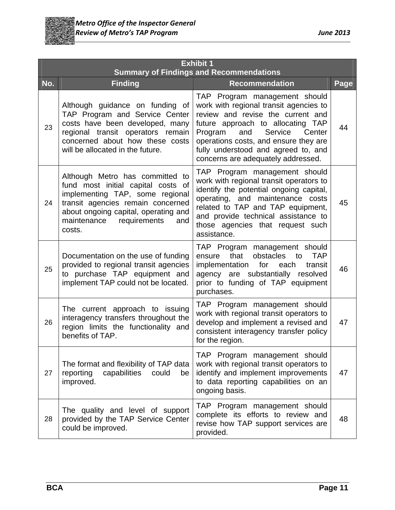

|     | <b>Exhibit 1</b><br><b>Summary of Findings and Recommendations</b>                                                                                                                                                                 |                                                                                                                                                                                                                                                                                                                |      |  |
|-----|------------------------------------------------------------------------------------------------------------------------------------------------------------------------------------------------------------------------------------|----------------------------------------------------------------------------------------------------------------------------------------------------------------------------------------------------------------------------------------------------------------------------------------------------------------|------|--|
| No. | <b>Finding</b>                                                                                                                                                                                                                     | <b>Recommendation</b>                                                                                                                                                                                                                                                                                          | Page |  |
| 23  | Although guidance on funding of<br>TAP Program and Service Center<br>costs have been developed, many<br>regional transit operators remain<br>concerned about how these costs<br>will be allocated in the future.                   | TAP Program management should<br>work with regional transit agencies to<br>review and revise the current and<br>future approach to allocating TAP<br>Service<br>Program<br>and<br>Center<br>operations costs, and ensure they are<br>fully understood and agreed to, and<br>concerns are adequately addressed. | 44   |  |
| 24  | Although Metro has committed to<br>fund most initial capital costs of<br>implementing TAP, some regional<br>transit agencies remain concerned<br>about ongoing capital, operating and<br>maintenance requirements<br>and<br>costs. | TAP Program management should<br>work with regional transit operators to<br>identify the potential ongoing capital,<br>operating, and maintenance costs<br>related to TAP and TAP equipment,<br>and provide technical assistance to<br>those agencies that request such<br>assistance.                         | 45   |  |
| 25  | Documentation on the use of funding<br>provided to regional transit agencies<br>to purchase TAP equipment and<br>implement TAP could not be located.                                                                               | TAP Program management should<br>that<br>obstacles<br><b>TAP</b><br>ensure<br>to<br>implementation<br>for<br>each<br>transit<br>agency are substantially resolved<br>prior to funding of TAP equipment<br>purchases.                                                                                           | 46   |  |
| 26  | The current approach to issuing<br>interagency transfers throughout the<br>region limits the functionality and<br>benefits of TAP.                                                                                                 | TAP Program management should<br>work with regional transit operators to<br>develop and implement a revised and<br>consistent interagency transfer policy<br>for the region.                                                                                                                                   | 47   |  |
| 27  | The format and flexibility of TAP data<br>reporting<br>capabilities<br>could<br>be<br>improved.                                                                                                                                    | TAP Program management should<br>work with regional transit operators to<br>identify and implement improvements<br>to data reporting capabilities on an<br>ongoing basis.                                                                                                                                      | 47   |  |
| 28  | The quality and level of support<br>provided by the TAP Service Center<br>could be improved.                                                                                                                                       | TAP Program management should<br>complete its efforts to review and<br>revise how TAP support services are<br>provided.                                                                                                                                                                                        | 48   |  |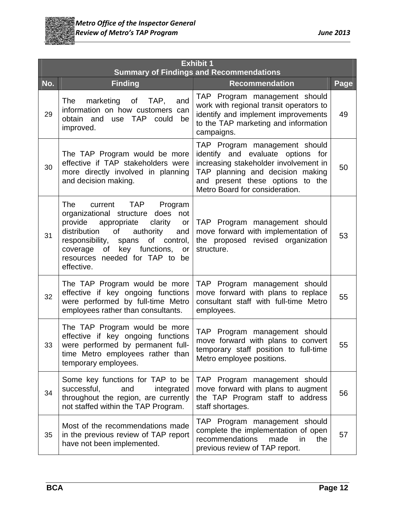

|     | <b>Exhibit 1</b><br><b>Summary of Findings and Recommendations</b>                                                                                                                                                                                                                                  |                                                                                                                                                                                                                       |      |  |
|-----|-----------------------------------------------------------------------------------------------------------------------------------------------------------------------------------------------------------------------------------------------------------------------------------------------------|-----------------------------------------------------------------------------------------------------------------------------------------------------------------------------------------------------------------------|------|--|
| No. | <b>Finding</b>                                                                                                                                                                                                                                                                                      | <b>Recommendation</b>                                                                                                                                                                                                 | Page |  |
| 29  | The<br>of<br>TAP,<br>marketing<br>and<br>information on how customers can<br>obtain and use TAP<br>could<br>be<br>improved.                                                                                                                                                                         | TAP Program management should<br>work with regional transit operators to<br>identify and implement improvements<br>to the TAP marketing and information<br>campaigns.                                                 | 49   |  |
| 30  | The TAP Program would be more<br>effective if TAP stakeholders were<br>more directly involved in planning<br>and decision making.                                                                                                                                                                   | TAP Program management should<br>identify and evaluate options for<br>increasing stakeholder involvement in<br>TAP planning and decision making<br>and present these options to the<br>Metro Board for consideration. | 50   |  |
| 31  | <b>TAP</b><br>The<br>Program<br>current<br>organizational structure does<br>not<br>provide<br>clarity<br>appropriate<br>or<br>authority<br>distribution<br>of<br>and<br>spans of control,<br>responsibility,<br>of key functions,<br>coverage<br>or<br>resources needed for TAP to be<br>effective. | TAP Program management should<br>move forward with implementation of<br>the proposed revised organization<br>structure.                                                                                               | 53   |  |
| 32  | The TAP Program would be more<br>effective if key ongoing functions<br>were performed by full-time Metro<br>employees rather than consultants.                                                                                                                                                      | TAP Program management should<br>move forward with plans to replace<br>consultant staff with full-time Metro<br>employees.                                                                                            | 55   |  |
| 33  | The TAP Program would be more<br>effective if key ongoing functions<br>were performed by permanent full-<br>time Metro employees rather than<br>temporary employees.                                                                                                                                | TAP Program management should<br>move forward with plans to convert<br>temporary staff position to full-time<br>Metro employee positions.                                                                             | 55   |  |
| 34  | Some key functions for TAP to be<br>successful,<br>and<br>integrated<br>throughout the region, are currently<br>not staffed within the TAP Program.                                                                                                                                                 | TAP Program management should<br>move forward with plans to augment<br>the TAP Program staff to address<br>staff shortages.                                                                                           | 56   |  |
| 35  | Most of the recommendations made<br>in the previous review of TAP report<br>have not been implemented.                                                                                                                                                                                              | TAP Program management should<br>complete the implementation of open<br>recommendations<br>made<br>the<br>in<br>previous review of TAP report.                                                                        | 57   |  |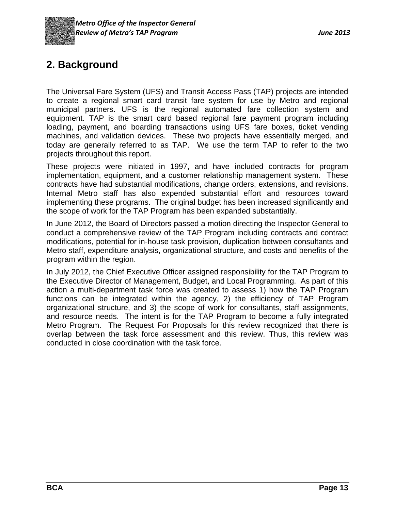

# **2. Background**

The Universal Fare System (UFS) and Transit Access Pass (TAP) projects are intended to create a regional smart card transit fare system for use by Metro and regional municipal partners. UFS is the regional automated fare collection system and equipment. TAP is the smart card based regional fare payment program including loading, payment, and boarding transactions using UFS fare boxes, ticket vending machines, and validation devices. These two projects have essentially merged, and today are generally referred to as TAP. We use the term TAP to refer to the two projects throughout this report.

These projects were initiated in 1997, and have included contracts for program implementation, equipment, and a customer relationship management system. These contracts have had substantial modifications, change orders, extensions, and revisions. Internal Metro staff has also expended substantial effort and resources toward implementing these programs. The original budget has been increased significantly and the scope of work for the TAP Program has been expanded substantially.

In June 2012, the Board of Directors passed a motion directing the Inspector General to conduct a comprehensive review of the TAP Program including contracts and contract modifications, potential for in-house task provision, duplication between consultants and Metro staff, expenditure analysis, organizational structure, and costs and benefits of the program within the region.

In July 2012, the Chief Executive Officer assigned responsibility for the TAP Program to the Executive Director of Management, Budget, and Local Programming. As part of this action a multi-department task force was created to assess 1) how the TAP Program functions can be integrated within the agency, 2) the efficiency of TAP Program organizational structure, and 3) the scope of work for consultants, staff assignments, and resource needs. The intent is for the TAP Program to become a fully integrated Metro Program. The Request For Proposals for this review recognized that there is overlap between the task force assessment and this review. Thus, this review was conducted in close coordination with the task force.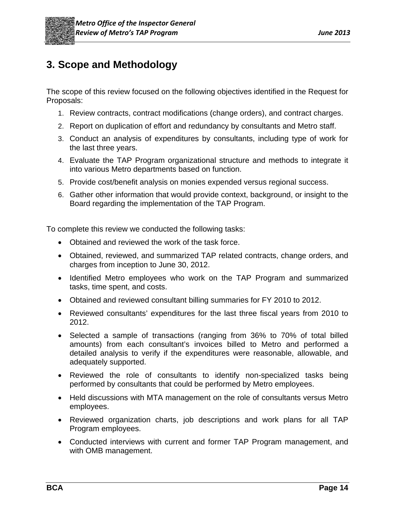

# **3. Scope and Methodology**

The scope of this review focused on the following objectives identified in the Request for Proposals:

- 1. Review contracts, contract modifications (change orders), and contract charges.
- 2. Report on duplication of effort and redundancy by consultants and Metro staff.
- 3. Conduct an analysis of expenditures by consultants, including type of work for the last three years.
- 4. Evaluate the TAP Program organizational structure and methods to integrate it into various Metro departments based on function.
- 5. Provide cost/benefit analysis on monies expended versus regional success.
- 6. Gather other information that would provide context, background, or insight to the Board regarding the implementation of the TAP Program.

To complete this review we conducted the following tasks:

- Obtained and reviewed the work of the task force.
- Obtained, reviewed, and summarized TAP related contracts, change orders, and charges from inception to June 30, 2012.
- Identified Metro employees who work on the TAP Program and summarized tasks, time spent, and costs.
- Obtained and reviewed consultant billing summaries for FY 2010 to 2012.
- Reviewed consultants' expenditures for the last three fiscal years from 2010 to 2012.
- Selected a sample of transactions (ranging from 36% to 70% of total billed amounts) from each consultant's invoices billed to Metro and performed a detailed analysis to verify if the expenditures were reasonable, allowable, and adequately supported.
- Reviewed the role of consultants to identify non-specialized tasks being performed by consultants that could be performed by Metro employees.
- Held discussions with MTA management on the role of consultants versus Metro employees.
- Reviewed organization charts, job descriptions and work plans for all TAP Program employees.
- Conducted interviews with current and former TAP Program management, and with OMB management.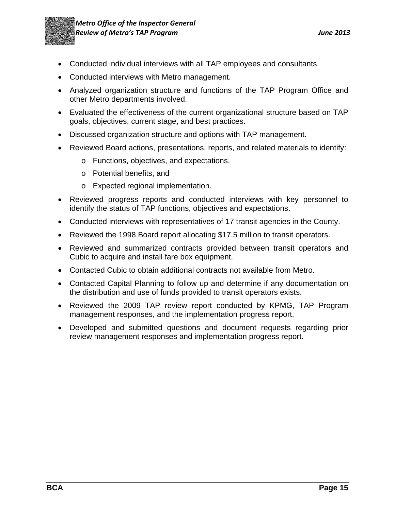

- Conducted individual interviews with all TAP employees and consultants.
- Conducted interviews with Metro management.
- Analyzed organization structure and functions of the TAP Program Office and other Metro departments involved.
- Evaluated the effectiveness of the current organizational structure based on TAP goals, objectives, current stage, and best practices.
- Discussed organization structure and options with TAP management.
- Reviewed Board actions, presentations, reports, and related materials to identify:
	- o Functions, objectives, and expectations,
	- o Potential benefits, and
	- o Expected regional implementation.
- Reviewed progress reports and conducted interviews with key personnel to identify the status of TAP functions, objectives and expectations.
- Conducted interviews with representatives of 17 transit agencies in the County.
- Reviewed the 1998 Board report allocating \$17.5 million to transit operators.
- Reviewed and summarized contracts provided between transit operators and Cubic to acquire and install fare box equipment.
- Contacted Cubic to obtain additional contracts not available from Metro.
- Contacted Capital Planning to follow up and determine if any documentation on the distribution and use of funds provided to transit operators exists.
- Reviewed the 2009 TAP review report conducted by KPMG, TAP Program management responses, and the implementation progress report.
- Developed and submitted questions and document requests regarding prior review management responses and implementation progress report.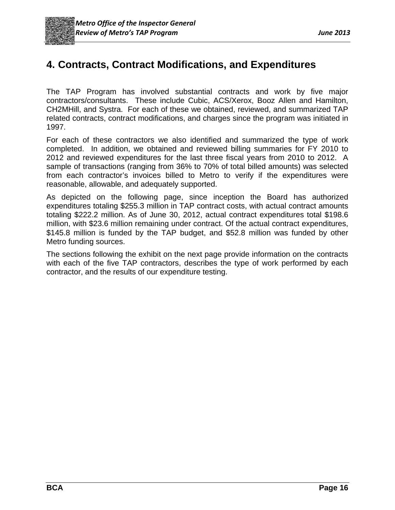# **4. Contracts, Contract Modifications, and Expenditures**

The TAP Program has involved substantial contracts and work by five major contractors/consultants. These include Cubic, ACS/Xerox, Booz Allen and Hamilton, CH2MHill, and Systra. For each of these we obtained, reviewed, and summarized TAP related contracts, contract modifications, and charges since the program was initiated in 1997.

For each of these contractors we also identified and summarized the type of work completed. In addition, we obtained and reviewed billing summaries for FY 2010 to 2012 and reviewed expenditures for the last three fiscal years from 2010 to 2012. A sample of transactions (ranging from 36% to 70% of total billed amounts) was selected from each contractor's invoices billed to Metro to verify if the expenditures were reasonable, allowable, and adequately supported.

As depicted on the following page, since inception the Board has authorized expenditures totaling \$255.3 million in TAP contract costs, with actual contract amounts totaling \$222.2 million. As of June 30, 2012, actual contract expenditures total \$198.6 million, with \$23.6 million remaining under contract. Of the actual contract expenditures, \$145.8 million is funded by the TAP budget, and \$52.8 million was funded by other Metro funding sources.

The sections following the exhibit on the next page provide information on the contracts with each of the five TAP contractors, describes the type of work performed by each contractor, and the results of our expenditure testing.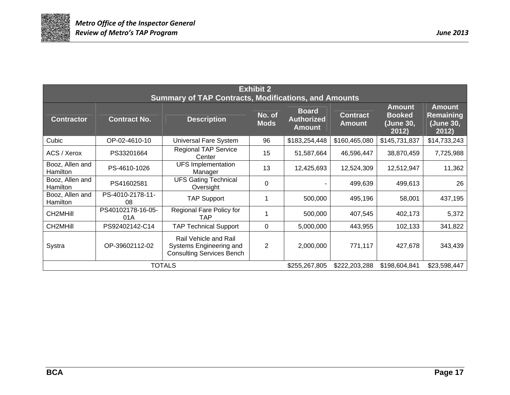

| <b>Exhibit 2</b><br><b>Summary of TAP Contracts, Modifications, and Amounts</b> |                                                                                  |                                                                                      |                       |                                                    |                                  |                                                      |                                                  |
|---------------------------------------------------------------------------------|----------------------------------------------------------------------------------|--------------------------------------------------------------------------------------|-----------------------|----------------------------------------------------|----------------------------------|------------------------------------------------------|--------------------------------------------------|
| <b>Contractor</b>                                                               | <b>Contract No.</b>                                                              | <b>Description</b>                                                                   | No. of<br><b>Mods</b> | <b>Board</b><br><b>Authorized</b><br><b>Amount</b> | <b>Contract</b><br><b>Amount</b> | <b>Amount</b><br><b>Booked</b><br>(June 30,<br>2012) | <b>Amount</b><br>Remaining<br>(June 30,<br>2012) |
| Cubic                                                                           | OP-02-4610-10                                                                    | Universal Fare System                                                                | 96                    | \$183,254,448                                      | \$160,465,080                    | \$145,731,837                                        | \$14,733,243                                     |
| ACS / Xerox                                                                     | PS33201664                                                                       | <b>Regional TAP Service</b><br>Center                                                | 15                    | 51,587,664                                         | 46,596,447                       | 38,870,459                                           | 7,725,988                                        |
| Booz, Allen and<br>Hamilton                                                     | PS-4610-1026                                                                     | <b>UFS</b> Implementation<br>Manager                                                 | 13                    | 12,425,693                                         | 12,524,309                       | 12,512,947                                           | 11,362                                           |
| Booz, Allen and<br>Hamilton                                                     | PS41602581                                                                       | <b>UFS Gating Technical</b><br>Oversight                                             | 0                     |                                                    | 499,639                          | 499,613                                              | 26                                               |
| Booz, Allen and<br>Hamilton                                                     | PS-4010-2178-11-<br>08                                                           | <b>TAP Support</b>                                                                   |                       | 500,000                                            | 495,196                          | 58,001                                               | 437,195                                          |
| <b>CH2MHill</b>                                                                 | PS40102178-16-05-<br>01A                                                         | Regional Fare Policy for<br><b>TAP</b>                                               |                       | 500,000                                            | 407,545                          | 402,173                                              | 5,372                                            |
| CH2MHill                                                                        | PS92402142-C14                                                                   | <b>TAP Technical Support</b>                                                         | 0                     | 5,000,000                                          | 443,955                          | 102,133                                              | 341,822                                          |
| Systra                                                                          | OP-39602112-02                                                                   | Rail Vehicle and Rail<br>Systems Engineering and<br><b>Consulting Services Bench</b> | $\overline{2}$        | 2,000,000                                          | 771,117                          | 427,678                                              | 343,439                                          |
|                                                                                 | <b>TOTALS</b><br>\$255,267,805<br>\$222,203,288<br>\$198,604,841<br>\$23,598,447 |                                                                                      |                       |                                                    |                                  |                                                      |                                                  |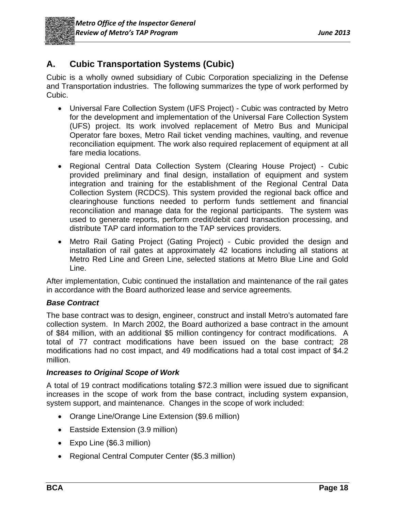

## **A. Cubic Transportation Systems (Cubic)**

Cubic is a wholly owned subsidiary of Cubic Corporation specializing in the Defense and Transportation industries. The following summarizes the type of work performed by Cubic.

- Universal Fare Collection System (UFS Project) Cubic was contracted by Metro for the development and implementation of the Universal Fare Collection System (UFS) project. Its work involved replacement of Metro Bus and Municipal Operator fare boxes, Metro Rail ticket vending machines, vaulting, and revenue reconciliation equipment. The work also required replacement of equipment at all fare media locations.
- Regional Central Data Collection System (Clearing House Project) Cubic provided preliminary and final design, installation of equipment and system integration and training for the establishment of the Regional Central Data Collection System (RCDCS). This system provided the regional back office and clearinghouse functions needed to perform funds settlement and financial reconciliation and manage data for the regional participants. The system was used to generate reports, perform credit/debit card transaction processing, and distribute TAP card information to the TAP services providers.
- Metro Rail Gating Project (Gating Project) Cubic provided the design and installation of rail gates at approximately 42 locations including all stations at Metro Red Line and Green Line, selected stations at Metro Blue Line and Gold Line.

After implementation, Cubic continued the installation and maintenance of the rail gates in accordance with the Board authorized lease and service agreements.

#### *Base Contract*

The base contract was to design, engineer, construct and install Metro's automated fare collection system. In March 2002, the Board authorized a base contract in the amount of \$84 million, with an additional \$5 million contingency for contract modifications. A total of 77 contract modifications have been issued on the base contract; 28 modifications had no cost impact, and 49 modifications had a total cost impact of \$4.2 million.

#### *Increases to Original Scope of Work*

A total of 19 contract modifications totaling \$72.3 million were issued due to significant increases in the scope of work from the base contract, including system expansion, system support, and maintenance. Changes in the scope of work included:

- Orange Line/Orange Line Extension (\$9.6 million)
- Eastside Extension (3.9 million)
- Expo Line (\$6.3 million)
- Regional Central Computer Center (\$5.3 million)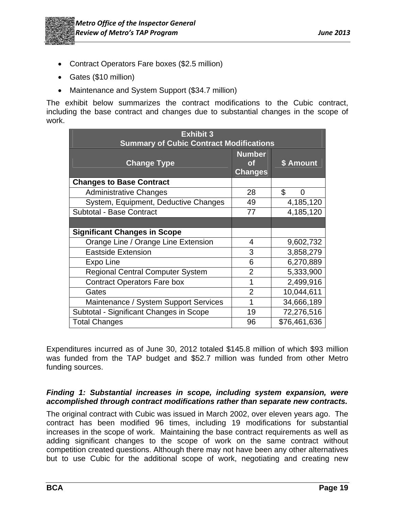- Contract Operators Fare boxes (\$2.5 million)
- Gates (\$10 million)
- Maintenance and System Support (\$34.7 million)

The exhibit below summarizes the contract modifications to the Cubic contract, including the base contract and changes due to substantial changes in the scope of work.

| <b>Exhibit 3</b><br><b>Summary of Cubic Contract Modifications</b> |                                              |              |  |
|--------------------------------------------------------------------|----------------------------------------------|--------------|--|
| <b>Change Type</b>                                                 | <b>Number</b><br><b>of</b><br><b>Changes</b> | \$ Amount    |  |
| <b>Changes to Base Contract</b>                                    |                                              |              |  |
| <b>Administrative Changes</b>                                      | 28                                           | \$<br>∩      |  |
| System, Equipment, Deductive Changes                               | 49                                           | 4,185,120    |  |
| Subtotal - Base Contract                                           | 77                                           | 4,185,120    |  |
|                                                                    |                                              |              |  |
| <b>Significant Changes in Scope</b>                                |                                              |              |  |
| Orange Line / Orange Line Extension                                | 4                                            | 9,602,732    |  |
| <b>Eastside Extension</b>                                          | 3                                            | 3,858,279    |  |
| Expo Line                                                          | 6                                            | 6,270,889    |  |
| <b>Regional Central Computer System</b>                            | $\overline{2}$                               | 5,333,900    |  |
| <b>Contract Operators Fare box</b>                                 |                                              | 2,499,916    |  |
| Gates                                                              | $\overline{2}$                               | 10,044,611   |  |
| Maintenance / System Support Services                              | 1                                            | 34,666,189   |  |
| Subtotal - Significant Changes in Scope                            | 19                                           | 72,276,516   |  |
| <b>Total Changes</b>                                               | 96                                           | \$76,461,636 |  |

Expenditures incurred as of June 30, 2012 totaled \$145.8 million of which \$93 million was funded from the TAP budget and \$52.7 million was funded from other Metro funding sources.

#### *Finding 1: Substantial increases in scope, including system expansion, were accomplished through contract modifications rather than separate new contracts.*

The original contract with Cubic was issued in March 2002, over eleven years ago. The contract has been modified 96 times, including 19 modifications for substantial increases in the scope of work. Maintaining the base contract requirements as well as adding significant changes to the scope of work on the same contract without competition created questions. Although there may not have been any other alternatives but to use Cubic for the additional scope of work, negotiating and creating new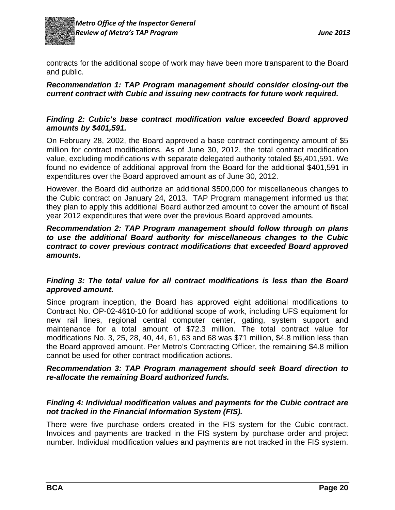

contracts for the additional scope of work may have been more transparent to the Board and public.

#### *Recommendation 1: TAP Program management should consider closing-out the current contract with Cubic and issuing new contracts for future work required.*

#### *Finding 2: Cubic's base contract modification value exceeded Board approved amounts by \$401,591.*

On February 28, 2002, the Board approved a base contract contingency amount of \$5 million for contract modifications. As of June 30, 2012, the total contract modification value, excluding modifications with separate delegated authority totaled \$5,401,591. We found no evidence of additional approval from the Board for the additional \$401,591 in expenditures over the Board approved amount as of June 30, 2012.

However, the Board did authorize an additional \$500,000 for miscellaneous changes to the Cubic contract on January 24, 2013. TAP Program management informed us that they plan to apply this additional Board authorized amount to cover the amount of fiscal year 2012 expenditures that were over the previous Board approved amounts.

#### *Recommendation 2: TAP Program management should follow through on plans to use the additional Board authority for miscellaneous changes to the Cubic contract to cover previous contract modifications that exceeded Board approved amounts.*

#### *Finding 3: The total value for all contract modifications is less than the Board approved amount.*

Since program inception, the Board has approved eight additional modifications to Contract No. OP-02-4610-10 for additional scope of work, including UFS equipment for new rail lines, regional central computer center, gating, system support and maintenance for a total amount of \$72.3 million. The total contract value for modifications No. 3, 25, 28, 40, 44, 61, 63 and 68 was \$71 million, \$4.8 million less than the Board approved amount. Per Metro's Contracting Officer, the remaining \$4.8 million cannot be used for other contract modification actions.

#### *Recommendation 3: TAP Program management should seek Board direction to re-allocate the remaining Board authorized funds.*

#### *Finding 4: Individual modification values and payments for the Cubic contract are not tracked in the Financial Information System (FIS).*

There were five purchase orders created in the FIS system for the Cubic contract. Invoices and payments are tracked in the FIS system by purchase order and project number. Individual modification values and payments are not tracked in the FIS system.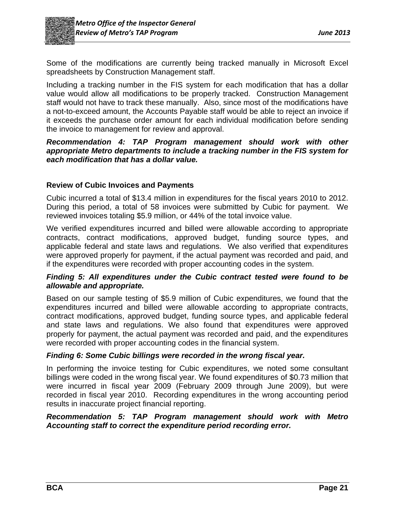

Some of the modifications are currently being tracked manually in Microsoft Excel spreadsheets by Construction Management staff.

Including a tracking number in the FIS system for each modification that has a dollar value would allow all modifications to be properly tracked. Construction Management staff would not have to track these manually. Also, since most of the modifications have a not-to-exceed amount, the Accounts Payable staff would be able to reject an invoice if it exceeds the purchase order amount for each individual modification before sending the invoice to management for review and approval.

#### *Recommendation 4: TAP Program management should work with other appropriate Metro departments to include a tracking number in the FIS system for each modification that has a dollar value.*

#### **Review of Cubic Invoices and Payments**

Cubic incurred a total of \$13.4 million in expenditures for the fiscal years 2010 to 2012. During this period, a total of 58 invoices were submitted by Cubic for payment. We reviewed invoices totaling \$5.9 million, or 44% of the total invoice value.

We verified expenditures incurred and billed were allowable according to appropriate contracts, contract modifications, approved budget, funding source types, and applicable federal and state laws and regulations. We also verified that expenditures were approved properly for payment, if the actual payment was recorded and paid, and if the expenditures were recorded with proper accounting codes in the system.

#### *Finding 5: All expenditures under the Cubic contract tested were found to be allowable and appropriate.*

Based on our sample testing of \$5.9 million of Cubic expenditures, we found that the expenditures incurred and billed were allowable according to appropriate contracts, contract modifications, approved budget, funding source types, and applicable federal and state laws and regulations. We also found that expenditures were approved properly for payment, the actual payment was recorded and paid, and the expenditures were recorded with proper accounting codes in the financial system.

#### *Finding 6: Some Cubic billings were recorded in the wrong fiscal year.*

In performing the invoice testing for Cubic expenditures, we noted some consultant billings were coded in the wrong fiscal year. We found expenditures of \$0.73 million that were incurred in fiscal year 2009 (February 2009 through June 2009), but were recorded in fiscal year 2010. Recording expenditures in the wrong accounting period results in inaccurate project financial reporting.

#### *Recommendation 5: TAP Program management should work with Metro Accounting staff to correct the expenditure period recording error.*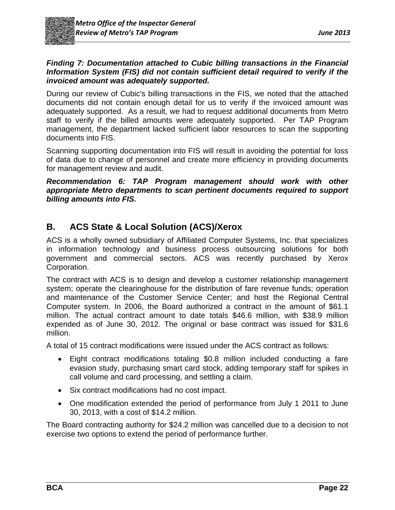

#### *Finding 7: Documentation attached to Cubic billing transactions in the Financial Information System (FIS) did not contain sufficient detail required to verify if the invoiced amount was adequately supported.*

During our review of Cubic's billing transactions in the FIS, we noted that the attached documents did not contain enough detail for us to verify if the invoiced amount was adequately supported. As a result, we had to request additional documents from Metro staff to verify if the billed amounts were adequately supported. Per TAP Program management, the department lacked sufficient labor resources to scan the supporting documents into FIS.

Scanning supporting documentation into FIS will result in avoiding the potential for loss of data due to change of personnel and create more efficiency in providing documents for management review and audit.

*Recommendation 6: TAP Program management should work with other appropriate Metro departments to scan pertinent documents required to support billing amounts into FIS.* 

## **B. ACS State & Local Solution (ACS)/Xerox**

ACS is a wholly owned subsidiary of Affiliated Computer Systems, Inc. that specializes in information technology and business process outsourcing solutions for both government and commercial sectors. ACS was recently purchased by Xerox Corporation.

The contract with ACS is to design and develop a customer relationship management system; operate the clearinghouse for the distribution of fare revenue funds; operation and maintenance of the Customer Service Center; and host the Regional Central Computer system. In 2006, the Board authorized a contract in the amount of \$61.1 million. The actual contract amount to date totals \$46.6 million, with \$38.9 million expended as of June 30, 2012. The original or base contract was issued for \$31.6 million.

A total of 15 contract modifications were issued under the ACS contract as follows:

- Eight contract modifications totaling \$0.8 million included conducting a fare evasion study, purchasing smart card stock, adding temporary staff for spikes in call volume and card processing, and settling a claim.
- Six contract modifications had no cost impact.
- One modification extended the period of performance from July 1 2011 to June 30, 2013, with a cost of \$14.2 million.

The Board contracting authority for \$24.2 million was cancelled due to a decision to not exercise two options to extend the period of performance further.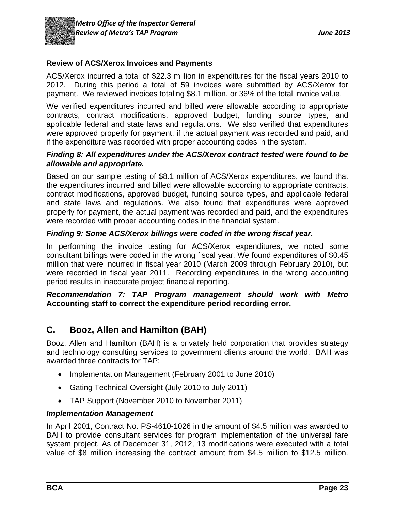

#### **Review of ACS/Xerox Invoices and Payments**

ACS/Xerox incurred a total of \$22.3 million in expenditures for the fiscal years 2010 to 2012. During this period a total of 59 invoices were submitted by ACS/Xerox for payment. We reviewed invoices totaling \$8.1 million, or 36% of the total invoice value.

We verified expenditures incurred and billed were allowable according to appropriate contracts, contract modifications, approved budget, funding source types, and applicable federal and state laws and regulations. We also verified that expenditures were approved properly for payment, if the actual payment was recorded and paid, and if the expenditure was recorded with proper accounting codes in the system.

#### *Finding 8: All expenditures under the ACS/Xerox contract tested were found to be allowable and appropriate.*

Based on our sample testing of \$8.1 million of ACS/Xerox expenditures, we found that the expenditures incurred and billed were allowable according to appropriate contracts, contract modifications, approved budget, funding source types, and applicable federal and state laws and regulations. We also found that expenditures were approved properly for payment, the actual payment was recorded and paid, and the expenditures were recorded with proper accounting codes in the financial system.

#### *Finding 9: Some ACS/Xerox billings were coded in the wrong fiscal year.*

In performing the invoice testing for ACS/Xerox expenditures, we noted some consultant billings were coded in the wrong fiscal year. We found expenditures of \$0.45 million that were incurred in fiscal year 2010 (March 2009 through February 2010), but were recorded in fiscal year 2011. Recording expenditures in the wrong accounting period results in inaccurate project financial reporting.

#### *Recommendation 7: TAP Program management should work with Metro* **Accounting staff to correct the expenditure period recording error.**

### **C. Booz, Allen and Hamilton (BAH)**

Booz, Allen and Hamilton (BAH) is a privately held corporation that provides strategy and technology consulting services to government clients around the world. BAH was awarded three contracts for TAP:

- Implementation Management (February 2001 to June 2010)
- Gating Technical Oversight (July 2010 to July 2011)
- TAP Support (November 2010 to November 2011)

#### *Implementation Management*

In April 2001, Contract No. PS-4610-1026 in the amount of \$4.5 million was awarded to BAH to provide consultant services for program implementation of the universal fare system project. As of December 31, 2012, 13 modifications were executed with a total value of \$8 million increasing the contract amount from \$4.5 million to \$12.5 million.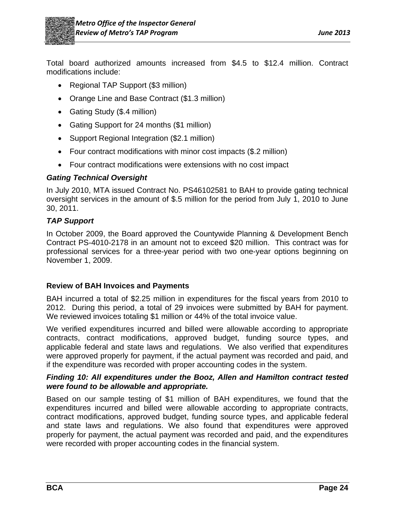

Total board authorized amounts increased from \$4.5 to \$12.4 million. Contract modifications include:

- Regional TAP Support (\$3 million)
- Orange Line and Base Contract (\$1.3 million)
- Gating Study (\$.4 million)
- Gating Support for 24 months (\$1 million)
- Support Regional Integration (\$2.1 million)
- Four contract modifications with minor cost impacts (\$.2 million)
- Four contract modifications were extensions with no cost impact

#### *Gating Technical Oversight*

In July 2010, MTA issued Contract No. PS46102581 to BAH to provide gating technical oversight services in the amount of \$.5 million for the period from July 1, 2010 to June 30, 2011.

#### *TAP Support*

In October 2009, the Board approved the Countywide Planning & Development Bench Contract PS-4010-2178 in an amount not to exceed \$20 million. This contract was for professional services for a three-year period with two one-year options beginning on November 1, 2009.

#### **Review of BAH Invoices and Payments**

BAH incurred a total of \$2.25 million in expenditures for the fiscal years from 2010 to 2012. During this period, a total of 29 invoices were submitted by BAH for payment. We reviewed invoices totaling \$1 million or 44% of the total invoice value.

We verified expenditures incurred and billed were allowable according to appropriate contracts, contract modifications, approved budget, funding source types, and applicable federal and state laws and regulations. We also verified that expenditures were approved properly for payment, if the actual payment was recorded and paid, and if the expenditure was recorded with proper accounting codes in the system.

#### *Finding 10: All expenditures under the Booz, Allen and Hamilton contract tested were found to be allowable and appropriate.*

Based on our sample testing of \$1 million of BAH expenditures, we found that the expenditures incurred and billed were allowable according to appropriate contracts, contract modifications, approved budget, funding source types, and applicable federal and state laws and regulations. We also found that expenditures were approved properly for payment, the actual payment was recorded and paid, and the expenditures were recorded with proper accounting codes in the financial system.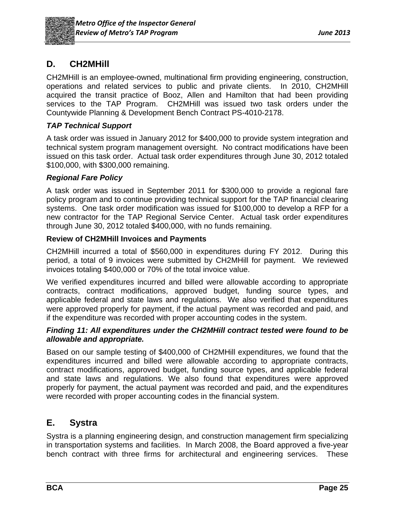

## **D. CH2MHill**

CH2MHill is an employee-owned, multinational firm providing engineering, construction, operations and related services to public and private clients. In 2010, CH2MHill acquired the transit practice of Booz, Allen and Hamilton that had been providing services to the TAP Program.CH2MHill was issued two task orders under the Countywide Planning & Development Bench Contract PS-4010-2178.

#### *TAP Technical Support*

A task order was issued in January 2012 for \$400,000 to provide system integration and technical system program management oversight. No contract modifications have been issued on this task order. Actual task order expenditures through June 30, 2012 totaled \$100,000, with \$300,000 remaining.

#### *Regional Fare Policy*

A task order was issued in September 2011 for \$300,000 to provide a regional fare policy program and to continue providing technical support for the TAP financial clearing systems. One task order modification was issued for \$100,000 to develop a RFP for a new contractor for the TAP Regional Service Center. Actual task order expenditures through June 30, 2012 totaled \$400,000, with no funds remaining.

#### **Review of CH2MHill Invoices and Payments**

CH2MHill incurred a total of \$560,000 in expenditures during FY 2012. During this period, a total of 9 invoices were submitted by CH2MHill for payment. We reviewed invoices totaling \$400,000 or 70% of the total invoice value.

We verified expenditures incurred and billed were allowable according to appropriate contracts, contract modifications, approved budget, funding source types, and applicable federal and state laws and regulations. We also verified that expenditures were approved properly for payment, if the actual payment was recorded and paid, and if the expenditure was recorded with proper accounting codes in the system.

#### *Finding 11: All expenditures under the CH2MHill contract tested were found to be allowable and appropriate.*

Based on our sample testing of \$400,000 of CH2MHill expenditures, we found that the expenditures incurred and billed were allowable according to appropriate contracts, contract modifications, approved budget, funding source types, and applicable federal and state laws and regulations. We also found that expenditures were approved properly for payment, the actual payment was recorded and paid, and the expenditures were recorded with proper accounting codes in the financial system.

### **E. Systra**

Systra is a planning engineering design, and construction management firm specializing in transportation systems and facilities. In March 2008, the Board approved a five-year bench contract with three firms for architectural and engineering services. These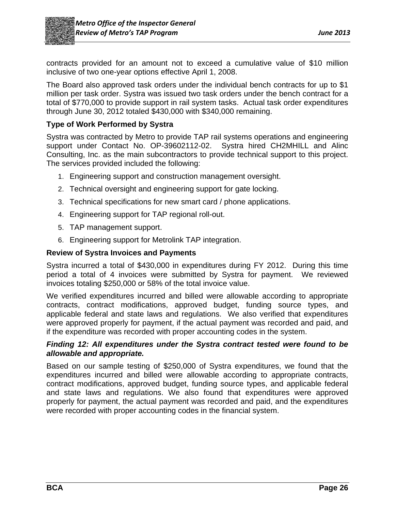

contracts provided for an amount not to exceed a cumulative value of \$10 million inclusive of two one-year options effective April 1, 2008.

The Board also approved task orders under the individual bench contracts for up to \$1 million per task order. Systra was issued two task orders under the bench contract for a total of \$770,000 to provide support in rail system tasks. Actual task order expenditures through June 30, 2012 totaled \$430,000 with \$340,000 remaining.

#### **Type of Work Performed by Systra**

Systra was contracted by Metro to provide TAP rail systems operations and engineering support under Contact No. OP-39602112-02. Systra hired CH2MHILL and Alinc Consulting, Inc. as the main subcontractors to provide technical support to this project. The services provided included the following:

- 1. Engineering support and construction management oversight.
- 2. Technical oversight and engineering support for gate locking.
- 3. Technical specifications for new smart card / phone applications.
- 4. Engineering support for TAP regional roll-out.
- 5. TAP management support.
- 6. Engineering support for Metrolink TAP integration.

#### **Review of Systra Invoices and Payments**

Systra incurred a total of \$430,000 in expenditures during FY 2012. During this time period a total of 4 invoices were submitted by Systra for payment. We reviewed invoices totaling \$250,000 or 58% of the total invoice value.

We verified expenditures incurred and billed were allowable according to appropriate contracts, contract modifications, approved budget, funding source types, and applicable federal and state laws and regulations. We also verified that expenditures were approved properly for payment, if the actual payment was recorded and paid, and if the expenditure was recorded with proper accounting codes in the system.

#### *Finding 12: All expenditures under the Systra contract tested were found to be allowable and appropriate.*

Based on our sample testing of \$250,000 of Systra expenditures, we found that the expenditures incurred and billed were allowable according to appropriate contracts, contract modifications, approved budget, funding source types, and applicable federal and state laws and regulations. We also found that expenditures were approved properly for payment, the actual payment was recorded and paid, and the expenditures were recorded with proper accounting codes in the financial system.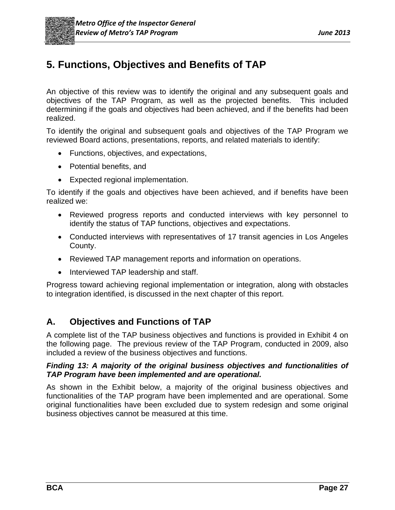# **5. Functions, Objectives and Benefits of TAP**

An objective of this review was to identify the original and any subsequent goals and objectives of the TAP Program, as well as the projected benefits. This included determining if the goals and objectives had been achieved, and if the benefits had been realized.

To identify the original and subsequent goals and objectives of the TAP Program we reviewed Board actions, presentations, reports, and related materials to identify:

- Functions, objectives, and expectations,
- Potential benefits, and
- Expected regional implementation.

To identify if the goals and objectives have been achieved, and if benefits have been realized we:

- Reviewed progress reports and conducted interviews with key personnel to identify the status of TAP functions, objectives and expectations.
- Conducted interviews with representatives of 17 transit agencies in Los Angeles County.
- Reviewed TAP management reports and information on operations.
- Interviewed TAP leadership and staff.

Progress toward achieving regional implementation or integration, along with obstacles to integration identified, is discussed in the next chapter of this report.

## **A. Objectives and Functions of TAP**

A complete list of the TAP business objectives and functions is provided in Exhibit 4 on the following page. The previous review of the TAP Program, conducted in 2009, also included a review of the business objectives and functions.

#### *Finding 13: A majority of the original business objectives and functionalities of TAP Program have been implemented and are operational.*

As shown in the Exhibit below, a majority of the original business objectives and functionalities of the TAP program have been implemented and are operational. Some original functionalities have been excluded due to system redesign and some original business objectives cannot be measured at this time.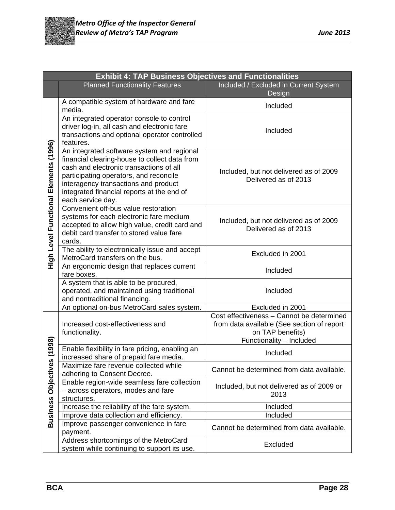

|                       | <b>Exhibit 4: TAP Business Objectives and Functionalities</b>                                                                                                                                                                                                                               |                                                                                                                                         |  |  |
|-----------------------|---------------------------------------------------------------------------------------------------------------------------------------------------------------------------------------------------------------------------------------------------------------------------------------------|-----------------------------------------------------------------------------------------------------------------------------------------|--|--|
|                       | <b>Planned Functionality Features</b>                                                                                                                                                                                                                                                       | Included / Excluded in Current System<br>Design                                                                                         |  |  |
|                       | A compatible system of hardware and fare<br>media.                                                                                                                                                                                                                                          | Included                                                                                                                                |  |  |
|                       | An integrated operator console to control<br>driver log-in, all cash and electronic fare<br>transactions and optional operator controlled<br>features.                                                                                                                                      | Included                                                                                                                                |  |  |
| Elements (1996)       | An integrated software system and regional<br>financial clearing-house to collect data from<br>cash and electronic transactions of all<br>participating operators, and reconcile<br>interagency transactions and product<br>integrated financial reports at the end of<br>each service day. | Included, but not delivered as of 2009<br>Delivered as of 2013                                                                          |  |  |
| High Level Functional | Convenient off-bus value restoration<br>systems for each electronic fare medium<br>accepted to allow high value, credit card and<br>debit card transfer to stored value fare<br>cards.                                                                                                      | Included, but not delivered as of 2009<br>Delivered as of 2013                                                                          |  |  |
|                       | The ability to electronically issue and accept<br>MetroCard transfers on the bus.                                                                                                                                                                                                           | Excluded in 2001                                                                                                                        |  |  |
|                       | An ergonomic design that replaces current<br>fare boxes.                                                                                                                                                                                                                                    | Included                                                                                                                                |  |  |
|                       | A system that is able to be procured,<br>operated, and maintained using traditional<br>and nontraditional financing.                                                                                                                                                                        | Included                                                                                                                                |  |  |
|                       | An optional on-bus MetroCard sales system.                                                                                                                                                                                                                                                  | Excluded in 2001                                                                                                                        |  |  |
|                       | Increased cost-effectiveness and<br>functionality.                                                                                                                                                                                                                                          | Cost effectiveness - Cannot be determined<br>from data available (See section of report<br>on TAP benefits)<br>Functionality - Included |  |  |
| (1998)                | Enable flexibility in fare pricing, enabling an<br>increased share of prepaid fare media.                                                                                                                                                                                                   | Included                                                                                                                                |  |  |
| Objectives            | Maximize fare revenue collected while<br>adhering to Consent Decree.                                                                                                                                                                                                                        | Cannot be determined from data available.                                                                                               |  |  |
|                       | Enable region-wide seamless fare collection<br>- across operators, modes and fare<br>structures.                                                                                                                                                                                            | Included, but not delivered as of 2009 or<br>2013                                                                                       |  |  |
| <b>Business</b>       | Increase the reliability of the fare system.                                                                                                                                                                                                                                                | Included                                                                                                                                |  |  |
|                       | Improve data collection and efficiency.                                                                                                                                                                                                                                                     | Included                                                                                                                                |  |  |
|                       | Improve passenger convenience in fare<br>payment.                                                                                                                                                                                                                                           | Cannot be determined from data available.                                                                                               |  |  |
|                       | Address shortcomings of the MetroCard<br>system while continuing to support its use.                                                                                                                                                                                                        | Excluded                                                                                                                                |  |  |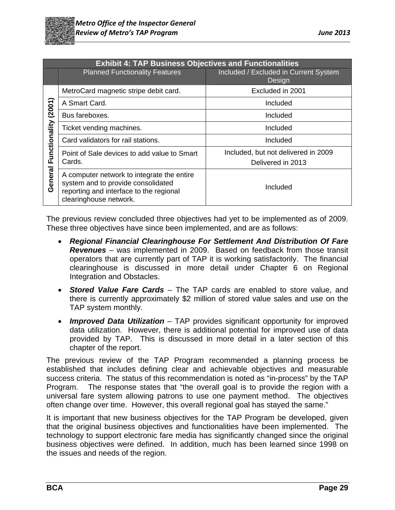

|               | <b>Exhibit 4: TAP Business Objectives and Functionalities</b>                                                                                         |                                                          |  |  |  |
|---------------|-------------------------------------------------------------------------------------------------------------------------------------------------------|----------------------------------------------------------|--|--|--|
|               | <b>Planned Functionality Features</b>                                                                                                                 | Included / Excluded in Current System<br>Design          |  |  |  |
|               | MetroCard magnetic stripe debit card.                                                                                                                 | Excluded in 2001                                         |  |  |  |
| (2001)        | A Smart Card.                                                                                                                                         | Included                                                 |  |  |  |
|               | Bus fareboxes.                                                                                                                                        | Included                                                 |  |  |  |
|               | Ticket vending machines.                                                                                                                              | Included                                                 |  |  |  |
|               | Card validators for rail stations.                                                                                                                    | Included                                                 |  |  |  |
| Functionality | Point of Sale devices to add value to Smart<br>Cards.                                                                                                 | Included, but not delivered in 2009<br>Delivered in 2013 |  |  |  |
| General       | A computer network to integrate the entire<br>system and to provide consolidated<br>reporting and interface to the regional<br>clearinghouse network. | Included                                                 |  |  |  |

The previous review concluded three objectives had yet to be implemented as of 2009. These three objectives have since been implemented, and are as follows:

- *Regional Financial Clearinghouse For Settlement And Distribution Of Fare Revenues* – was implemented in 2009. Based on feedback from those transit operators that are currently part of TAP it is working satisfactorily. The financial clearinghouse is discussed in more detail under Chapter 6 on Regional Integration and Obstacles.
- *Stored Value Fare Cards* The TAP cards are enabled to store value, and there is currently approximately \$2 million of stored value sales and use on the TAP system monthly.
- *Improved Data Utilization* TAP provides significant opportunity for improved data utilization. However, there is additional potential for improved use of data provided by TAP. This is discussed in more detail in a later section of this chapter of the report.

The previous review of the TAP Program recommended a planning process be established that includes defining clear and achievable objectives and measurable success criteria. The status of this recommendation is noted as "in-process" by the TAP Program. The response states that "the overall goal is to provide the region with a universal fare system allowing patrons to use one payment method. The objectives often change over time. However, this overall regional goal has stayed the same."

It is important that new business objectives for the TAP Program be developed, given that the original business objectives and functionalities have been implemented. The technology to support electronic fare media has significantly changed since the original business objectives were defined. In addition, much has been learned since 1998 on the issues and needs of the region.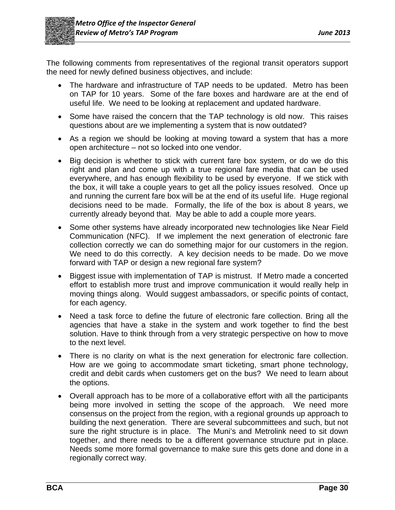

The following comments from representatives of the regional transit operators support the need for newly defined business objectives, and include:

- The hardware and infrastructure of TAP needs to be updated. Metro has been on TAP for 10 years. Some of the fare boxes and hardware are at the end of useful life. We need to be looking at replacement and updated hardware.
- Some have raised the concern that the TAP technology is old now. This raises questions about are we implementing a system that is now outdated?
- As a region we should be looking at moving toward a system that has a more open architecture – not so locked into one vendor.
- Big decision is whether to stick with current fare box system, or do we do this right and plan and come up with a true regional fare media that can be used everywhere, and has enough flexibility to be used by everyone. If we stick with the box, it will take a couple years to get all the policy issues resolved. Once up and running the current fare box will be at the end of its useful life. Huge regional decisions need to be made. Formally, the life of the box is about 8 years, we currently already beyond that. May be able to add a couple more years.
- Some other systems have already incorporated new technologies like Near Field Communication (NFC). If we implement the next generation of electronic fare collection correctly we can do something major for our customers in the region. We need to do this correctly. A key decision needs to be made. Do we move forward with TAP or design a new regional fare system?
- Biggest issue with implementation of TAP is mistrust. If Metro made a concerted effort to establish more trust and improve communication it would really help in moving things along. Would suggest ambassadors, or specific points of contact, for each agency.
- Need a task force to define the future of electronic fare collection. Bring all the agencies that have a stake in the system and work together to find the best solution. Have to think through from a very strategic perspective on how to move to the next level.
- There is no clarity on what is the next generation for electronic fare collection. How are we going to accommodate smart ticketing, smart phone technology, credit and debit cards when customers get on the bus? We need to learn about the options.
- Overall approach has to be more of a collaborative effort with all the participants being more involved in setting the scope of the approach. We need more consensus on the project from the region, with a regional grounds up approach to building the next generation. There are several subcommittees and such, but not sure the right structure is in place. The Muni's and Metrolink need to sit down together, and there needs to be a different governance structure put in place. Needs some more formal governance to make sure this gets done and done in a regionally correct way.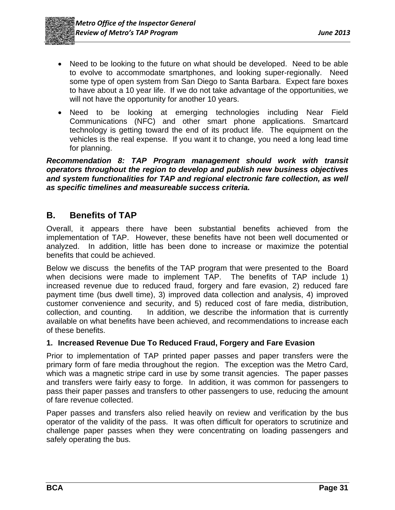- Need to be looking to the future on what should be developed. Need to be able to evolve to accommodate smartphones, and looking super-regionally. Need some type of open system from San Diego to Santa Barbara. Expect fare boxes to have about a 10 year life. If we do not take advantage of the opportunities, we will not have the opportunity for another 10 years.
- Need to be looking at emerging technologies including Near Field Communications (NFC) and other smart phone applications. Smartcard technology is getting toward the end of its product life. The equipment on the vehicles is the real expense. If you want it to change, you need a long lead time for planning.

*Recommendation 8: TAP Program management should work with transit operators throughout the region to develop and publish new business objectives and system functionalities for TAP and regional electronic fare collection, as well as specific timelines and measureable success criteria.* 

## **B. Benefits of TAP**

Overall, it appears there have been substantial benefits achieved from the implementation of TAP. However, these benefits have not been well documented or analyzed. In addition, little has been done to increase or maximize the potential benefits that could be achieved.

Below we discuss the benefits of the TAP program that were presented to the Board when decisions were made to implement TAP. The benefits of TAP include 1) increased revenue due to reduced fraud, forgery and fare evasion, 2) reduced fare payment time (bus dwell time), 3) improved data collection and analysis, 4) improved customer convenience and security, and 5) reduced cost of fare media, distribution, collection, and counting. In addition, we describe the information that is currently available on what benefits have been achieved, and recommendations to increase each of these benefits.

### **1. Increased Revenue Due To Reduced Fraud, Forgery and Fare Evasion**

Prior to implementation of TAP printed paper passes and paper transfers were the primary form of fare media throughout the region. The exception was the Metro Card, which was a magnetic stripe card in use by some transit agencies. The paper passes and transfers were fairly easy to forge. In addition, it was common for passengers to pass their paper passes and transfers to other passengers to use, reducing the amount of fare revenue collected.

Paper passes and transfers also relied heavily on review and verification by the bus operator of the validity of the pass. It was often difficult for operators to scrutinize and challenge paper passes when they were concentrating on loading passengers and safely operating the bus.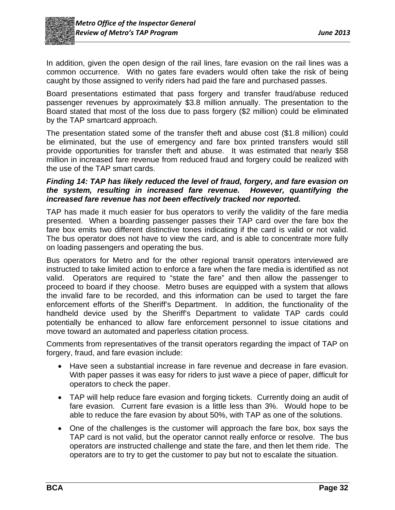

In addition, given the open design of the rail lines, fare evasion on the rail lines was a common occurrence. With no gates fare evaders would often take the risk of being caught by those assigned to verify riders had paid the fare and purchased passes.

Board presentations estimated that pass forgery and transfer fraud/abuse reduced passenger revenues by approximately \$3.8 million annually. The presentation to the Board stated that most of the loss due to pass forgery (\$2 million) could be eliminated by the TAP smartcard approach.

The presentation stated some of the transfer theft and abuse cost (\$1.8 million) could be eliminated, but the use of emergency and fare box printed transfers would still provide opportunities for transfer theft and abuse. It was estimated that nearly \$58 million in increased fare revenue from reduced fraud and forgery could be realized with the use of the TAP smart cards.

#### *Finding 14: TAP has likely reduced the level of fraud, forgery, and fare evasion on the system, resulting in increased fare revenue. However, quantifying the increased fare revenue has not been effectively tracked nor reported.*

TAP has made it much easier for bus operators to verify the validity of the fare media presented. When a boarding passenger passes their TAP card over the fare box the fare box emits two different distinctive tones indicating if the card is valid or not valid. The bus operator does not have to view the card, and is able to concentrate more fully on loading passengers and operating the bus.

Bus operators for Metro and for the other regional transit operators interviewed are instructed to take limited action to enforce a fare when the fare media is identified as not valid. Operators are required to "state the fare" and then allow the passenger to proceed to board if they choose. Metro buses are equipped with a system that allows the invalid fare to be recorded, and this information can be used to target the fare enforcement efforts of the Sheriff's Department. In addition, the functionality of the handheld device used by the Sheriff's Department to validate TAP cards could potentially be enhanced to allow fare enforcement personnel to issue citations and move toward an automated and paperless citation process.

Comments from representatives of the transit operators regarding the impact of TAP on forgery, fraud, and fare evasion include:

- Have seen a substantial increase in fare revenue and decrease in fare evasion. With paper passes it was easy for riders to just wave a piece of paper, difficult for operators to check the paper.
- TAP will help reduce fare evasion and forging tickets. Currently doing an audit of fare evasion. Current fare evasion is a little less than 3%. Would hope to be able to reduce the fare evasion by about 50%, with TAP as one of the solutions.
- One of the challenges is the customer will approach the fare box, box says the TAP card is not valid, but the operator cannot really enforce or resolve. The bus operators are instructed challenge and state the fare, and then let them ride. The operators are to try to get the customer to pay but not to escalate the situation.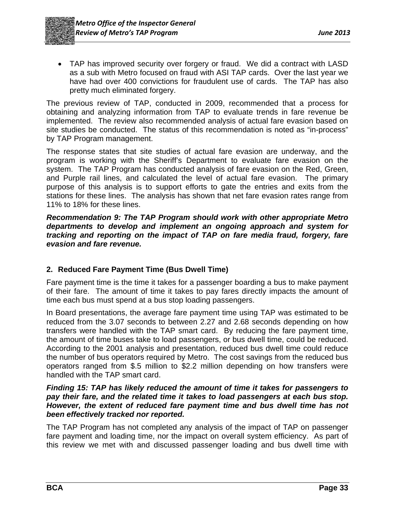TAP has improved security over forgery or fraud. We did a contract with LASD as a sub with Metro focused on fraud with ASI TAP cards. Over the last year we have had over 400 convictions for fraudulent use of cards. The TAP has also pretty much eliminated forgery.

The previous review of TAP, conducted in 2009, recommended that a process for obtaining and analyzing information from TAP to evaluate trends in fare revenue be implemented. The review also recommended analysis of actual fare evasion based on site studies be conducted. The status of this recommendation is noted as "in-process" by TAP Program management.

The response states that site studies of actual fare evasion are underway, and the program is working with the Sheriff's Department to evaluate fare evasion on the system. The TAP Program has conducted analysis of fare evasion on the Red, Green, and Purple rail lines, and calculated the level of actual fare evasion. The primary purpose of this analysis is to support efforts to gate the entries and exits from the stations for these lines. The analysis has shown that net fare evasion rates range from 11% to 18% for these lines.

*Recommendation 9: The TAP Program should work with other appropriate Metro departments to develop and implement an ongoing approach and system for tracking and reporting on the impact of TAP on fare media fraud, forgery, fare evasion and fare revenue.* 

#### **2. Reduced Fare Payment Time (Bus Dwell Time)**

Fare payment time is the time it takes for a passenger boarding a bus to make payment of their fare. The amount of time it takes to pay fares directly impacts the amount of time each bus must spend at a bus stop loading passengers.

In Board presentations, the average fare payment time using TAP was estimated to be reduced from the 3.07 seconds to between 2.27 and 2.68 seconds depending on how transfers were handled with the TAP smart card. By reducing the fare payment time, the amount of time buses take to load passengers, or bus dwell time, could be reduced. According to the 2001 analysis and presentation, reduced bus dwell time could reduce the number of bus operators required by Metro. The cost savings from the reduced bus operators ranged from \$.5 million to \$2.2 million depending on how transfers were handled with the TAP smart card.

#### *Finding 15: TAP has likely reduced the amount of time it takes for passengers to pay their fare, and the related time it takes to load passengers at each bus stop. However, the extent of reduced fare payment time and bus dwell time has not been effectively tracked nor reported.*

The TAP Program has not completed any analysis of the impact of TAP on passenger fare payment and loading time, nor the impact on overall system efficiency. As part of this review we met with and discussed passenger loading and bus dwell time with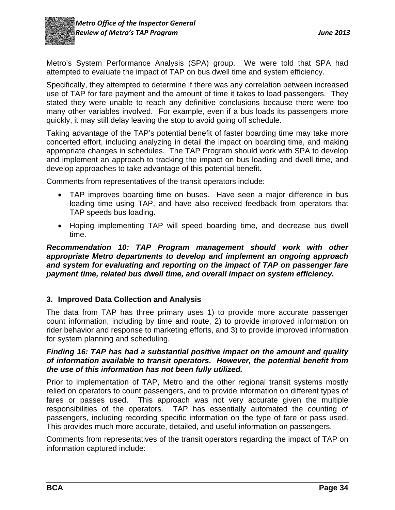

Metro's System Performance Analysis (SPA) group. We were told that SPA had attempted to evaluate the impact of TAP on bus dwell time and system efficiency.

Specifically, they attempted to determine if there was any correlation between increased use of TAP for fare payment and the amount of time it takes to load passengers. They stated they were unable to reach any definitive conclusions because there were too many other variables involved. For example, even if a bus loads its passengers more quickly, it may still delay leaving the stop to avoid going off schedule.

Taking advantage of the TAP's potential benefit of faster boarding time may take more concerted effort, including analyzing in detail the impact on boarding time, and making appropriate changes in schedules. The TAP Program should work with SPA to develop and implement an approach to tracking the impact on bus loading and dwell time, and develop approaches to take advantage of this potential benefit.

Comments from representatives of the transit operators include:

- TAP improves boarding time on buses. Have seen a major difference in bus loading time using TAP, and have also received feedback from operators that TAP speeds bus loading.
- Hoping implementing TAP will speed boarding time, and decrease bus dwell time.

*Recommendation 10: TAP Program management should work with other appropriate Metro departments to develop and implement an ongoing approach and system for evaluating and reporting on the impact of TAP on passenger fare payment time, related bus dwell time, and overall impact on system efficiency.* 

# **3. Improved Data Collection and Analysis**

The data from TAP has three primary uses 1) to provide more accurate passenger count information, including by time and route, 2) to provide improved information on rider behavior and response to marketing efforts, and 3) to provide improved information for system planning and scheduling.

#### *Finding 16: TAP has had a substantial positive impact on the amount and quality of information available to transit operators. However, the potential benefit from the use of this information has not been fully utilized.*

Prior to implementation of TAP, Metro and the other regional transit systems mostly relied on operators to count passengers, and to provide information on different types of fares or passes used. This approach was not very accurate given the multiple responsibilities of the operators. TAP has essentially automated the counting of passengers, including recording specific information on the type of fare or pass used. This provides much more accurate, detailed, and useful information on passengers.

Comments from representatives of the transit operators regarding the impact of TAP on information captured include: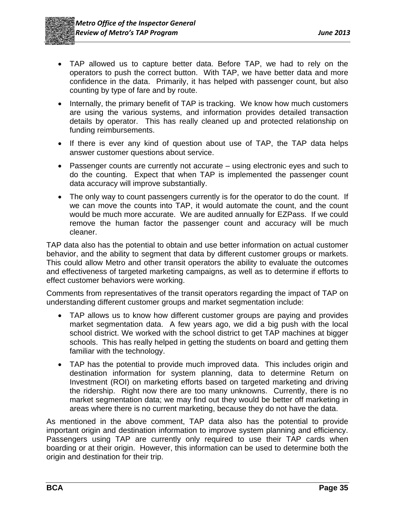

- TAP allowed us to capture better data. Before TAP, we had to rely on the operators to push the correct button. With TAP, we have better data and more confidence in the data. Primarily, it has helped with passenger count, but also counting by type of fare and by route.
- Internally, the primary benefit of TAP is tracking. We know how much customers are using the various systems, and information provides detailed transaction details by operator. This has really cleaned up and protected relationship on funding reimbursements.
- If there is ever any kind of question about use of TAP, the TAP data helps answer customer questions about service.
- Passenger counts are currently not accurate using electronic eyes and such to do the counting. Expect that when TAP is implemented the passenger count data accuracy will improve substantially.
- The only way to count passengers currently is for the operator to do the count. If we can move the counts into TAP, it would automate the count, and the count would be much more accurate. We are audited annually for EZPass. If we could remove the human factor the passenger count and accuracy will be much cleaner.

TAP data also has the potential to obtain and use better information on actual customer behavior, and the ability to segment that data by different customer groups or markets. This could allow Metro and other transit operators the ability to evaluate the outcomes and effectiveness of targeted marketing campaigns, as well as to determine if efforts to effect customer behaviors were working.

Comments from representatives of the transit operators regarding the impact of TAP on understanding different customer groups and market segmentation include:

- TAP allows us to know how different customer groups are paying and provides market segmentation data. A few years ago, we did a big push with the local school district. We worked with the school district to get TAP machines at bigger schools. This has really helped in getting the students on board and getting them familiar with the technology.
- TAP has the potential to provide much improved data. This includes origin and destination information for system planning, data to determine Return on Investment (ROI) on marketing efforts based on targeted marketing and driving the ridership. Right now there are too many unknowns. Currently, there is no market segmentation data; we may find out they would be better off marketing in areas where there is no current marketing, because they do not have the data.

As mentioned in the above comment, TAP data also has the potential to provide important origin and destination information to improve system planning and efficiency. Passengers using TAP are currently only required to use their TAP cards when boarding or at their origin. However, this information can be used to determine both the origin and destination for their trip.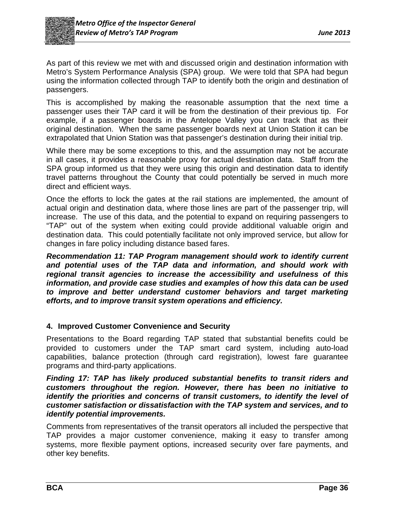

As part of this review we met with and discussed origin and destination information with Metro's System Performance Analysis (SPA) group. We were told that SPA had begun using the information collected through TAP to identify both the origin and destination of passengers.

This is accomplished by making the reasonable assumption that the next time a passenger uses their TAP card it will be from the destination of their previous tip. For example, if a passenger boards in the Antelope Valley you can track that as their original destination. When the same passenger boards next at Union Station it can be extrapolated that Union Station was that passenger's destination during their initial trip.

While there may be some exceptions to this, and the assumption may not be accurate in all cases, it provides a reasonable proxy for actual destination data. Staff from the SPA group informed us that they were using this origin and destination data to identify travel patterns throughout the County that could potentially be served in much more direct and efficient ways.

Once the efforts to lock the gates at the rail stations are implemented, the amount of actual origin and destination data, where those lines are part of the passenger trip, will increase. The use of this data, and the potential to expand on requiring passengers to "TAP" out of the system when exiting could provide additional valuable origin and destination data. This could potentially facilitate not only improved service, but allow for changes in fare policy including distance based fares.

*Recommendation 11: TAP Program management should work to identify current and potential uses of the TAP data and information, and should work with regional transit agencies to increase the accessibility and usefulness of this information, and provide case studies and examples of how this data can be used to improve and better understand customer behaviors and target marketing efforts, and to improve transit system operations and efficiency.* 

# **4. Improved Customer Convenience and Security**

Presentations to the Board regarding TAP stated that substantial benefits could be provided to customers under the TAP smart card system, including auto-load capabilities, balance protection (through card registration), lowest fare guarantee programs and third-party applications.

#### *Finding 17: TAP has likely produced substantial benefits to transit riders and customers throughout the region. However, there has been no initiative to identify the priorities and concerns of transit customers, to identify the level of customer satisfaction or dissatisfaction with the TAP system and services, and to identify potential improvements.*

Comments from representatives of the transit operators all included the perspective that TAP provides a major customer convenience, making it easy to transfer among systems, more flexible payment options, increased security over fare payments, and other key benefits.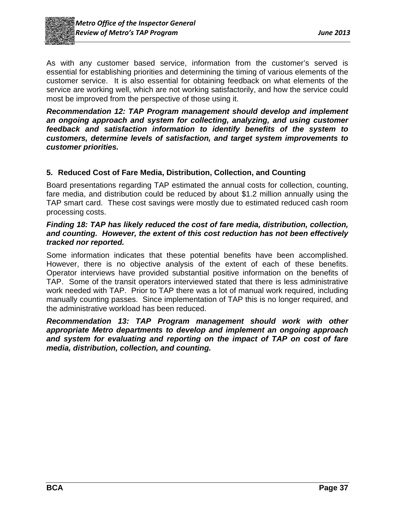

As with any customer based service, information from the customer's served is essential for establishing priorities and determining the timing of various elements of the customer service. It is also essential for obtaining feedback on what elements of the service are working well, which are not working satisfactorily, and how the service could most be improved from the perspective of those using it.

*Recommendation 12: TAP Program management should develop and implement an ongoing approach and system for collecting, analyzing, and using customer feedback and satisfaction information to identify benefits of the system to customers, determine levels of satisfaction, and target system improvements to customer priorities.* 

# **5. Reduced Cost of Fare Media, Distribution, Collection, and Counting**

Board presentations regarding TAP estimated the annual costs for collection, counting, fare media, and distribution could be reduced by about \$1.2 million annually using the TAP smart card. These cost savings were mostly due to estimated reduced cash room processing costs.

#### *Finding 18: TAP has likely reduced the cost of fare media, distribution, collection, and counting. However, the extent of this cost reduction has not been effectively tracked nor reported.*

Some information indicates that these potential benefits have been accomplished. However, there is no objective analysis of the extent of each of these benefits. Operator interviews have provided substantial positive information on the benefits of TAP. Some of the transit operators interviewed stated that there is less administrative work needed with TAP. Prior to TAP there was a lot of manual work required, including manually counting passes. Since implementation of TAP this is no longer required, and the administrative workload has been reduced.

*Recommendation 13: TAP Program management should work with other appropriate Metro departments to develop and implement an ongoing approach and system for evaluating and reporting on the impact of TAP on cost of fare media, distribution, collection, and counting.*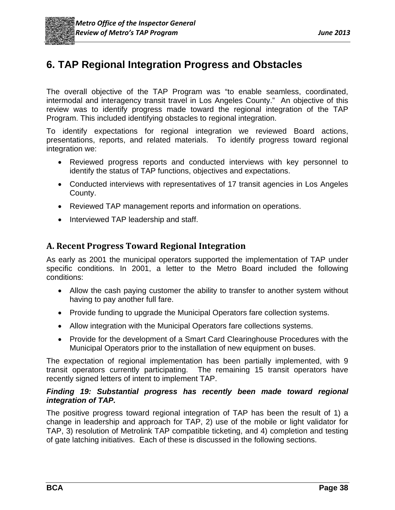# **6. TAP Regional Integration Progress and Obstacles**

The overall objective of the TAP Program was "to enable seamless, coordinated, intermodal and interagency transit travel in Los Angeles County." An objective of this review was to identify progress made toward the regional integration of the TAP Program. This included identifying obstacles to regional integration.

To identify expectations for regional integration we reviewed Board actions, presentations, reports, and related materials. To identify progress toward regional integration we:

- Reviewed progress reports and conducted interviews with key personnel to identify the status of TAP functions, objectives and expectations.
- Conducted interviews with representatives of 17 transit agencies in Los Angeles County.
- Reviewed TAP management reports and information on operations.
- Interviewed TAP leadership and staff.

# **A. Recent Progress Toward Regional Integration**

As early as 2001 the municipal operators supported the implementation of TAP under specific conditions. In 2001, a letter to the Metro Board included the following conditions:

- Allow the cash paying customer the ability to transfer to another system without having to pay another full fare.
- Provide funding to upgrade the Municipal Operators fare collection systems.
- Allow integration with the Municipal Operators fare collections systems.
- Provide for the development of a Smart Card Clearinghouse Procedures with the Municipal Operators prior to the installation of new equipment on buses.

The expectation of regional implementation has been partially implemented, with 9 transit operators currently participating. The remaining 15 transit operators have recently signed letters of intent to implement TAP.

#### *Finding 19: Substantial progress has recently been made toward regional integration of TAP.*

The positive progress toward regional integration of TAP has been the result of 1) a change in leadership and approach for TAP, 2) use of the mobile or light validator for TAP, 3) resolution of Metrolink TAP compatible ticketing, and 4) completion and testing of gate latching initiatives. Each of these is discussed in the following sections.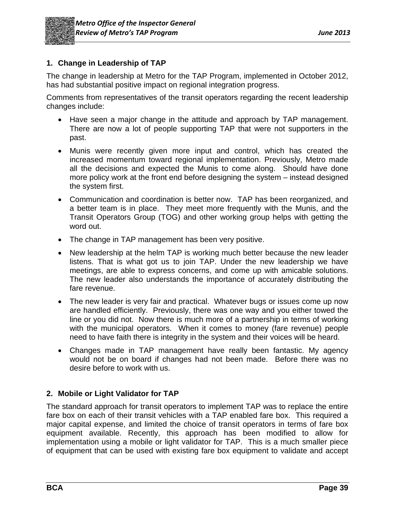

# **1. Change in Leadership of TAP**

The change in leadership at Metro for the TAP Program, implemented in October 2012, has had substantial positive impact on regional integration progress.

Comments from representatives of the transit operators regarding the recent leadership changes include:

- Have seen a major change in the attitude and approach by TAP management. There are now a lot of people supporting TAP that were not supporters in the past.
- Munis were recently given more input and control, which has created the increased momentum toward regional implementation. Previously, Metro made all the decisions and expected the Munis to come along. Should have done more policy work at the front end before designing the system – instead designed the system first.
- Communication and coordination is better now. TAP has been reorganized, and a better team is in place. They meet more frequently with the Munis, and the Transit Operators Group (TOG) and other working group helps with getting the word out.
- The change in TAP management has been very positive.
- New leadership at the helm TAP is working much better because the new leader listens. That is what got us to join TAP. Under the new leadership we have meetings, are able to express concerns, and come up with amicable solutions. The new leader also understands the importance of accurately distributing the fare revenue.
- The new leader is very fair and practical. Whatever bugs or issues come up now are handled efficiently. Previously, there was one way and you either towed the line or you did not. Now there is much more of a partnership in terms of working with the municipal operators. When it comes to money (fare revenue) people need to have faith there is integrity in the system and their voices will be heard.
- Changes made in TAP management have really been fantastic. My agency would not be on board if changes had not been made. Before there was no desire before to work with us.

# **2. Mobile or Light Validator for TAP**

The standard approach for transit operators to implement TAP was to replace the entire fare box on each of their transit vehicles with a TAP enabled fare box. This required a major capital expense, and limited the choice of transit operators in terms of fare box equipment available. Recently, this approach has been modified to allow for implementation using a mobile or light validator for TAP. This is a much smaller piece of equipment that can be used with existing fare box equipment to validate and accept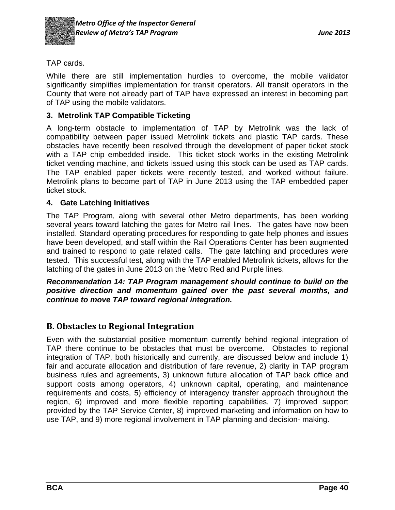

TAP cards.

While there are still implementation hurdles to overcome, the mobile validator significantly simplifies implementation for transit operators. All transit operators in the County that were not already part of TAP have expressed an interest in becoming part of TAP using the mobile validators.

# **3. Metrolink TAP Compatible Ticketing**

A long-term obstacle to implementation of TAP by Metrolink was the lack of compatibility between paper issued Metrolink tickets and plastic TAP cards. These obstacles have recently been resolved through the development of paper ticket stock with a TAP chip embedded inside. This ticket stock works in the existing Metrolink ticket vending machine, and tickets issued using this stock can be used as TAP cards. The TAP enabled paper tickets were recently tested, and worked without failure. Metrolink plans to become part of TAP in June 2013 using the TAP embedded paper ticket stock.

# **4. Gate Latching Initiatives**

The TAP Program, along with several other Metro departments, has been working several years toward latching the gates for Metro rail lines. The gates have now been installed. Standard operating procedures for responding to gate help phones and issues have been developed, and staff within the Rail Operations Center has been augmented and trained to respond to gate related calls. The gate latching and procedures were tested. This successful test, along with the TAP enabled Metrolink tickets, allows for the latching of the gates in June 2013 on the Metro Red and Purple lines.

*Recommendation 14: TAP Program management should continue to build on the positive direction and momentum gained over the past several months, and continue to move TAP toward regional integration.* 

# **B. Obstacles to Regional Integration**

Even with the substantial positive momentum currently behind regional integration of TAP there continue to be obstacles that must be overcome. Obstacles to regional integration of TAP, both historically and currently, are discussed below and include 1) fair and accurate allocation and distribution of fare revenue, 2) clarity in TAP program business rules and agreements, 3) unknown future allocation of TAP back office and support costs among operators, 4) unknown capital, operating, and maintenance requirements and costs, 5) efficiency of interagency transfer approach throughout the region, 6) improved and more flexible reporting capabilities, 7) improved support provided by the TAP Service Center, 8) improved marketing and information on how to use TAP, and 9) more regional involvement in TAP planning and decision- making.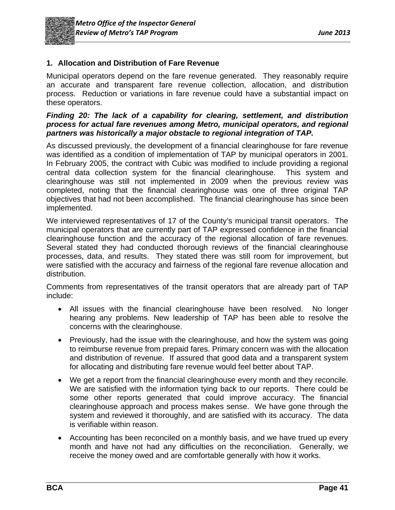

# **1. Allocation and Distribution of Fare Revenue**

Municipal operators depend on the fare revenue generated. They reasonably require an accurate and transparent fare revenue collection, allocation, and distribution process. Reduction or variations in fare revenue could have a substantial impact on these operators.

#### *Finding 20: The lack of a capability for clearing, settlement, and distribution process for actual fare revenues among Metro, municipal operators, and regional partners was historically a major obstacle to regional integration of TAP.*

As discussed previously, the development of a financial clearinghouse for fare revenue was identified as a condition of implementation of TAP by municipal operators in 2001. In February 2005, the contract with Cubic was modified to include providing a regional central data collection system for the financial clearinghouse. This system and clearinghouse was still not implemented in 2009 when the previous review was completed, noting that the financial clearinghouse was one of three original TAP objectives that had not been accomplished. The financial clearinghouse has since been implemented.

We interviewed representatives of 17 of the County's municipal transit operators. The municipal operators that are currently part of TAP expressed confidence in the financial clearinghouse function and the accuracy of the regional allocation of fare revenues. Several stated they had conducted thorough reviews of the financial clearinghouse processes, data, and results. They stated there was still room for improvement, but were satisfied with the accuracy and fairness of the regional fare revenue allocation and distribution.

Comments from representatives of the transit operators that are already part of TAP include:

- All issues with the financial clearinghouse have been resolved. No longer hearing any problems. New leadership of TAP has been able to resolve the concerns with the clearinghouse.
- Previously, had the issue with the clearinghouse, and how the system was going to reimburse revenue from prepaid fares. Primary concern was with the allocation and distribution of revenue. If assured that good data and a transparent system for allocating and distributing fare revenue would feel better about TAP.
- We get a report from the financial clearinghouse every month and they reconcile. We are satisfied with the information tying back to our reports. There could be some other reports generated that could improve accuracy. The financial clearinghouse approach and process makes sense. We have gone through the system and reviewed it thoroughly, and are satisfied with its accuracy. The data is verifiable within reason.
- Accounting has been reconciled on a monthly basis, and we have trued up every month and have not had any difficulties on the reconciliation. Generally, we receive the money owed and are comfortable generally with how it works.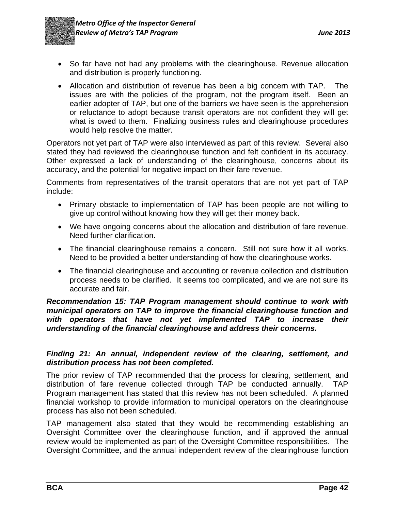

- So far have not had any problems with the clearinghouse. Revenue allocation and distribution is properly functioning.
- Allocation and distribution of revenue has been a big concern with TAP. The issues are with the policies of the program, not the program itself. Been an earlier adopter of TAP, but one of the barriers we have seen is the apprehension or reluctance to adopt because transit operators are not confident they will get what is owed to them. Finalizing business rules and clearinghouse procedures would help resolve the matter.

Operators not yet part of TAP were also interviewed as part of this review. Several also stated they had reviewed the clearinghouse function and felt confident in its accuracy. Other expressed a lack of understanding of the clearinghouse, concerns about its accuracy, and the potential for negative impact on their fare revenue.

Comments from representatives of the transit operators that are not yet part of TAP include:

- Primary obstacle to implementation of TAP has been people are not willing to give up control without knowing how they will get their money back.
- We have ongoing concerns about the allocation and distribution of fare revenue. Need further clarification.
- The financial clearinghouse remains a concern. Still not sure how it all works. Need to be provided a better understanding of how the clearinghouse works.
- The financial clearinghouse and accounting or revenue collection and distribution process needs to be clarified. It seems too complicated, and we are not sure its accurate and fair.

#### *Recommendation 15: TAP Program management should continue to work with municipal operators on TAP to improve the financial clearinghouse function and*  with operators that have not yet implemented TAP to increase their *understanding of the financial clearinghouse and address their concerns.*

#### *Finding 21: An annual, independent review of the clearing, settlement, and distribution process has not been completed.*

The prior review of TAP recommended that the process for clearing, settlement, and distribution of fare revenue collected through TAP be conducted annually. TAP Program management has stated that this review has not been scheduled. A planned financial workshop to provide information to municipal operators on the clearinghouse process has also not been scheduled.

TAP management also stated that they would be recommending establishing an Oversight Committee over the clearinghouse function, and if approved the annual review would be implemented as part of the Oversight Committee responsibilities. The Oversight Committee, and the annual independent review of the clearinghouse function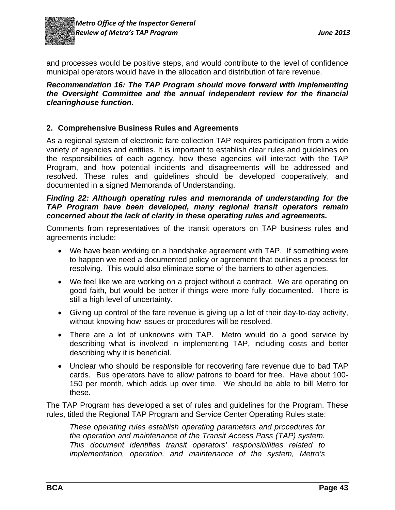

and processes would be positive steps, and would contribute to the level of confidence municipal operators would have in the allocation and distribution of fare revenue.

#### *Recommendation 16: The TAP Program should move forward with implementing the Oversight Committee and the annual independent review for the financial clearinghouse function.*

# **2. Comprehensive Business Rules and Agreements**

As a regional system of electronic fare collection TAP requires participation from a wide variety of agencies and entities. It is important to establish clear rules and guidelines on the responsibilities of each agency, how these agencies will interact with the TAP Program, and how potential incidents and disagreements will be addressed and resolved. These rules and guidelines should be developed cooperatively, and documented in a signed Memoranda of Understanding.

#### *Finding 22: Although operating rules and memoranda of understanding for the TAP Program have been developed, many regional transit operators remain concerned about the lack of clarity in these operating rules and agreements.*

Comments from representatives of the transit operators on TAP business rules and agreements include:

- We have been working on a handshake agreement with TAP. If something were to happen we need a documented policy or agreement that outlines a process for resolving. This would also eliminate some of the barriers to other agencies.
- We feel like we are working on a project without a contract. We are operating on good faith, but would be better if things were more fully documented. There is still a high level of uncertainty.
- Giving up control of the fare revenue is giving up a lot of their day-to-day activity, without knowing how issues or procedures will be resolved.
- There are a lot of unknowns with TAP. Metro would do a good service by describing what is involved in implementing TAP, including costs and better describing why it is beneficial.
- Unclear who should be responsible for recovering fare revenue due to bad TAP cards. Bus operators have to allow patrons to board for free. Have about 100- 150 per month, which adds up over time. We should be able to bill Metro for these.

The TAP Program has developed a set of rules and guidelines for the Program. These rules, titled the Regional TAP Program and Service Center Operating Rules state:

*These operating rules establish operating parameters and procedures for the operation and maintenance of the Transit Access Pass (TAP) system. This document identifies transit operators' responsibilities related to implementation, operation, and maintenance of the system, Metro's*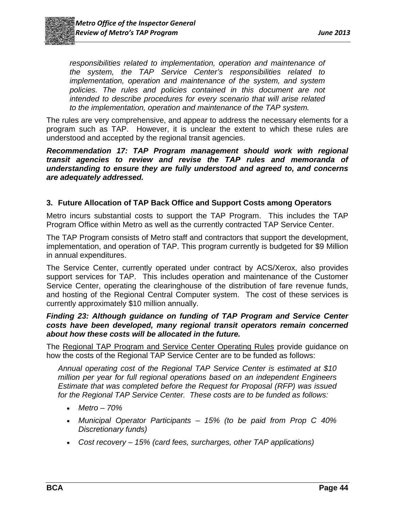

*responsibilities related to implementation, operation and maintenance of the system, the TAP Service Center's responsibilities related to implementation, operation and maintenance of the system, and system policies. The rules and policies contained in this document are not intended to describe procedures for every scenario that will arise related to the implementation, operation and maintenance of the TAP system.* 

The rules are very comprehensive, and appear to address the necessary elements for a program such as TAP. However, it is unclear the extent to which these rules are understood and accepted by the regional transit agencies.

*Recommendation 17: TAP Program management should work with regional transit agencies to review and revise the TAP rules and memoranda of understanding to ensure they are fully understood and agreed to, and concerns are adequately addressed.* 

# **3. Future Allocation of TAP Back Office and Support Costs among Operators**

Metro incurs substantial costs to support the TAP Program. This includes the TAP Program Office within Metro as well as the currently contracted TAP Service Center.

The TAP Program consists of Metro staff and contractors that support the development, implementation, and operation of TAP. This program currently is budgeted for \$9 Million in annual expenditures.

The Service Center, currently operated under contract by ACS/Xerox, also provides support services for TAP. This includes operation and maintenance of the Customer Service Center, operating the clearinghouse of the distribution of fare revenue funds, and hosting of the Regional Central Computer system. The cost of these services is currently approximately \$10 million annually.

#### *Finding 23: Although guidance on funding of TAP Program and Service Center costs have been developed, many regional transit operators remain concerned about how these costs will be allocated in the future.*

The Regional TAP Program and Service Center Operating Rules provide guidance on how the costs of the Regional TAP Service Center are to be funded as follows:

*Annual operating cost of the Regional TAP Service Center is estimated at \$10 million per year for full regional operations based on an independent Engineers Estimate that was completed before the Request for Proposal (RFP) was issued for the Regional TAP Service Center. These costs are to be funded as follows:* 

- *Metro 70%*
- *Municipal Operator Participants 15% (to be paid from Prop C 40% Discretionary funds)*
- *Cost recovery 15% (card fees, surcharges, other TAP applications)*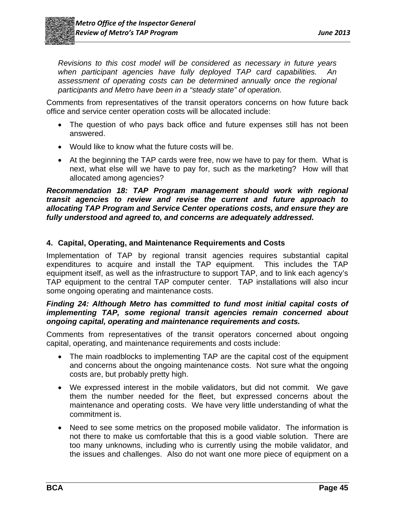

*Revisions to this cost model will be considered as necessary in future years when participant agencies have fully deployed TAP card capabilities. An assessment of operating costs can be determined annually once the regional participants and Metro have been in a "steady state" of operation.* 

Comments from representatives of the transit operators concerns on how future back office and service center operation costs will be allocated include:

- The question of who pays back office and future expenses still has not been answered.
- Would like to know what the future costs will be.
- At the beginning the TAP cards were free, now we have to pay for them. What is next, what else will we have to pay for, such as the marketing? How will that allocated among agencies?

*Recommendation 18: TAP Program management should work with regional transit agencies to review and revise the current and future approach to allocating TAP Program and Service Center operations costs, and ensure they are fully understood and agreed to, and concerns are adequately addressed.* 

#### **4. Capital, Operating, and Maintenance Requirements and Costs**

Implementation of TAP by regional transit agencies requires substantial capital expenditures to acquire and install the TAP equipment. This includes the TAP equipment itself, as well as the infrastructure to support TAP, and to link each agency's TAP equipment to the central TAP computer center. TAP installations will also incur some ongoing operating and maintenance costs.

#### *Finding 24: Although Metro has committed to fund most initial capital costs of implementing TAP, some regional transit agencies remain concerned about ongoing capital, operating and maintenance requirements and costs.*

Comments from representatives of the transit operators concerned about ongoing capital, operating, and maintenance requirements and costs include:

- The main roadblocks to implementing TAP are the capital cost of the equipment and concerns about the ongoing maintenance costs. Not sure what the ongoing costs are, but probably pretty high.
- We expressed interest in the mobile validators, but did not commit. We gave them the number needed for the fleet, but expressed concerns about the maintenance and operating costs. We have very little understanding of what the commitment is.
- Need to see some metrics on the proposed mobile validator. The information is not there to make us comfortable that this is a good viable solution. There are too many unknowns, including who is currently using the mobile validator, and the issues and challenges. Also do not want one more piece of equipment on a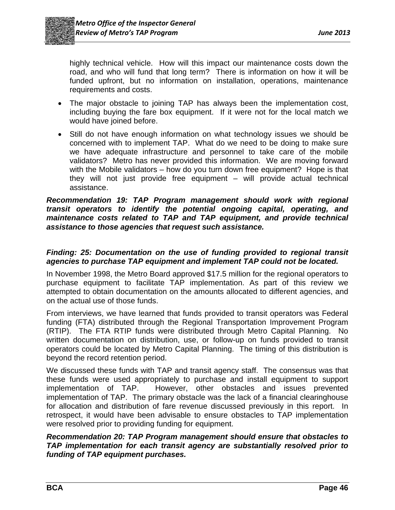

highly technical vehicle. How will this impact our maintenance costs down the road, and who will fund that long term? There is information on how it will be funded upfront, but no information on installation, operations, maintenance requirements and costs.

- The major obstacle to joining TAP has always been the implementation cost, including buying the fare box equipment. If it were not for the local match we would have joined before.
- Still do not have enough information on what technology issues we should be concerned with to implement TAP. What do we need to be doing to make sure we have adequate infrastructure and personnel to take care of the mobile validators? Metro has never provided this information. We are moving forward with the Mobile validators – how do you turn down free equipment? Hope is that they will not just provide free equipment – will provide actual technical assistance.

#### *Recommendation 19: TAP Program management should work with regional transit operators to identify the potential ongoing capital, operating, and maintenance costs related to TAP and TAP equipment, and provide technical assistance to those agencies that request such assistance.*

#### *Finding: 25: Documentation on the use of funding provided to regional transit agencies to purchase TAP equipment and implement TAP could not be located.*

In November 1998, the Metro Board approved \$17.5 million for the regional operators to purchase equipment to facilitate TAP implementation. As part of this review we attempted to obtain documentation on the amounts allocated to different agencies, and on the actual use of those funds.

From interviews, we have learned that funds provided to transit operators was Federal funding (FTA) distributed through the Regional Transportation Improvement Program (RTIP). The FTA RTIP funds were distributed through Metro Capital Planning. No written documentation on distribution, use, or follow-up on funds provided to transit operators could be located by Metro Capital Planning. The timing of this distribution is beyond the record retention period.

We discussed these funds with TAP and transit agency staff. The consensus was that these funds were used appropriately to purchase and install equipment to support implementation of TAP. However, other obstacles and issues prevented implementation of TAP. The primary obstacle was the lack of a financial clearinghouse for allocation and distribution of fare revenue discussed previously in this report. In retrospect, it would have been advisable to ensure obstacles to TAP implementation were resolved prior to providing funding for equipment.

#### *Recommendation 20: TAP Program management should ensure that obstacles to TAP implementation for each transit agency are substantially resolved prior to funding of TAP equipment purchases.*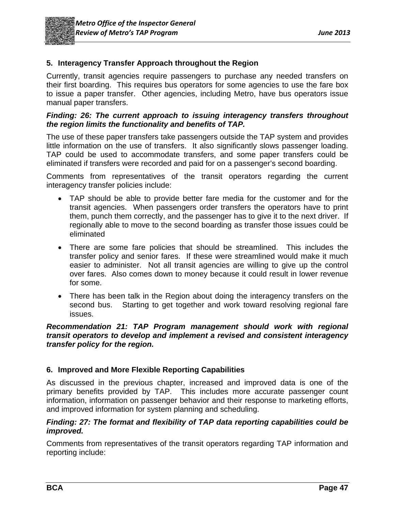

# **5. Interagency Transfer Approach throughout the Region**

Currently, transit agencies require passengers to purchase any needed transfers on their first boarding. This requires bus operators for some agencies to use the fare box to issue a paper transfer. Other agencies, including Metro, have bus operators issue manual paper transfers.

#### *Finding: 26: The current approach to issuing interagency transfers throughout the region limits the functionality and benefits of TAP.*

The use of these paper transfers take passengers outside the TAP system and provides little information on the use of transfers. It also significantly slows passenger loading. TAP could be used to accommodate transfers, and some paper transfers could be eliminated if transfers were recorded and paid for on a passenger's second boarding.

Comments from representatives of the transit operators regarding the current interagency transfer policies include:

- TAP should be able to provide better fare media for the customer and for the transit agencies. When passengers order transfers the operators have to print them, punch them correctly, and the passenger has to give it to the next driver. If regionally able to move to the second boarding as transfer those issues could be eliminated
- There are some fare policies that should be streamlined. This includes the transfer policy and senior fares. If these were streamlined would make it much easier to administer. Not all transit agencies are willing to give up the control over fares. Also comes down to money because it could result in lower revenue for some.
- There has been talk in the Region about doing the interagency transfers on the second bus. Starting to get together and work toward resolving regional fare issues.

#### *Recommendation 21: TAP Program management should work with regional transit operators to develop and implement a revised and consistent interagency transfer policy for the region.*

# **6. Improved and More Flexible Reporting Capabilities**

As discussed in the previous chapter, increased and improved data is one of the primary benefits provided by TAP. This includes more accurate passenger count information, information on passenger behavior and their response to marketing efforts, and improved information for system planning and scheduling.

#### *Finding: 27: The format and flexibility of TAP data reporting capabilities could be improved.*

Comments from representatives of the transit operators regarding TAP information and reporting include: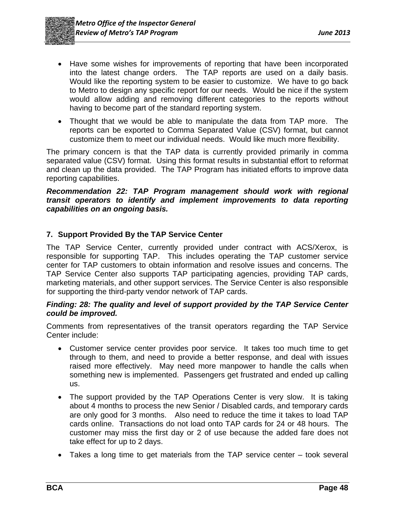- Have some wishes for improvements of reporting that have been incorporated into the latest change orders. The TAP reports are used on a daily basis. Would like the reporting system to be easier to customize. We have to go back to Metro to design any specific report for our needs. Would be nice if the system would allow adding and removing different categories to the reports without having to become part of the standard reporting system.
- Thought that we would be able to manipulate the data from TAP more. The reports can be exported to Comma Separated Value (CSV) format, but cannot customize them to meet our individual needs. Would like much more flexibility.

The primary concern is that the TAP data is currently provided primarily in comma separated value (CSV) format. Using this format results in substantial effort to reformat and clean up the data provided. The TAP Program has initiated efforts to improve data reporting capabilities.

#### *Recommendation 22: TAP Program management should work with regional transit operators to identify and implement improvements to data reporting capabilities on an ongoing basis.*

# **7. Support Provided By the TAP Service Center**

The TAP Service Center, currently provided under contract with ACS/Xerox, is responsible for supporting TAP. This includes operating the TAP customer service center for TAP customers to obtain information and resolve issues and concerns. The TAP Service Center also supports TAP participating agencies, providing TAP cards, marketing materials, and other support services. The Service Center is also responsible for supporting the third-party vendor network of TAP cards.

#### *Finding: 28: The quality and level of support provided by the TAP Service Center could be improved.*

Comments from representatives of the transit operators regarding the TAP Service Center include:

- Customer service center provides poor service. It takes too much time to get through to them, and need to provide a better response, and deal with issues raised more effectively. May need more manpower to handle the calls when something new is implemented. Passengers get frustrated and ended up calling us.
- The support provided by the TAP Operations Center is very slow. It is taking about 4 months to process the new Senior / Disabled cards, and temporary cards are only good for 3 months. Also need to reduce the time it takes to load TAP cards online. Transactions do not load onto TAP cards for 24 or 48 hours. The customer may miss the first day or 2 of use because the added fare does not take effect for up to 2 days.
- Takes a long time to get materials from the TAP service center took several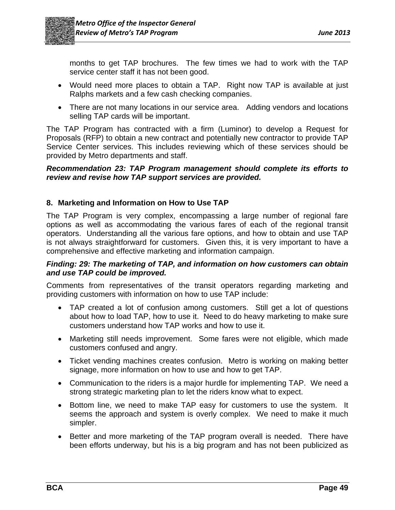

months to get TAP brochures. The few times we had to work with the TAP service center staff it has not been good.

- Would need more places to obtain a TAP. Right now TAP is available at just Ralphs markets and a few cash checking companies.
- There are not many locations in our service area. Adding vendors and locations selling TAP cards will be important.

The TAP Program has contracted with a firm (Luminor) to develop a Request for Proposals (RFP) to obtain a new contract and potentially new contractor to provide TAP Service Center services. This includes reviewing which of these services should be provided by Metro departments and staff.

#### *Recommendation 23: TAP Program management should complete its efforts to review and revise how TAP support services are provided.*

# **8. Marketing and Information on How to Use TAP**

The TAP Program is very complex, encompassing a large number of regional fare options as well as accommodating the various fares of each of the regional transit operators. Understanding all the various fare options, and how to obtain and use TAP is not always straightforward for customers. Given this, it is very important to have a comprehensive and effective marketing and information campaign.

#### *Finding: 29: The marketing of TAP, and information on how customers can obtain and use TAP could be improved.*

Comments from representatives of the transit operators regarding marketing and providing customers with information on how to use TAP include:

- TAP created a lot of confusion among customers. Still get a lot of questions about how to load TAP, how to use it. Need to do heavy marketing to make sure customers understand how TAP works and how to use it.
- Marketing still needs improvement. Some fares were not eligible, which made customers confused and angry.
- Ticket vending machines creates confusion. Metro is working on making better signage, more information on how to use and how to get TAP.
- Communication to the riders is a major hurdle for implementing TAP. We need a strong strategic marketing plan to let the riders know what to expect.
- Bottom line, we need to make TAP easy for customers to use the system. It seems the approach and system is overly complex. We need to make it much simpler.
- Better and more marketing of the TAP program overall is needed. There have been efforts underway, but his is a big program and has not been publicized as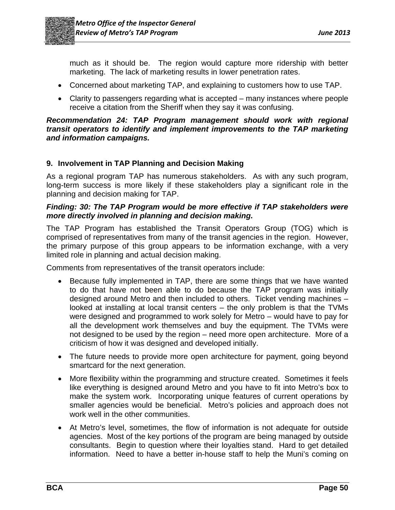

much as it should be. The region would capture more ridership with better marketing. The lack of marketing results in lower penetration rates.

- Concerned about marketing TAP, and explaining to customers how to use TAP.
- Clarity to passengers regarding what is accepted many instances where people receive a citation from the Sheriff when they say it was confusing.

#### *Recommendation 24: TAP Program management should work with regional transit operators to identify and implement improvements to the TAP marketing and information campaigns.*

# **9. Involvement in TAP Planning and Decision Making**

As a regional program TAP has numerous stakeholders. As with any such program, long-term success is more likely if these stakeholders play a significant role in the planning and decision making for TAP.

#### *Finding: 30: The TAP Program would be more effective if TAP stakeholders were more directly involved in planning and decision making.*

The TAP Program has established the Transit Operators Group (TOG) which is comprised of representatives from many of the transit agencies in the region. However, the primary purpose of this group appears to be information exchange, with a very limited role in planning and actual decision making.

Comments from representatives of the transit operators include:

- Because fully implemented in TAP, there are some things that we have wanted to do that have not been able to do because the TAP program was initially designed around Metro and then included to others. Ticket vending machines – looked at installing at local transit centers – the only problem is that the TVMs were designed and programmed to work solely for Metro – would have to pay for all the development work themselves and buy the equipment. The TVMs were not designed to be used by the region – need more open architecture. More of a criticism of how it was designed and developed initially.
- The future needs to provide more open architecture for payment, going beyond smartcard for the next generation.
- More flexibility within the programming and structure created. Sometimes it feels like everything is designed around Metro and you have to fit into Metro's box to make the system work. Incorporating unique features of current operations by smaller agencies would be beneficial. Metro's policies and approach does not work well in the other communities.
- At Metro's level, sometimes, the flow of information is not adequate for outside agencies. Most of the key portions of the program are being managed by outside consultants. Begin to question where their loyalties stand. Hard to get detailed information. Need to have a better in-house staff to help the Muni's coming on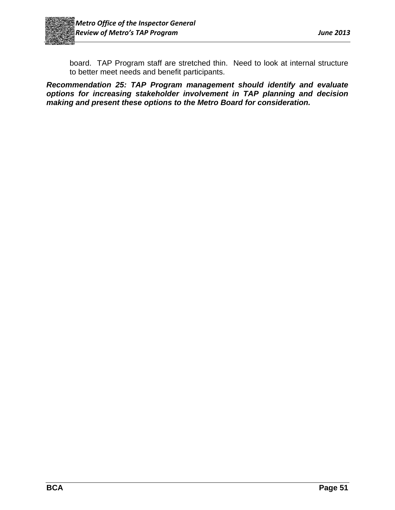

board. TAP Program staff are stretched thin. Need to look at internal structure to better meet needs and benefit participants.

*Recommendation 25: TAP Program management should identify and evaluate options for increasing stakeholder involvement in TAP planning and decision making and present these options to the Metro Board for consideration.*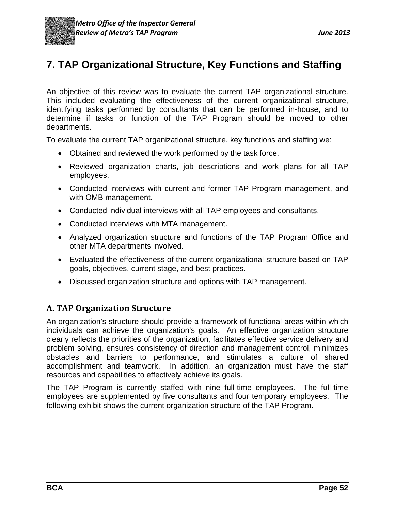# **7. TAP Organizational Structure, Key Functions and Staffing**

An objective of this review was to evaluate the current TAP organizational structure. This included evaluating the effectiveness of the current organizational structure, identifying tasks performed by consultants that can be performed in-house, and to determine if tasks or function of the TAP Program should be moved to other departments.

To evaluate the current TAP organizational structure, key functions and staffing we:

- Obtained and reviewed the work performed by the task force.
- Reviewed organization charts, job descriptions and work plans for all TAP employees.
- Conducted interviews with current and former TAP Program management, and with OMB management.
- Conducted individual interviews with all TAP employees and consultants.
- Conducted interviews with MTA management.
- Analyzed organization structure and functions of the TAP Program Office and other MTA departments involved.
- Evaluated the effectiveness of the current organizational structure based on TAP goals, objectives, current stage, and best practices.
- Discussed organization structure and options with TAP management.

# **A. TAP Organization Structure**

An organization's structure should provide a framework of functional areas within which individuals can achieve the organization's goals. An effective organization structure clearly reflects the priorities of the organization, facilitates effective service delivery and problem solving, ensures consistency of direction and management control, minimizes obstacles and barriers to performance, and stimulates a culture of shared accomplishment and teamwork. In addition, an organization must have the staff resources and capabilities to effectively achieve its goals.

The TAP Program is currently staffed with nine full-time employees. The full-time employees are supplemented by five consultants and four temporary employees. The following exhibit shows the current organization structure of the TAP Program.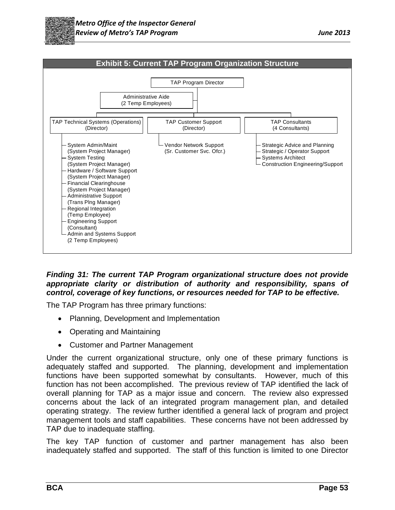



#### *Finding 31: The current TAP Program organizational structure does not provide appropriate clarity or distribution of authority and responsibility, spans of control, coverage of key functions, or resources needed for TAP to be effective.*

The TAP Program has three primary functions:

- Planning, Development and Implementation
- Operating and Maintaining
- Customer and Partner Management

Under the current organizational structure, only one of these primary functions is adequately staffed and supported. The planning, development and implementation functions have been supported somewhat by consultants. However, much of this function has not been accomplished. The previous review of TAP identified the lack of overall planning for TAP as a major issue and concern. The review also expressed concerns about the lack of an integrated program management plan, and detailed operating strategy. The review further identified a general lack of program and project management tools and staff capabilities. These concerns have not been addressed by TAP due to inadequate staffing.

The key TAP function of customer and partner management has also been inadequately staffed and supported. The staff of this function is limited to one Director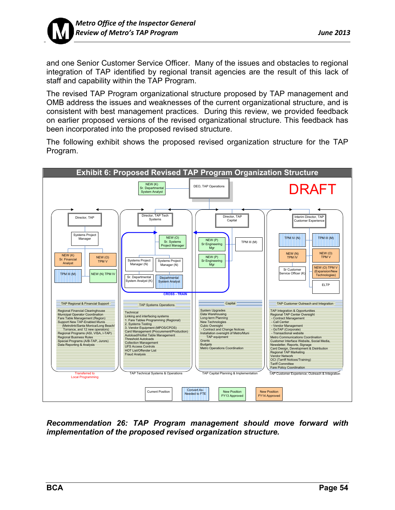

and one Senior Customer Service Officer. Many of the issues and obstacles to regional integration of TAP identified by regional transit agencies are the result of this lack of staff and capability within the TAP Program.

The revised TAP Program organizational structure proposed by TAP management and OMB address the issues and weaknesses of the current organizational structure, and is consistent with best management practices. During this review, we provided feedback on earlier proposed versions of the revised organizational structure. This feedback has been incorporated into the proposed revised structure.

The following exhibit shows the proposed revised organization structure for the TAP Program.



*Recommendation 26: TAP Program management should move forward with implementation of the proposed revised organization structure.*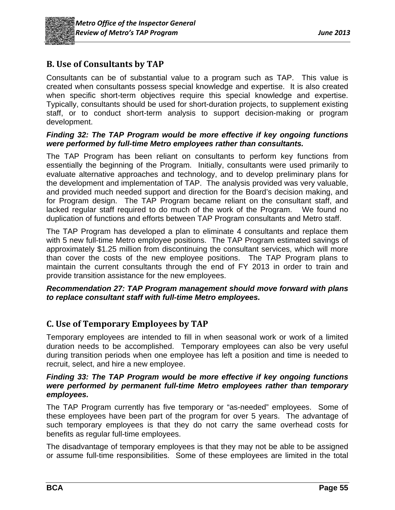

# **B. Use of Consultants by TAP**

Consultants can be of substantial value to a program such as TAP. This value is created when consultants possess special knowledge and expertise. It is also created when specific short-term objectives require this special knowledge and expertise. Typically, consultants should be used for short-duration projects, to supplement existing staff, or to conduct short-term analysis to support decision-making or program development.

#### *Finding 32: The TAP Program would be more effective if key ongoing functions were performed by full-time Metro employees rather than consultants.*

The TAP Program has been reliant on consultants to perform key functions from essentially the beginning of the Program. Initially, consultants were used primarily to evaluate alternative approaches and technology, and to develop preliminary plans for the development and implementation of TAP. The analysis provided was very valuable, and provided much needed support and direction for the Board's decision making, and for Program design. The TAP Program became reliant on the consultant staff, and lacked regular staff required to do much of the work of the Program. We found no duplication of functions and efforts between TAP Program consultants and Metro staff.

The TAP Program has developed a plan to eliminate 4 consultants and replace them with 5 new full-time Metro employee positions. The TAP Program estimated savings of approximately \$1.25 million from discontinuing the consultant services, which will more than cover the costs of the new employee positions. The TAP Program plans to maintain the current consultants through the end of FY 2013 in order to train and provide transition assistance for the new employees.

#### *Recommendation 27: TAP Program management should move forward with plans to replace consultant staff with full-time Metro employees.*

# **C. Use of Temporary Employees by TAP**

Temporary employees are intended to fill in when seasonal work or work of a limited duration needs to be accomplished. Temporary employees can also be very useful during transition periods when one employee has left a position and time is needed to recruit, select, and hire a new employee.

#### *Finding 33: The TAP Program would be more effective if key ongoing functions were performed by permanent full-time Metro employees rather than temporary employees.*

The TAP Program currently has five temporary or "as-needed" employees. Some of these employees have been part of the program for over 5 years. The advantage of such temporary employees is that they do not carry the same overhead costs for benefits as regular full-time employees.

The disadvantage of temporary employees is that they may not be able to be assigned or assume full-time responsibilities. Some of these employees are limited in the total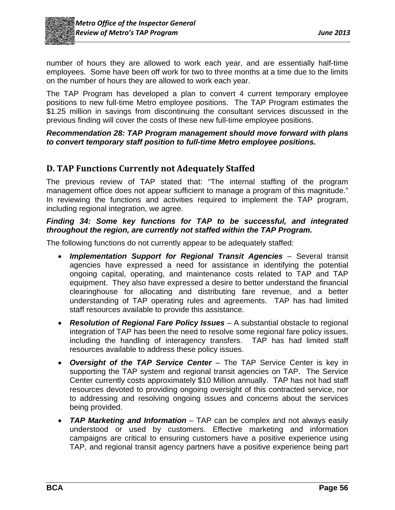

number of hours they are allowed to work each year, and are essentially half-time employees. Some have been off work for two to three months at a time due to the limits on the number of hours they are allowed to work each year.

The TAP Program has developed a plan to convert 4 current temporary employee positions to new full-time Metro employee positions. The TAP Program estimates the \$1.25 million in savings from discontinuing the consultant services discussed in the previous finding will cover the costs of these new full-time employee positions.

#### *Recommendation 28: TAP Program management should move forward with plans to convert temporary staff position to full-time Metro employee positions.*

# **D. TAP Functions Currently not Adequately Staffed**

The previous review of TAP stated that: "The internal staffing of the program management office does not appear sufficient to manage a program of this magnitude." In reviewing the functions and activities required to implement the TAP program, including regional integration, we agree.

#### *Finding 34: Some key functions for TAP to be successful, and integrated throughout the region, are currently not staffed within the TAP Program.*

The following functions do not currently appear to be adequately staffed:

- *Implementation Support for Regional Transit Agencies* Several transit agencies have expressed a need for assistance in identifying the potential ongoing capital, operating, and maintenance costs related to TAP and TAP equipment. They also have expressed a desire to better understand the financial clearinghouse for allocating and distributing fare revenue, and a better understanding of TAP operating rules and agreements. TAP has had limited staff resources available to provide this assistance.
- *Resolution of Regional Fare Policy Issues* A substantial obstacle to regional integration of TAP has been the need to resolve some regional fare policy issues, including the handling of interagency transfers. TAP has had limited staff resources available to address these policy issues.
- *Oversight of the TAP Service Center* The TAP Service Center is key in supporting the TAP system and regional transit agencies on TAP. The Service Center currently costs approximately \$10 Million annually. TAP has not had staff resources devoted to providing ongoing oversight of this contracted service, nor to addressing and resolving ongoing issues and concerns about the services being provided.
- *TAP Marketing and Information* TAP can be complex and not always easily understood or used by customers. Effective marketing and information campaigns are critical to ensuring customers have a positive experience using TAP, and regional transit agency partners have a positive experience being part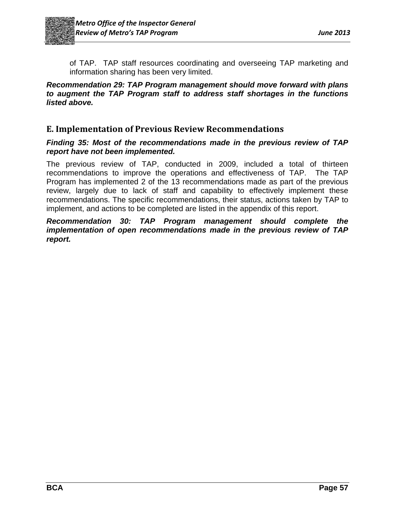

of TAP. TAP staff resources coordinating and overseeing TAP marketing and information sharing has been very limited.

*Recommendation 29: TAP Program management should move forward with plans to augment the TAP Program staff to address staff shortages in the functions listed above.* 

# **E. Implementation of Previous Review Recommendations**

#### *Finding 35: Most of the recommendations made in the previous review of TAP report have not been implemented.*

The previous review of TAP, conducted in 2009, included a total of thirteen recommendations to improve the operations and effectiveness of TAP. The TAP Program has implemented 2 of the 13 recommendations made as part of the previous review, largely due to lack of staff and capability to effectively implement these recommendations. The specific recommendations, their status, actions taken by TAP to implement, and actions to be completed are listed in the appendix of this report.

*Recommendation 30: TAP Program management should complete the implementation of open recommendations made in the previous review of TAP report.*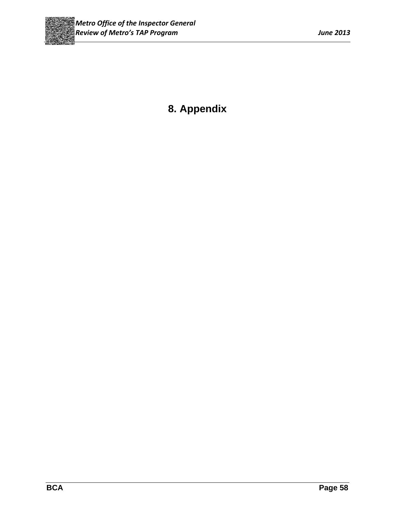

# **8. Appendix**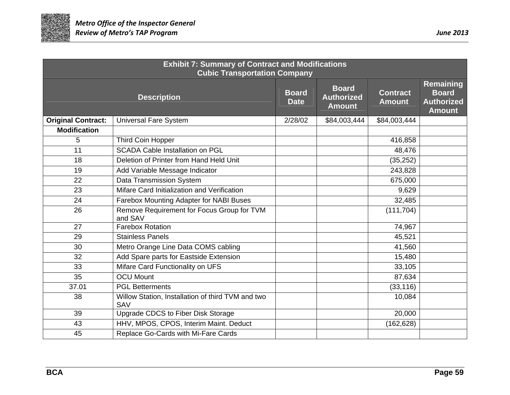

| <b>Exhibit 7: Summary of Contract and Modifications</b><br><b>Cubic Transportation Company</b> |                                                          |                             |                                                    |                                  |                                                                 |
|------------------------------------------------------------------------------------------------|----------------------------------------------------------|-----------------------------|----------------------------------------------------|----------------------------------|-----------------------------------------------------------------|
|                                                                                                | <b>Description</b>                                       | <b>Board</b><br><b>Date</b> | <b>Board</b><br><b>Authorized</b><br><b>Amount</b> | <b>Contract</b><br><b>Amount</b> | Remaining<br><b>Board</b><br><b>Authorized</b><br><b>Amount</b> |
| <b>Original Contract:</b>                                                                      | <b>Universal Fare System</b>                             | 2/28/02                     | \$84,003,444                                       | \$84,003,444                     |                                                                 |
| <b>Modification</b>                                                                            |                                                          |                             |                                                    |                                  |                                                                 |
| 5                                                                                              | Third Coin Hopper                                        |                             |                                                    | 416,858                          |                                                                 |
| 11                                                                                             | <b>SCADA Cable Installation on PGL</b>                   |                             |                                                    | 48,476                           |                                                                 |
| 18                                                                                             | Deletion of Printer from Hand Held Unit                  |                             |                                                    | (35, 252)                        |                                                                 |
| 19                                                                                             | Add Variable Message Indicator                           |                             |                                                    | 243,828                          |                                                                 |
| 22                                                                                             | Data Transmission System                                 |                             |                                                    | 675,000                          |                                                                 |
| 23                                                                                             | Mifare Card Initialization and Verification              |                             |                                                    | 9,629                            |                                                                 |
| 24                                                                                             | Farebox Mounting Adapter for NABI Buses                  |                             |                                                    | 32,485                           |                                                                 |
| 26                                                                                             | Remove Requirement for Focus Group for TVM<br>and SAV    |                             |                                                    | (111, 704)                       |                                                                 |
| 27                                                                                             | <b>Farebox Rotation</b>                                  |                             |                                                    | 74,967                           |                                                                 |
| 29                                                                                             | <b>Stainless Panels</b>                                  |                             |                                                    | 45,521                           |                                                                 |
| 30                                                                                             | Metro Orange Line Data COMS cabling                      |                             |                                                    | 41,560                           |                                                                 |
| 32                                                                                             | Add Spare parts for Eastside Extension                   |                             |                                                    | 15,480                           |                                                                 |
| 33                                                                                             | Mifare Card Functionality on UFS                         |                             |                                                    | 33,105                           |                                                                 |
| 35                                                                                             | <b>OCU Mount</b>                                         |                             |                                                    | 87,634                           |                                                                 |
| 37.01                                                                                          | <b>PGL Betterments</b>                                   |                             |                                                    | (33, 116)                        |                                                                 |
| 38                                                                                             | Willow Station, Installation of third TVM and two<br>SAV |                             |                                                    | 10,084                           |                                                                 |
| 39                                                                                             | Upgrade CDCS to Fiber Disk Storage                       |                             |                                                    | 20,000                           |                                                                 |
| 43                                                                                             | HHV, MPOS, CPOS, Interim Maint. Deduct                   |                             |                                                    | (162, 628)                       |                                                                 |
| 45                                                                                             | Replace Go-Cards with Mi-Fare Cards                      |                             |                                                    |                                  |                                                                 |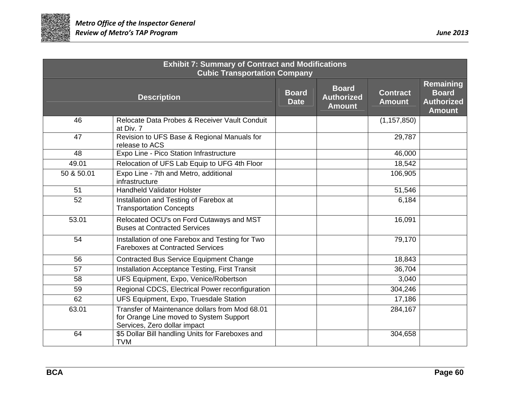

| <b>Exhibit 7: Summary of Contract and Modifications</b><br><b>Cubic Transportation Company</b> |                                                                                                                           |                             |                                                    |                                  |                                                                        |
|------------------------------------------------------------------------------------------------|---------------------------------------------------------------------------------------------------------------------------|-----------------------------|----------------------------------------------------|----------------------------------|------------------------------------------------------------------------|
|                                                                                                | <b>Description</b>                                                                                                        | <b>Board</b><br><b>Date</b> | <b>Board</b><br><b>Authorized</b><br><b>Amount</b> | <b>Contract</b><br><b>Amount</b> | <b>Remaining</b><br><b>Board</b><br><b>Authorized</b><br><b>Amount</b> |
| 46                                                                                             | Relocate Data Probes & Receiver Vault Conduit<br>at Div. 7                                                                |                             |                                                    | (1, 157, 850)                    |                                                                        |
| 47                                                                                             | Revision to UFS Base & Regional Manuals for<br>release to ACS                                                             |                             |                                                    | 29,787                           |                                                                        |
| 48                                                                                             | Expo Line - Pico Station Infrastructure                                                                                   |                             |                                                    | 46,000                           |                                                                        |
| 49.01                                                                                          | Relocation of UFS Lab Equip to UFG 4th Floor                                                                              |                             |                                                    | 18,542                           |                                                                        |
| 50 & 50.01                                                                                     | Expo Line - 7th and Metro, additional<br>infrastructure                                                                   |                             |                                                    | 106,905                          |                                                                        |
| 51                                                                                             | <b>Handheld Validator Holster</b>                                                                                         |                             |                                                    | 51,546                           |                                                                        |
| 52                                                                                             | Installation and Testing of Farebox at<br><b>Transportation Concepts</b>                                                  |                             |                                                    | 6,184                            |                                                                        |
| 53.01                                                                                          | Relocated OCU's on Ford Cutaways and MST<br><b>Buses at Contracted Services</b>                                           |                             |                                                    | 16,091                           |                                                                        |
| 54                                                                                             | Installation of one Farebox and Testing for Two<br><b>Fareboxes at Contracted Services</b>                                |                             |                                                    | 79,170                           |                                                                        |
| 56                                                                                             | <b>Contracted Bus Service Equipment Change</b>                                                                            |                             |                                                    | 18,843                           |                                                                        |
| 57                                                                                             | <b>Installation Acceptance Testing, First Transit</b>                                                                     |                             |                                                    | 36,704                           |                                                                        |
| 58                                                                                             | UFS Equipment, Expo, Venice/Robertson                                                                                     |                             |                                                    | 3,040                            |                                                                        |
| 59                                                                                             | Regional CDCS, Electrical Power reconfiguration                                                                           |                             |                                                    | 304,246                          |                                                                        |
| 62                                                                                             | UFS Equipment, Expo, Truesdale Station                                                                                    |                             |                                                    | 17,186                           |                                                                        |
| 63.01                                                                                          | Transfer of Maintenance dollars from Mod 68.01<br>for Orange Line moved to System Support<br>Services, Zero dollar impact |                             |                                                    | 284,167                          |                                                                        |
| 64                                                                                             | \$5 Dollar Bill handling Units for Fareboxes and<br><b>TVM</b>                                                            |                             |                                                    | 304,658                          |                                                                        |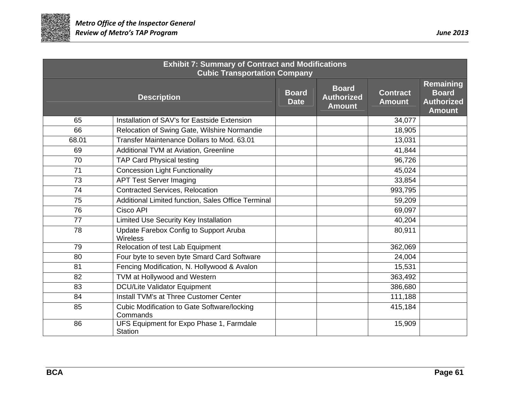

| <b>Exhibit 7: Summary of Contract and Modifications</b><br><b>Cubic Transportation Company</b> |                                                                |                             |                                                    |                                  |                                                                 |
|------------------------------------------------------------------------------------------------|----------------------------------------------------------------|-----------------------------|----------------------------------------------------|----------------------------------|-----------------------------------------------------------------|
|                                                                                                | <b>Description</b>                                             | <b>Board</b><br><b>Date</b> | <b>Board</b><br><b>Authorized</b><br><b>Amount</b> | <b>Contract</b><br><b>Amount</b> | Remaining<br><b>Board</b><br><b>Authorized</b><br><b>Amount</b> |
| 65                                                                                             | Installation of SAV's for Eastside Extension                   |                             |                                                    | 34,077                           |                                                                 |
| 66                                                                                             | Relocation of Swing Gate, Wilshire Normandie                   |                             |                                                    | 18,905                           |                                                                 |
| 68.01                                                                                          | Transfer Maintenance Dollars to Mod. 63.01                     |                             |                                                    | 13,031                           |                                                                 |
| 69                                                                                             | Additional TVM at Aviation, Greenline                          |                             |                                                    | 41,844                           |                                                                 |
| 70                                                                                             | <b>TAP Card Physical testing</b>                               |                             |                                                    | 96,726                           |                                                                 |
| 71                                                                                             | <b>Concession Light Functionality</b>                          |                             |                                                    | 45,024                           |                                                                 |
| 73                                                                                             | <b>APT Test Server Imaging</b>                                 |                             |                                                    | 33,854                           |                                                                 |
| 74                                                                                             | <b>Contracted Services, Relocation</b>                         |                             |                                                    | 993,795                          |                                                                 |
| 75                                                                                             | Additional Limited function, Sales Office Terminal             |                             |                                                    | 59,209                           |                                                                 |
| 76                                                                                             | Cisco API                                                      |                             |                                                    | 69,097                           |                                                                 |
| $\overline{77}$                                                                                | Limited Use Security Key Installation                          |                             |                                                    | 40,204                           |                                                                 |
| 78                                                                                             | Update Farebox Config to Support Aruba<br><b>Wireless</b>      |                             |                                                    | 80,911                           |                                                                 |
| 79                                                                                             | Relocation of test Lab Equipment                               |                             |                                                    | 362,069                          |                                                                 |
| 80                                                                                             | Four byte to seven byte Smard Card Software                    |                             |                                                    | 24,004                           |                                                                 |
| 81                                                                                             | Fencing Modification, N. Hollywood & Avalon                    |                             |                                                    | 15,531                           |                                                                 |
| 82                                                                                             | TVM at Hollywood and Western                                   |                             |                                                    | 363,492                          |                                                                 |
| 83                                                                                             | <b>DCU/Lite Validator Equipment</b>                            |                             |                                                    | 386,680                          |                                                                 |
| 84                                                                                             | <b>Install TVM's at Three Customer Center</b>                  |                             |                                                    | 111,188                          |                                                                 |
| 85                                                                                             | <b>Cubic Modification to Gate Software/locking</b><br>Commands |                             |                                                    | 415,184                          |                                                                 |
| 86                                                                                             | UFS Equipment for Expo Phase 1, Farmdale<br><b>Station</b>     |                             |                                                    | 15,909                           |                                                                 |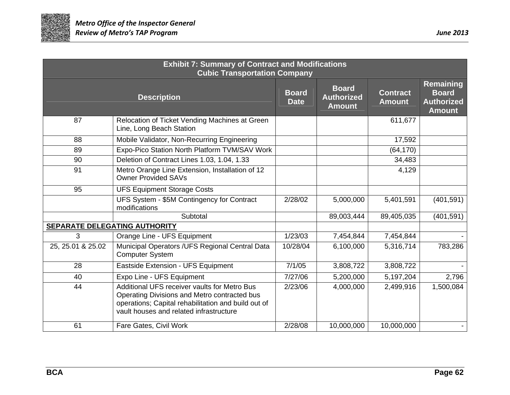

| <b>Exhibit 7: Summary of Contract and Modifications</b><br><b>Cubic Transportation Company</b> |                                                                                                                                                                                                |                             |                                                    |                                  |                                                                        |  |
|------------------------------------------------------------------------------------------------|------------------------------------------------------------------------------------------------------------------------------------------------------------------------------------------------|-----------------------------|----------------------------------------------------|----------------------------------|------------------------------------------------------------------------|--|
|                                                                                                | <b>Description</b>                                                                                                                                                                             | <b>Board</b><br><b>Date</b> | <b>Board</b><br><b>Authorized</b><br><b>Amount</b> | <b>Contract</b><br><b>Amount</b> | <b>Remaining</b><br><b>Board</b><br><b>Authorized</b><br><b>Amount</b> |  |
| 87                                                                                             | Relocation of Ticket Vending Machines at Green<br>Line, Long Beach Station                                                                                                                     |                             |                                                    | 611,677                          |                                                                        |  |
| 88                                                                                             | Mobile Validator, Non-Recurring Engineering                                                                                                                                                    |                             |                                                    | 17,592                           |                                                                        |  |
| 89                                                                                             | Expo-Pico Station North Platform TVM/SAV Work                                                                                                                                                  |                             |                                                    | (64, 170)                        |                                                                        |  |
| 90                                                                                             | Deletion of Contract Lines 1.03, 1.04, 1.33                                                                                                                                                    |                             |                                                    | 34,483                           |                                                                        |  |
| 91                                                                                             | Metro Orange Line Extension, Installation of 12<br><b>Owner Provided SAVs</b>                                                                                                                  |                             |                                                    | 4,129                            |                                                                        |  |
| 95                                                                                             | <b>UFS Equipment Storage Costs</b>                                                                                                                                                             |                             |                                                    |                                  |                                                                        |  |
|                                                                                                | UFS System - \$5M Contingency for Contract<br>modifications                                                                                                                                    | 2/28/02                     | 5,000,000                                          | 5,401,591                        | (401, 591)                                                             |  |
|                                                                                                | Subtotal                                                                                                                                                                                       |                             | 89,003,444                                         | 89,405,035                       | (401, 591)                                                             |  |
| SEPARATE DELEGATING AUTHORITY                                                                  |                                                                                                                                                                                                |                             |                                                    |                                  |                                                                        |  |
| 3                                                                                              | Orange Line - UFS Equipment                                                                                                                                                                    | 1/23/03                     | 7,454,844                                          | 7,454,844                        |                                                                        |  |
| 25, 25.01 & 25.02                                                                              | Municipal Operators /UFS Regional Central Data<br><b>Computer System</b>                                                                                                                       | 10/28/04                    | 6,100,000                                          | 5,316,714                        | 783,286                                                                |  |
| 28                                                                                             | Eastside Extension - UFS Equipment                                                                                                                                                             | 7/1/05                      | 3,808,722                                          | 3,808,722                        |                                                                        |  |
| 40                                                                                             | Expo Line - UFS Equipment                                                                                                                                                                      | 7/27/06                     | 5,200,000                                          | 5,197,204                        | 2,796                                                                  |  |
| 44                                                                                             | Additional UFS receiver vaults for Metro Bus<br>Operating Divisions and Metro contracted bus<br>operations; Capital rehabilitation and build out of<br>vault houses and related infrastructure | 2/23/06                     | 4,000,000                                          | 2,499,916                        | 1,500,084                                                              |  |
| 61                                                                                             | Fare Gates, Civil Work                                                                                                                                                                         | 2/28/08                     | 10,000,000                                         | 10,000,000                       |                                                                        |  |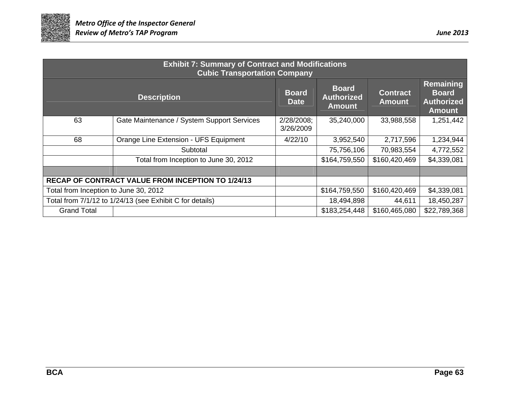

| <b>Exhibit 7: Summary of Contract and Modifications</b><br><b>Cubic Transportation Company</b> |                                                          |                             |                                                    |                                  |                                                                 |  |  |
|------------------------------------------------------------------------------------------------|----------------------------------------------------------|-----------------------------|----------------------------------------------------|----------------------------------|-----------------------------------------------------------------|--|--|
| <b>Description</b>                                                                             |                                                          | <b>Board</b><br><b>Date</b> | <b>Board</b><br><b>Authorized</b><br><b>Amount</b> | <b>Contract</b><br><b>Amount</b> | Remaining<br><b>Board</b><br><b>Authorized</b><br><b>Amount</b> |  |  |
| 63                                                                                             | Gate Maintenance / System Support Services               | 2/28/2008;<br>3/26/2009     | 35,240,000                                         | 33,988,558                       | 1,251,442                                                       |  |  |
| 68                                                                                             | Orange Line Extension - UFS Equipment                    | 4/22/10                     | 3,952,540                                          | 2,717,596                        | 1,234,944                                                       |  |  |
|                                                                                                | Subtotal                                                 |                             | 75,756,106                                         | 70,983,554                       | 4,772,552                                                       |  |  |
|                                                                                                | Total from Inception to June 30, 2012                    |                             | \$164,759,550                                      | \$160,420,469                    | \$4,339,081                                                     |  |  |
|                                                                                                |                                                          |                             |                                                    |                                  |                                                                 |  |  |
|                                                                                                | RECAP OF CONTRACT VALUE FROM INCEPTION TO 1/24/13        |                             |                                                    |                                  |                                                                 |  |  |
| Total from Inception to June 30, 2012                                                          |                                                          |                             | \$164,759,550                                      | \$160,420,469                    | \$4,339,081                                                     |  |  |
|                                                                                                | Total from 7/1/12 to 1/24/13 (see Exhibit C for details) |                             | 18,494,898                                         | 44,611                           | 18,450,287                                                      |  |  |
| <b>Grand Total</b>                                                                             |                                                          |                             | \$183,254,448                                      | \$160,465,080                    | \$22,789,368                                                    |  |  |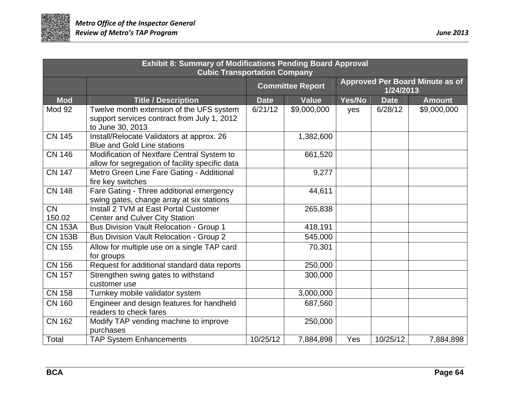

| <b>Exhibit 8: Summary of Modifications Pending Board Approval</b><br><b>Cubic Transportation Company</b> |                                                                                                             |             |                         |        |             |                                        |  |
|----------------------------------------------------------------------------------------------------------|-------------------------------------------------------------------------------------------------------------|-------------|-------------------------|--------|-------------|----------------------------------------|--|
|                                                                                                          |                                                                                                             |             | <b>Committee Report</b> |        | 1/24/2013   | <b>Approved Per Board Minute as of</b> |  |
| <b>Mod</b>                                                                                               | <b>Title / Description</b>                                                                                  | <b>Date</b> | <b>Value</b>            | Yes/No | <b>Date</b> | <b>Amount</b>                          |  |
| Mod 92                                                                                                   | Twelve month extension of the UFS system<br>support services contract from July 1, 2012<br>to June 30, 2013 | 6/21/12     | \$9,000,000             | yes    | 6/28/12     | \$9,000,000                            |  |
| <b>CN 145</b>                                                                                            | Install/Relocate Validators at approx. 26<br><b>Blue and Gold Line stations</b>                             |             | 1,382,600               |        |             |                                        |  |
| <b>CN 146</b>                                                                                            | Modification of Nextfare Central System to<br>allow for segregation of facility specific data               |             | 661,520                 |        |             |                                        |  |
| $\overline{CN}$ 147                                                                                      | Metro Green Line Fare Gating - Additional<br>fire key switches                                              |             | 9,277                   |        |             |                                        |  |
| <b>CN 148</b>                                                                                            | Fare Gating - Three additional emergency<br>swing gates, change array at six stations                       |             | 44,611                  |        |             |                                        |  |
| <b>CN</b>                                                                                                | Install 2 TVM at East Portal Customer                                                                       |             | 265,838                 |        |             |                                        |  |
| 150.02                                                                                                   | Center and Culver City Station                                                                              |             |                         |        |             |                                        |  |
| <b>CN 153A</b>                                                                                           | <b>Bus Division Vault Relocation - Group 1</b>                                                              |             | 418,191                 |        |             |                                        |  |
| <b>CN 153B</b>                                                                                           | <b>Bus Division Vault Relocation - Group 2</b>                                                              |             | 545,000                 |        |             |                                        |  |
| <b>CN 155</b>                                                                                            | Allow for multiple use on a single TAP card<br>for groups                                                   |             | 70,301                  |        |             |                                        |  |
| <b>CN 156</b>                                                                                            | Request for additional standard data reports                                                                |             | 250,000                 |        |             |                                        |  |
| <b>CN 157</b>                                                                                            | Strengthen swing gates to withstand<br>customer use                                                         |             | 300,000                 |        |             |                                        |  |
| <b>CN 158</b>                                                                                            | Turnkey mobile validator system                                                                             |             | 3,000,000               |        |             |                                        |  |
| <b>CN 160</b>                                                                                            | Engineer and design features for handheld<br>readers to check fares                                         |             | 687,560                 |        |             |                                        |  |
| <b>CN 162</b>                                                                                            | Modify TAP vending machine to improve<br>purchases                                                          |             | 250,000                 |        |             |                                        |  |
| Total                                                                                                    | <b>TAP System Enhancements</b>                                                                              | 10/25/12    | 7,884,898               | Yes    | 10/25/12    | 7,884,898                              |  |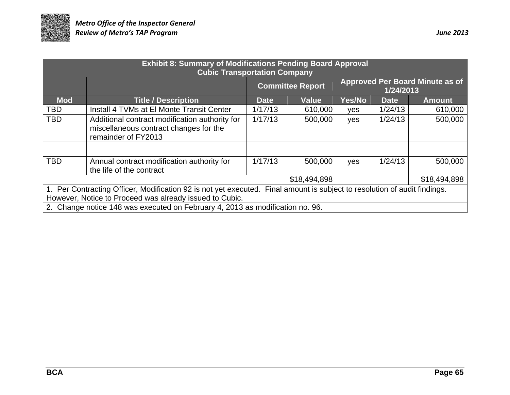

| <b>Exhibit 8: Summary of Modifications Pending Board Approval</b><br><b>Cubic Transportation Company</b>                                                                                                                                                              |                                                                                                                 |             |                                                                                |        |             |               |  |
|-----------------------------------------------------------------------------------------------------------------------------------------------------------------------------------------------------------------------------------------------------------------------|-----------------------------------------------------------------------------------------------------------------|-------------|--------------------------------------------------------------------------------|--------|-------------|---------------|--|
|                                                                                                                                                                                                                                                                       |                                                                                                                 |             | <b>Approved Per Board Minute as of</b><br><b>Committee Report</b><br>1/24/2013 |        |             |               |  |
| <b>Mod</b>                                                                                                                                                                                                                                                            | <b>Title / Description</b>                                                                                      | <b>Date</b> | <b>Value</b>                                                                   | Yes/No | <b>Date</b> | <b>Amount</b> |  |
| TBD                                                                                                                                                                                                                                                                   | Install 4 TVMs at El Monte Transit Center                                                                       | 1/17/13     | 610,000                                                                        | yes    | 1/24/13     | 610,000       |  |
| <b>TBD</b>                                                                                                                                                                                                                                                            | Additional contract modification authority for<br>miscellaneous contract changes for the<br>remainder of FY2013 | 1/17/13     | 500,000                                                                        | yes    | 1/24/13     | 500,000       |  |
|                                                                                                                                                                                                                                                                       |                                                                                                                 |             |                                                                                |        |             |               |  |
| <b>TBD</b>                                                                                                                                                                                                                                                            | Annual contract modification authority for<br>the life of the contract                                          | 1/17/13     | 500,000                                                                        | yes    | 1/24/13     | 500,000       |  |
|                                                                                                                                                                                                                                                                       |                                                                                                                 |             | \$18,494,898                                                                   |        |             | \$18,494,898  |  |
| 1. Per Contracting Officer, Modification 92 is not yet executed. Final amount is subject to resolution of audit findings.<br>However, Notice to Proceed was already issued to Cubic.<br>2. Change notice 148 was executed on February 4, 2013 as modification no. 96. |                                                                                                                 |             |                                                                                |        |             |               |  |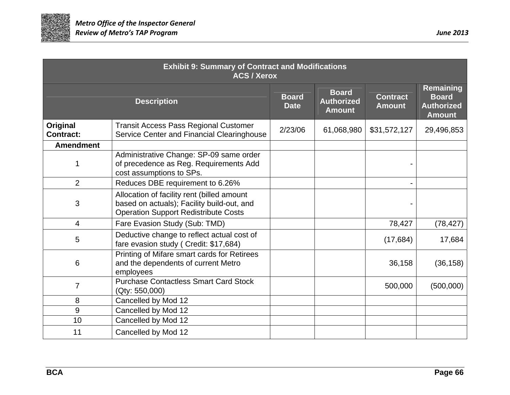

| <b>Exhibit 9: Summary of Contract and Modifications</b><br><b>ACS / Xerox</b> |                                                                                                                                         |                             |                                                    |                                  |                                                                        |  |
|-------------------------------------------------------------------------------|-----------------------------------------------------------------------------------------------------------------------------------------|-----------------------------|----------------------------------------------------|----------------------------------|------------------------------------------------------------------------|--|
|                                                                               | <b>Description</b>                                                                                                                      | <b>Board</b><br><b>Date</b> | <b>Board</b><br><b>Authorized</b><br><b>Amount</b> | <b>Contract</b><br><b>Amount</b> | <b>Remaining</b><br><b>Board</b><br><b>Authorized</b><br><b>Amount</b> |  |
| Original<br><b>Contract:</b>                                                  | <b>Transit Access Pass Regional Customer</b><br>Service Center and Financial Clearinghouse                                              | 2/23/06                     | 61,068,980                                         | \$31,572,127                     | 29,496,853                                                             |  |
| <b>Amendment</b>                                                              |                                                                                                                                         |                             |                                                    |                                  |                                                                        |  |
| 1                                                                             | Administrative Change: SP-09 same order<br>of precedence as Reg. Requirements Add<br>cost assumptions to SPs.                           |                             |                                                    |                                  |                                                                        |  |
| $\overline{2}$                                                                | Reduces DBE requirement to 6.26%                                                                                                        |                             |                                                    |                                  |                                                                        |  |
| 3                                                                             | Allocation of facility rent (billed amount<br>based on actuals); Facility build-out, and<br><b>Operation Support Redistribute Costs</b> |                             |                                                    |                                  |                                                                        |  |
| $\overline{4}$                                                                | Fare Evasion Study (Sub: TMD)                                                                                                           |                             |                                                    | 78,427                           | (78, 427)                                                              |  |
| 5                                                                             | Deductive change to reflect actual cost of<br>fare evasion study (Credit: \$17,684)                                                     |                             |                                                    | (17, 684)                        | 17,684                                                                 |  |
| 6                                                                             | Printing of Mifare smart cards for Retirees<br>and the dependents of current Metro<br>employees                                         |                             |                                                    | 36,158                           | (36, 158)                                                              |  |
| $\overline{7}$                                                                | <b>Purchase Contactless Smart Card Stock</b><br>(Qty: 550,000)                                                                          |                             |                                                    | 500,000                          | (500,000)                                                              |  |
| 8                                                                             | Cancelled by Mod 12                                                                                                                     |                             |                                                    |                                  |                                                                        |  |
| 9                                                                             | Cancelled by Mod 12                                                                                                                     |                             |                                                    |                                  |                                                                        |  |
| 10                                                                            | Cancelled by Mod 12                                                                                                                     |                             |                                                    |                                  |                                                                        |  |
| 11                                                                            | Cancelled by Mod 12                                                                                                                     |                             |                                                    |                                  |                                                                        |  |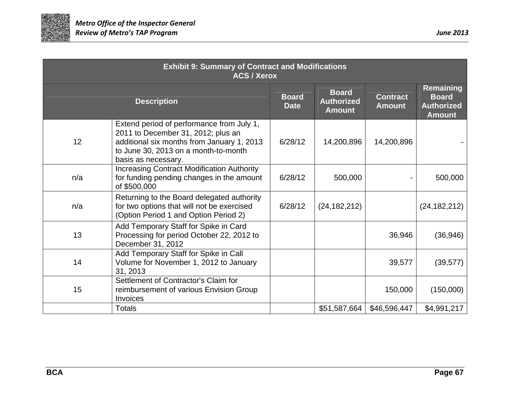

| <b>Exhibit 9: Summary of Contract and Modifications</b><br><b>ACS / Xerox</b> |                                                                                                                                                                                              |                             |                                                    |                                  |                                                                        |  |
|-------------------------------------------------------------------------------|----------------------------------------------------------------------------------------------------------------------------------------------------------------------------------------------|-----------------------------|----------------------------------------------------|----------------------------------|------------------------------------------------------------------------|--|
|                                                                               | <b>Description</b>                                                                                                                                                                           | <b>Board</b><br><b>Date</b> | <b>Board</b><br><b>Authorized</b><br><b>Amount</b> | <b>Contract</b><br><b>Amount</b> | <b>Remaining</b><br><b>Board</b><br><b>Authorized</b><br><b>Amount</b> |  |
| 12                                                                            | Extend period of performance from July 1,<br>2011 to December 31, 2012; plus an<br>additional six months from January 1, 2013<br>to June 30, 2013 on a month-to-month<br>basis as necessary. | 6/28/12                     | 14,200,896                                         | 14,200,896                       |                                                                        |  |
| n/a                                                                           | <b>Increasing Contract Modification Authority</b><br>for funding pending changes in the amount<br>of \$500,000                                                                               | 6/28/12                     | 500,000                                            |                                  | 500,000                                                                |  |
| n/a                                                                           | Returning to the Board delegated authority<br>for two options that will not be exercised<br>(Option Period 1 and Option Period 2)                                                            | 6/28/12                     | (24, 182, 212)                                     |                                  | (24, 182, 212)                                                         |  |
| 13                                                                            | Add Temporary Staff for Spike in Card<br>Processing for period October 22, 2012 to<br>December 31, 2012                                                                                      |                             |                                                    | 36,946                           | (36, 946)                                                              |  |
| 14                                                                            | Add Temporary Staff for Spike in Call<br>Volume for November 1, 2012 to January<br>31, 2013                                                                                                  |                             |                                                    | 39,577                           | (39, 577)                                                              |  |
| 15                                                                            | Settlement of Contractor's Claim for<br>reimbursement of various Envision Group<br>Invoices                                                                                                  |                             |                                                    | 150,000                          | (150,000)                                                              |  |
|                                                                               | <b>Totals</b>                                                                                                                                                                                |                             | \$51,587,664                                       | \$46,596,447                     | \$4,991,217                                                            |  |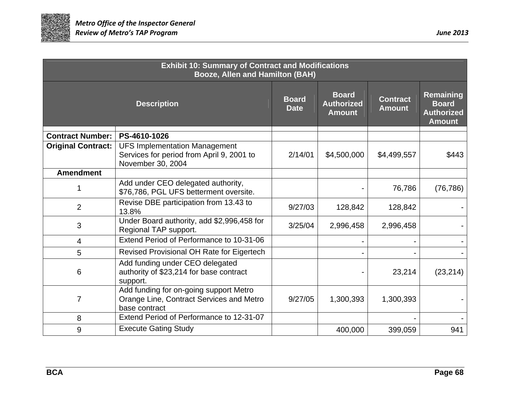

| <b>Exhibit 10: Summary of Contract and Modifications</b><br><b>Booze, Allen and Hamilton (BAH)</b> |                                                                                                        |                             |                                                    |                                  |                                                                 |  |
|----------------------------------------------------------------------------------------------------|--------------------------------------------------------------------------------------------------------|-----------------------------|----------------------------------------------------|----------------------------------|-----------------------------------------------------------------|--|
|                                                                                                    | <b>Description</b>                                                                                     | <b>Board</b><br><b>Date</b> | <b>Board</b><br><b>Authorized</b><br><b>Amount</b> | <b>Contract</b><br><b>Amount</b> | Remaining<br><b>Board</b><br><b>Authorized</b><br><b>Amount</b> |  |
| <b>Contract Number:</b>                                                                            | PS-4610-1026                                                                                           |                             |                                                    |                                  |                                                                 |  |
| <b>Original Contract:</b>                                                                          | <b>UFS Implementation Management</b><br>Services for period from April 9, 2001 to<br>November 30, 2004 | 2/14/01                     | \$4,500,000                                        | \$4,499,557                      | \$443                                                           |  |
| <b>Amendment</b>                                                                                   |                                                                                                        |                             |                                                    |                                  |                                                                 |  |
|                                                                                                    | Add under CEO delegated authority,<br>\$76,786, PGL UFS betterment oversite.                           |                             |                                                    | 76,786                           | (76, 786)                                                       |  |
| $\overline{2}$                                                                                     | Revise DBE participation from 13.43 to<br>13.8%                                                        | 9/27/03                     | 128,842                                            | 128,842                          |                                                                 |  |
| 3                                                                                                  | Under Board authority, add \$2,996,458 for<br>Regional TAP support.                                    | 3/25/04                     | 2,996,458                                          | 2,996,458                        |                                                                 |  |
| 4                                                                                                  | Extend Period of Performance to 10-31-06                                                               |                             |                                                    |                                  |                                                                 |  |
| 5                                                                                                  | <b>Revised Provisional OH Rate for Eigertech</b>                                                       |                             |                                                    |                                  |                                                                 |  |
| 6                                                                                                  | Add funding under CEO delegated<br>authority of \$23,214 for base contract<br>support.                 |                             |                                                    | 23,214                           | (23, 214)                                                       |  |
| $\overline{7}$                                                                                     | Add funding for on-going support Metro<br>Orange Line, Contract Services and Metro<br>base contract    | 9/27/05                     | 1,300,393                                          | 1,300,393                        |                                                                 |  |
| 8                                                                                                  | Extend Period of Performance to 12-31-07                                                               |                             |                                                    |                                  |                                                                 |  |
| 9                                                                                                  | <b>Execute Gating Study</b>                                                                            |                             | 400,000                                            | 399,059                          | 941                                                             |  |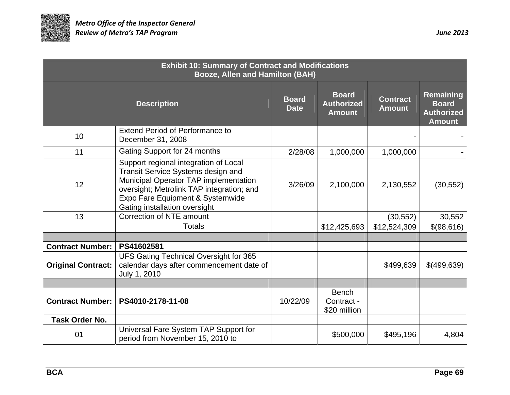

| <b>Exhibit 10: Summary of Contract and Modifications</b><br><b>Booze, Allen and Hamilton (BAH)</b> |                                                                                                                                                                                                                                        |                             |                                                    |                                  |                                                                 |  |
|----------------------------------------------------------------------------------------------------|----------------------------------------------------------------------------------------------------------------------------------------------------------------------------------------------------------------------------------------|-----------------------------|----------------------------------------------------|----------------------------------|-----------------------------------------------------------------|--|
|                                                                                                    | <b>Description</b>                                                                                                                                                                                                                     | <b>Board</b><br><b>Date</b> | <b>Board</b><br><b>Authorized</b><br><b>Amount</b> | <b>Contract</b><br><b>Amount</b> | Remaining<br><b>Board</b><br><b>Authorized</b><br><b>Amount</b> |  |
| 10                                                                                                 | <b>Extend Period of Performance to</b><br>December 31, 2008                                                                                                                                                                            |                             |                                                    |                                  |                                                                 |  |
| 11                                                                                                 | Gating Support for 24 months                                                                                                                                                                                                           | 2/28/08                     | 1,000,000                                          | 1,000,000                        |                                                                 |  |
| 12                                                                                                 | Support regional integration of Local<br>Transit Service Systems design and<br>Municipal Operator TAP implementation<br>oversight; Metrolink TAP integration; and<br>Expo Fare Equipment & Systemwide<br>Gating installation oversight | 3/26/09                     | 2,100,000                                          | 2,130,552                        | (30, 552)                                                       |  |
| 13                                                                                                 | Correction of NTE amount                                                                                                                                                                                                               |                             |                                                    | (30, 552)                        | 30,552                                                          |  |
|                                                                                                    | <b>Totals</b>                                                                                                                                                                                                                          |                             | \$12,425,693                                       | \$12,524,309                     | \$(98,616)                                                      |  |
|                                                                                                    |                                                                                                                                                                                                                                        |                             |                                                    |                                  |                                                                 |  |
| <b>Contract Number:</b>                                                                            | PS41602581                                                                                                                                                                                                                             |                             |                                                    |                                  |                                                                 |  |
| <b>Original Contract:</b>                                                                          | UFS Gating Technical Oversight for 365<br>calendar days after commencement date of<br>July 1, 2010                                                                                                                                     |                             |                                                    | \$499,639                        | \$(499,639)                                                     |  |
|                                                                                                    |                                                                                                                                                                                                                                        |                             |                                                    |                                  |                                                                 |  |
| <b>Contract Number:</b>                                                                            | PS4010-2178-11-08                                                                                                                                                                                                                      | 10/22/09                    | <b>Bench</b><br>Contract -<br>\$20 million         |                                  |                                                                 |  |
| <b>Task Order No.</b>                                                                              |                                                                                                                                                                                                                                        |                             |                                                    |                                  |                                                                 |  |
| 01                                                                                                 | Universal Fare System TAP Support for<br>period from November 15, 2010 to                                                                                                                                                              |                             | \$500,000                                          | \$495,196                        | 4,804                                                           |  |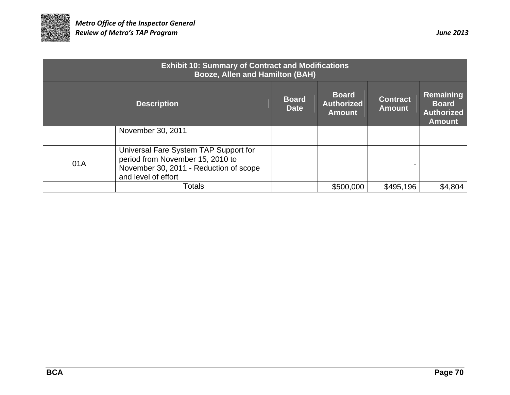

| <b>Exhibit 10: Summary of Contract and Modifications</b><br>Booze, Allen and Hamilton (BAH) |                                                                                                                                            |                                                    |                                  |                                                                 |         |  |  |  |  |
|---------------------------------------------------------------------------------------------|--------------------------------------------------------------------------------------------------------------------------------------------|----------------------------------------------------|----------------------------------|-----------------------------------------------------------------|---------|--|--|--|--|
|                                                                                             | <b>Board</b><br><b>Date</b>                                                                                                                | <b>Board</b><br><b>Authorized</b><br><b>Amount</b> | <b>Contract</b><br><b>Amount</b> | Remaining<br><b>Board</b><br><b>Authorized</b><br><b>Amount</b> |         |  |  |  |  |
|                                                                                             | November 30, 2011                                                                                                                          |                                                    |                                  |                                                                 |         |  |  |  |  |
| 01A                                                                                         | Universal Fare System TAP Support for<br>period from November 15, 2010 to<br>November 30, 2011 - Reduction of scope<br>and level of effort |                                                    |                                  |                                                                 |         |  |  |  |  |
|                                                                                             | Totals                                                                                                                                     |                                                    | \$500,000                        | \$495,196                                                       | \$4,804 |  |  |  |  |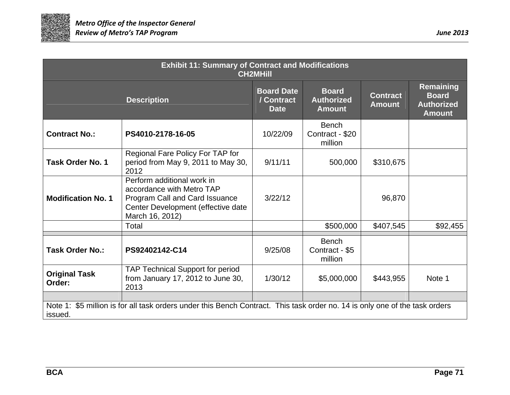

| <b>Exhibit 11: Summary of Contract and Modifications</b><br><b>CH2MHIII</b> |                                                                                                                                                    |                                                |                                                    |                                  |                                                                        |  |  |  |
|-----------------------------------------------------------------------------|----------------------------------------------------------------------------------------------------------------------------------------------------|------------------------------------------------|----------------------------------------------------|----------------------------------|------------------------------------------------------------------------|--|--|--|
|                                                                             | <b>Description</b>                                                                                                                                 | <b>Board Date</b><br>/ Contract<br><b>Date</b> | <b>Board</b><br><b>Authorized</b><br><b>Amount</b> | <b>Contract</b><br><b>Amount</b> | <b>Remaining</b><br><b>Board</b><br><b>Authorized</b><br><b>Amount</b> |  |  |  |
| <b>Contract No.:</b>                                                        | PS4010-2178-16-05                                                                                                                                  | 10/22/09                                       | <b>Bench</b><br>Contract - \$20<br>million         |                                  |                                                                        |  |  |  |
| <b>Task Order No. 1</b>                                                     | Regional Fare Policy For TAP for<br>period from May 9, 2011 to May 30,<br>2012                                                                     | 9/11/11                                        | 500,000                                            | \$310,675                        |                                                                        |  |  |  |
| <b>Modification No. 1</b>                                                   | Perform additional work in<br>accordance with Metro TAP<br>Program Call and Card Issuance<br>Center Development (effective date<br>March 16, 2012) | 3/22/12                                        |                                                    | 96,870                           |                                                                        |  |  |  |
|                                                                             | Total                                                                                                                                              |                                                | \$500,000                                          | \$407,545                        | \$92,455                                                               |  |  |  |
| <b>Task Order No.:</b>                                                      | PS92402142-C14                                                                                                                                     | 9/25/08                                        | <b>Bench</b><br>Contract - \$5<br>million          |                                  |                                                                        |  |  |  |
| <b>Original Task</b><br>Order:                                              | <b>TAP Technical Support for period</b><br>from January 17, 2012 to June 30,<br>2013                                                               | 1/30/12                                        | \$5,000,000                                        | \$443,955                        | Note 1                                                                 |  |  |  |
| issued.                                                                     | Note 1: \$5 million is for all task orders under this Bench Contract. This task order no. 14 is only one of the task orders                        |                                                |                                                    |                                  |                                                                        |  |  |  |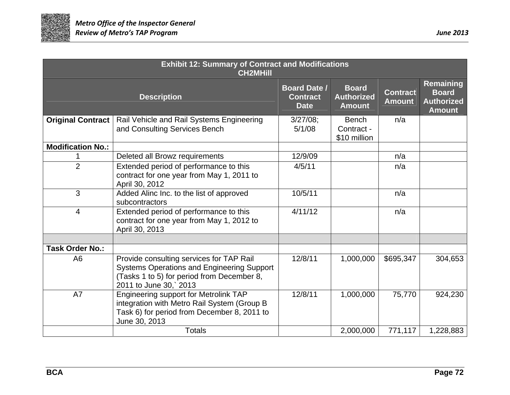

| <b>Exhibit 12: Summary of Contract and Modifications</b><br><b>CH2MHill</b>                                                                                |                                                                                                                                                                       |                                                       |                                                    |                                  |                                                                        |  |  |  |
|------------------------------------------------------------------------------------------------------------------------------------------------------------|-----------------------------------------------------------------------------------------------------------------------------------------------------------------------|-------------------------------------------------------|----------------------------------------------------|----------------------------------|------------------------------------------------------------------------|--|--|--|
|                                                                                                                                                            | <b>Description</b>                                                                                                                                                    | <b>Board Date /</b><br><b>Contract</b><br><b>Date</b> | <b>Board</b><br><b>Authorized</b><br><b>Amount</b> | <b>Contract</b><br><b>Amount</b> | <b>Remaining</b><br><b>Board</b><br><b>Authorized</b><br><b>Amount</b> |  |  |  |
| <b>Original Contract</b>                                                                                                                                   | Rail Vehicle and Rail Systems Engineering<br>and Consulting Services Bench                                                                                            | $3/27/08$ ;<br>5/1/08                                 | <b>Bench</b><br>Contract -<br>\$10 million         | n/a                              |                                                                        |  |  |  |
| <b>Modification No.:</b>                                                                                                                                   |                                                                                                                                                                       |                                                       |                                                    |                                  |                                                                        |  |  |  |
|                                                                                                                                                            | Deleted all Browz requirements                                                                                                                                        | 12/9/09                                               |                                                    | n/a                              |                                                                        |  |  |  |
| $\overline{2}$                                                                                                                                             | Extended period of performance to this<br>contract for one year from May 1, 2011 to<br>April 30, 2012                                                                 | 4/5/11                                                |                                                    | n/a                              |                                                                        |  |  |  |
| $\mathfrak{S}$                                                                                                                                             | Added Alinc Inc. to the list of approved<br>subcontractors                                                                                                            |                                                       |                                                    | n/a                              |                                                                        |  |  |  |
| Extended period of performance to this<br>$\overline{4}$<br>contract for one year from May 1, 2012 to<br>April 30, 2013                                    |                                                                                                                                                                       | 4/11/12                                               |                                                    | n/a                              |                                                                        |  |  |  |
|                                                                                                                                                            |                                                                                                                                                                       |                                                       |                                                    |                                  |                                                                        |  |  |  |
| <b>Task Order No.:</b>                                                                                                                                     |                                                                                                                                                                       |                                                       |                                                    |                                  |                                                                        |  |  |  |
| A <sub>6</sub>                                                                                                                                             | Provide consulting services for TAP Rail<br><b>Systems Operations and Engineering Support</b><br>(Tasks 1 to 5) for period from December 8,<br>2011 to June 30,` 2013 | 12/8/11                                               | 1,000,000                                          | \$695,347                        | 304,653                                                                |  |  |  |
| Engineering support for Metrolink TAP<br>A7<br>integration with Metro Rail System (Group B<br>Task 6) for period from December 8, 2011 to<br>June 30, 2013 |                                                                                                                                                                       | 12/8/11                                               | 1,000,000                                          | 75,770                           | 924,230                                                                |  |  |  |
|                                                                                                                                                            | <b>Totals</b>                                                                                                                                                         |                                                       | 2,000,000                                          | 771,117                          | 1,228,883                                                              |  |  |  |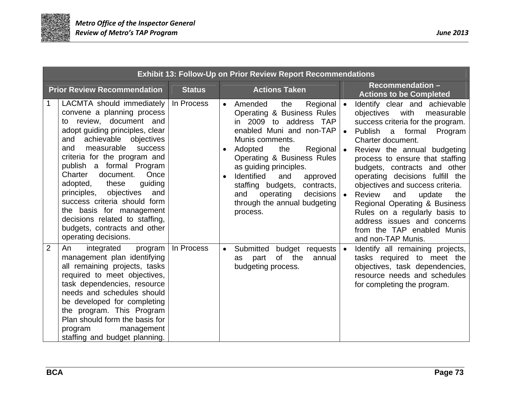

|                | <b>Exhibit 13: Follow-Up on Prior Review Report Recommendations</b>                                                                                                                                                                                                                                                                                                                                                                                                                                   |               |                                     |                                                                                                                                                                                                                                                                                                                                                                              |                                     |                                                                                                                                                                                                                                                                                                                                                                                                                                                                                                                                      |
|----------------|-------------------------------------------------------------------------------------------------------------------------------------------------------------------------------------------------------------------------------------------------------------------------------------------------------------------------------------------------------------------------------------------------------------------------------------------------------------------------------------------------------|---------------|-------------------------------------|------------------------------------------------------------------------------------------------------------------------------------------------------------------------------------------------------------------------------------------------------------------------------------------------------------------------------------------------------------------------------|-------------------------------------|--------------------------------------------------------------------------------------------------------------------------------------------------------------------------------------------------------------------------------------------------------------------------------------------------------------------------------------------------------------------------------------------------------------------------------------------------------------------------------------------------------------------------------------|
|                | <b>Prior Review Recommendation</b>                                                                                                                                                                                                                                                                                                                                                                                                                                                                    | <b>Status</b> |                                     | <b>Actions Taken</b>                                                                                                                                                                                                                                                                                                                                                         |                                     | <b>Recommendation-</b><br><b>Actions to be Completed</b>                                                                                                                                                                                                                                                                                                                                                                                                                                                                             |
| 1              | LACMTA should immediately<br>convene a planning process<br>to review, document and<br>adopt guiding principles, clear<br>achievable objectives<br>and<br>measurable<br>success<br>and<br>criteria for the program and<br>publish a formal Program<br>Charter<br>Once<br>document.<br>adopted, these<br>guiding<br>principles, objectives<br>and<br>success criteria should form<br>the basis for management<br>decisions related to staffing,<br>budgets, contracts and other<br>operating decisions. | In Process    | $\bullet$<br>$\bullet$<br>$\bullet$ | Regional   •<br>Amended<br>the<br>Operating & Business Rules<br>in 2009 to address TAP<br>enabled Muni and non-TAP<br>Munis comments.<br>Adopted<br>the<br>Regional<br>Operating & Business Rules<br>as guiding principles.<br>Identified<br>and<br>approved<br>staffing budgets,<br>contracts,<br>decisions<br>and<br>operating<br>through the annual budgeting<br>process. | $\bullet$<br>$\bullet$<br>$\bullet$ | Identify clear and achievable<br>objectives<br>with<br>measurable<br>success criteria for the program.<br>Publish<br>a formal<br>Program<br>Charter document.<br>Review the annual budgeting<br>process to ensure that staffing<br>budgets, contracts and other<br>operating decisions fulfill the<br>objectives and success criteria.<br><b>Review</b><br>and<br>update<br>the<br>Regional Operating & Business<br>Rules on a regularly basis to<br>address issues and concerns<br>from the TAP enabled Munis<br>and non-TAP Munis. |
| $\overline{2}$ | integrated<br>An<br>program<br>management plan identifying<br>all remaining projects, tasks<br>required to meet objectives,<br>task dependencies, resource<br>needs and schedules should<br>be developed for completing<br>the program. This Program<br>Plan should form the basis for<br>management<br>program<br>staffing and budget planning.                                                                                                                                                      | In Process    | $\bullet$                           | budget requests  <br>Submitted<br>of the<br>part<br>annual<br>as<br>budgeting process.                                                                                                                                                                                                                                                                                       | $\bullet$                           | Identify all remaining projects,<br>tasks required to meet the<br>objectives, task dependencies,<br>resource needs and schedules<br>for completing the program.                                                                                                                                                                                                                                                                                                                                                                      |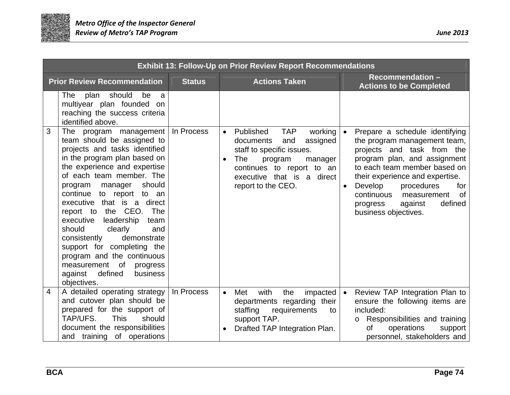

|   | <b>Exhibit 13: Follow-Up on Prior Review Report Recommendations</b>                                                                                                                                                                                                                                                                                                                                                                                                                                                                                        |               |                                                                                                                                                                                                                                                                                                                                                                                                                                                                                                                                        |                                                   |  |  |
|---|------------------------------------------------------------------------------------------------------------------------------------------------------------------------------------------------------------------------------------------------------------------------------------------------------------------------------------------------------------------------------------------------------------------------------------------------------------------------------------------------------------------------------------------------------------|---------------|----------------------------------------------------------------------------------------------------------------------------------------------------------------------------------------------------------------------------------------------------------------------------------------------------------------------------------------------------------------------------------------------------------------------------------------------------------------------------------------------------------------------------------------|---------------------------------------------------|--|--|
|   | <b>Prior Review Recommendation</b>                                                                                                                                                                                                                                                                                                                                                                                                                                                                                                                         | <b>Status</b> | <b>Recommendation-</b><br><b>Actions Taken</b><br><b>Actions to be Completed</b>                                                                                                                                                                                                                                                                                                                                                                                                                                                       |                                                   |  |  |
|   | The<br>plan<br>should<br>be<br>a<br>multiyear plan founded on<br>reaching the success criteria<br>identified above.                                                                                                                                                                                                                                                                                                                                                                                                                                        |               |                                                                                                                                                                                                                                                                                                                                                                                                                                                                                                                                        |                                                   |  |  |
| 3 | The program management<br>team should be assigned to<br>projects and tasks identified<br>in the program plan based on<br>the experience and expertise<br>of each team member. The<br>should<br>program<br>manager<br>to report to an<br>continue<br>executive that is a direct<br>the CEO.<br>report to<br>The<br>leadership<br>executive<br>team<br>should<br>clearly<br>and<br>consistently<br>demonstrate<br>support for completing the<br>program and the continuous<br>of<br>measurement<br>progress<br>defined<br>against<br>business<br>objectives. | In Process    | Published<br><b>TAP</b><br>working<br>Prepare a schedule identifying<br>$\bullet$<br>$\bullet$<br>assigned<br>documents<br>the program management team,<br>and<br>staff to specific issues.<br>projects and task from the<br>program plan, and assignment<br><b>The</b><br>program<br>$\bullet$<br>manager<br>to each team member based on<br>continues to report to an<br>executive that is a direct<br>their experience and expertise.<br>report to the CEO.<br>Develop<br>continuous<br>against<br>progress<br>business objectives. | procedures<br>for<br>0f<br>measurement<br>defined |  |  |
| 4 | A detailed operating strategy<br>and cutover plan should be<br>prepared for the support of<br>TAP/UFS.<br><b>This</b><br>should<br>document the responsibilities<br>and training of operations                                                                                                                                                                                                                                                                                                                                                             | In Process    | $\bullet$<br>Review TAP Integration Plan to<br>with<br>the<br>impacted<br>Met<br>$\bullet$<br>departments regarding their<br>ensure the following items are<br>included:<br>staffing<br>requirements<br>to<br>support TAP.<br>Responsibilities and training<br>$\circ$<br>Drafted TAP Integration Plan.<br>οf<br>operations<br>$\bullet$<br>personnel, stakeholders and                                                                                                                                                                | support                                           |  |  |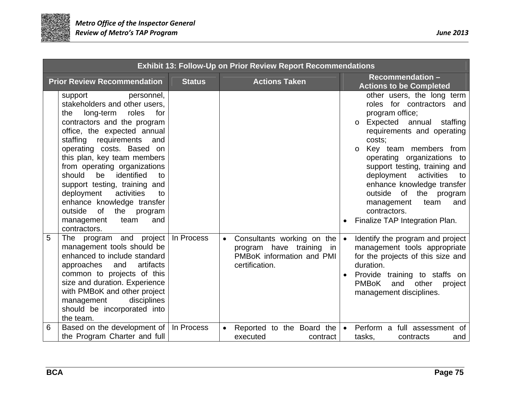

| <b>Exhibit 13: Follow-Up on Prior Review Report Recommendations</b> |                                                                                                                                                                                                                                                                                                                                                                                                                                                                                                              |               |                                                                                                                       |                                                                                                                                                                                                                                                                                                                                                                                                                                             |  |
|---------------------------------------------------------------------|--------------------------------------------------------------------------------------------------------------------------------------------------------------------------------------------------------------------------------------------------------------------------------------------------------------------------------------------------------------------------------------------------------------------------------------------------------------------------------------------------------------|---------------|-----------------------------------------------------------------------------------------------------------------------|---------------------------------------------------------------------------------------------------------------------------------------------------------------------------------------------------------------------------------------------------------------------------------------------------------------------------------------------------------------------------------------------------------------------------------------------|--|
|                                                                     | <b>Prior Review Recommendation</b>                                                                                                                                                                                                                                                                                                                                                                                                                                                                           | <b>Status</b> | <b>Actions Taken</b>                                                                                                  | <b>Recommendation-</b><br><b>Actions to be Completed</b>                                                                                                                                                                                                                                                                                                                                                                                    |  |
|                                                                     | personnel,<br>support<br>stakeholders and other users,<br>long-term<br>for<br>roles<br>the<br>contractors and the program<br>office, the expected annual<br>staffing<br>requirements<br>and<br>operating costs. Based on<br>this plan, key team members<br>from operating organizations<br>identified<br>should<br>be<br>to<br>support testing, training and<br>deployment<br>activities<br>to<br>enhance knowledge transfer<br>outside<br>0f<br>the<br>program<br>management<br>and<br>team<br>contractors. |               |                                                                                                                       | other users, the long term<br>roles for contractors and<br>program office;<br>Expected annual<br>staffing<br>$\circ$<br>requirements and operating<br>costs:<br>Key team members from<br>$\circ$<br>operating organizations to<br>support testing, training and<br>deployment<br>activities<br>to<br>enhance knowledge transfer<br>outside<br>of the program<br>and<br>management<br>team<br>contractors.<br>Finalize TAP Integration Plan. |  |
| 5                                                                   | The program and project<br>management tools should be<br>enhanced to include standard<br>artifacts<br>approaches<br>and<br>common to projects of this<br>size and duration. Experience<br>with PMBoK and other project<br>disciplines<br>management<br>should be incorporated into<br>the team.                                                                                                                                                                                                              | In Process    | Consultants working on the<br>$\bullet$<br>program have training<br>in<br>PMBoK information and PMI<br>certification. | Identify the program and project<br>$\bullet$<br>management tools appropriate<br>for the projects of this size and<br>duration.<br>Provide training to staffs on<br><b>PMBoK</b><br>and other<br>project<br>management disciplines.                                                                                                                                                                                                         |  |
| 6                                                                   | Based on the development of<br>the Program Charter and full                                                                                                                                                                                                                                                                                                                                                                                                                                                  | In Process    | Reported to the Board the<br>$\bullet$<br>executed<br>contract                                                        | Perform a full assessment of<br>$\bullet$<br>tasks,<br>contracts<br>and                                                                                                                                                                                                                                                                                                                                                                     |  |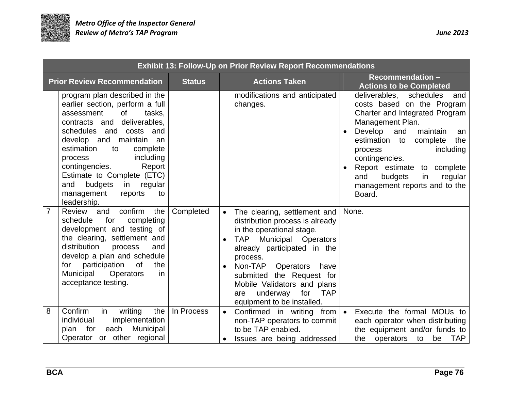

| <b>Exhibit 13: Follow-Up on Prior Review Report Recommendations</b> |                                                                                                                                                                                                                                                                                                                                                                                                   |               |                                                                                                                                                                                                                                                                                                                                                                       |                                                                                                                                                                                                                                                                                                                                                   |  |  |
|---------------------------------------------------------------------|---------------------------------------------------------------------------------------------------------------------------------------------------------------------------------------------------------------------------------------------------------------------------------------------------------------------------------------------------------------------------------------------------|---------------|-----------------------------------------------------------------------------------------------------------------------------------------------------------------------------------------------------------------------------------------------------------------------------------------------------------------------------------------------------------------------|---------------------------------------------------------------------------------------------------------------------------------------------------------------------------------------------------------------------------------------------------------------------------------------------------------------------------------------------------|--|--|
|                                                                     | <b>Prior Review Recommendation</b>                                                                                                                                                                                                                                                                                                                                                                | <b>Status</b> | <b>Actions Taken</b>                                                                                                                                                                                                                                                                                                                                                  | <b>Recommendation -</b><br><b>Actions to be Completed</b>                                                                                                                                                                                                                                                                                         |  |  |
|                                                                     | program plan described in the<br>earlier section, perform a full<br>0f<br>tasks.<br>assessment<br>deliverables,<br>contracts and<br>schedules and costs and<br>develop and maintain an<br>estimation<br>to<br>complete<br>including<br>process<br>contingencies.<br>Report<br>Estimate to Complete (ETC)<br>budgets<br>regular<br>and<br>in the set<br>management<br>to<br>reports<br>leadership. |               | modifications and anticipated<br>changes.                                                                                                                                                                                                                                                                                                                             | schedules<br>deliverables,<br>and<br>costs based on the Program<br>Charter and Integrated Program<br>Management Plan.<br>Develop and<br>maintain<br>an<br>estimation to<br>complete<br>the<br>including<br>process<br>contingencies.<br>Report estimate to complete<br>and<br>budgets<br>regular<br>in<br>management reports and to the<br>Board. |  |  |
| $\overline{7}$                                                      | confirm<br>the<br>Review<br>and<br>schedule<br>for<br>completing<br>development and testing of<br>the clearing, settlement and<br>distribution<br>process<br>and<br>develop a plan and schedule<br>participation<br>0f<br>the<br>for<br>Operators<br>Municipal<br>in<br>acceptance testing.                                                                                                       | Completed     | The clearing, settlement and<br>$\bullet$<br>distribution process is already<br>in the operational stage.<br><b>TAP</b><br>Municipal Operators<br>already participated in the<br>process.<br>Non-TAP Operators<br>have<br>$\bullet$<br>submitted the Request for<br>Mobile Validators and plans<br>underway<br>for<br><b>TAP</b><br>are<br>equipment to be installed. | None.                                                                                                                                                                                                                                                                                                                                             |  |  |
| 8                                                                   | Confirm<br>in<br>writing<br>the<br>implementation<br>individual<br>each<br>Municipal<br>for<br>plan<br>Operator or other regional                                                                                                                                                                                                                                                                 | In Process    | Confirmed in writing<br>from<br>$\bullet$<br>non-TAP operators to commit<br>to be TAP enabled.<br>Issues are being addressed                                                                                                                                                                                                                                          | Execute the formal MOUs to<br>$\bullet$<br>each operator when distributing<br>the equipment and/or funds to<br>the operators to<br>be TAP                                                                                                                                                                                                         |  |  |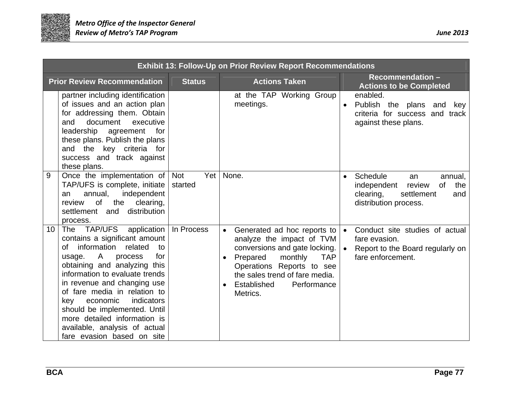

|    | <b>Exhibit 13: Follow-Up on Prior Review Report Recommendations</b>                                                                                                                                                                                                                                                                                                                                                                           |                              |                                                                                                                                                                                                                                                                                |                                                                                                                                         |  |  |  |
|----|-----------------------------------------------------------------------------------------------------------------------------------------------------------------------------------------------------------------------------------------------------------------------------------------------------------------------------------------------------------------------------------------------------------------------------------------------|------------------------------|--------------------------------------------------------------------------------------------------------------------------------------------------------------------------------------------------------------------------------------------------------------------------------|-----------------------------------------------------------------------------------------------------------------------------------------|--|--|--|
|    | <b>Prior Review Recommendation</b>                                                                                                                                                                                                                                                                                                                                                                                                            | <b>Status</b>                | <b>Actions Taken</b>                                                                                                                                                                                                                                                           | Recommendation -<br><b>Actions to be Completed</b>                                                                                      |  |  |  |
|    | partner including identification<br>of issues and an action plan<br>for addressing them. Obtain<br>document<br>executive<br>and<br>leadership<br>for<br>agreement<br>these plans. Publish the plans<br>and the key criteria for<br>success and track against<br>these plans.                                                                                                                                                                  |                              | at the TAP Working Group<br>meetings.                                                                                                                                                                                                                                          | enabled.<br>Publish the plans and<br>key<br>criteria for success and track<br>against these plans.                                      |  |  |  |
| 9  | Once the implementation of<br>TAP/UFS is complete, initiate<br>independent<br>annual,<br>an<br><b>of</b><br>the<br>clearing,<br>review<br>distribution<br>settlement and<br>process.                                                                                                                                                                                                                                                          | Yet<br><b>Not</b><br>started | None.                                                                                                                                                                                                                                                                          | Schedule<br>annual,<br>$\bullet$<br>an<br>independent<br>review<br>of<br>the<br>clearing,<br>settlement<br>and<br>distribution process. |  |  |  |
| 10 | The TAP/UFS application  <br>contains a significant amount<br>information<br>related<br>to<br>of<br>$\mathsf{A}$<br>for<br>usage.<br>process<br>obtaining and analyzing this<br>information to evaluate trends<br>in revenue and changing use<br>of fare media in relation to<br>indicators<br>economic<br>key<br>should be implemented. Until<br>more detailed information is<br>available, analysis of actual<br>fare evasion based on site | In Process                   | Generated ad hoc reports to<br>$\bullet$<br>analyze the impact of TVM<br>conversions and gate locking.<br>Prepared<br>monthly<br><b>TAP</b><br>$\bullet$<br>Operations Reports to see<br>the sales trend of fare media.<br>Established<br>Performance<br>$\bullet$<br>Metrics. | Conduct site studies of actual<br>$\bullet$<br>fare evasion.<br>Report to the Board regularly on<br>$\bullet$<br>fare enforcement.      |  |  |  |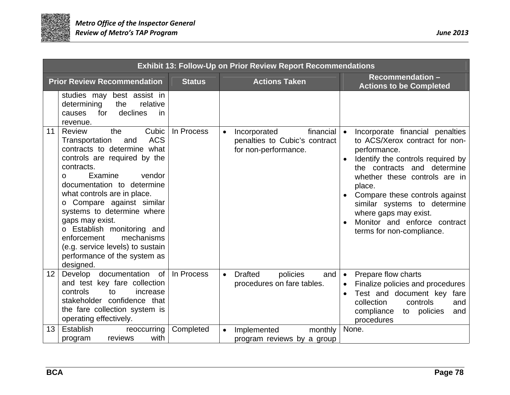

|                  | <b>Exhibit 13: Follow-Up on Prior Review Report Recommendations</b>                                                                                                                                                                                                                                                                                                                                                                                          |               |                                                                                                 |                                                                                                                                                                                                                                                                                                                                                                       |  |  |
|------------------|--------------------------------------------------------------------------------------------------------------------------------------------------------------------------------------------------------------------------------------------------------------------------------------------------------------------------------------------------------------------------------------------------------------------------------------------------------------|---------------|-------------------------------------------------------------------------------------------------|-----------------------------------------------------------------------------------------------------------------------------------------------------------------------------------------------------------------------------------------------------------------------------------------------------------------------------------------------------------------------|--|--|
|                  | <b>Prior Review Recommendation</b>                                                                                                                                                                                                                                                                                                                                                                                                                           | <b>Status</b> | <b>Actions Taken</b>                                                                            | Recommendation -<br><b>Actions to be Completed</b>                                                                                                                                                                                                                                                                                                                    |  |  |
|                  | studies may best assist in<br>determining<br>the<br>relative<br>declines<br>for<br>in<br>causes<br>revenue.                                                                                                                                                                                                                                                                                                                                                  |               |                                                                                                 |                                                                                                                                                                                                                                                                                                                                                                       |  |  |
| 11               | Cubic<br>Review<br>the<br><b>ACS</b><br>Transportation<br>and<br>contracts to determine what<br>controls are required by the<br>contracts.<br>Examine<br>vendor<br>O.<br>documentation to determine<br>what controls are in place.<br>o Compare against similar<br>systems to determine where<br>gaps may exist.<br>o Establish monitoring and<br>mechanisms<br>enforcement<br>(e.g. service levels) to sustain<br>performance of the system as<br>designed. | In Process    | financial<br>Incorporated<br>$\bullet$<br>penalties to Cubic's contract<br>for non-performance. | Incorporate financial penalties<br>$\bullet$<br>to ACS/Xerox contract for non-<br>performance.<br>Identify the controls required by<br>the contracts and determine<br>whether these controls are in<br>place.<br>Compare these controls against<br>similar systems to determine<br>where gaps may exist.<br>Monitor and enforce contract<br>terms for non-compliance. |  |  |
| 12 <sup>12</sup> | Develop documentation of<br>and test key fare collection<br>controls<br>to<br>increase<br>stakeholder confidence that<br>the fare collection system is<br>operating effectively.                                                                                                                                                                                                                                                                             | In Process    | <b>Drafted</b><br>$\bullet$<br>policies<br>and<br>procedures on fare tables.                    | Prepare flow charts<br>$\bullet$<br>Finalize policies and procedures<br>Test and document key<br>fare<br>collection<br>controls<br>and<br>compliance<br>policies<br>to<br>and<br>procedures                                                                                                                                                                           |  |  |
| 13               | Establish<br>reoccurring<br>with<br>reviews<br>program                                                                                                                                                                                                                                                                                                                                                                                                       | Completed     | Implemented<br>monthly<br>$\bullet$<br>program reviews by a group                               | None.                                                                                                                                                                                                                                                                                                                                                                 |  |  |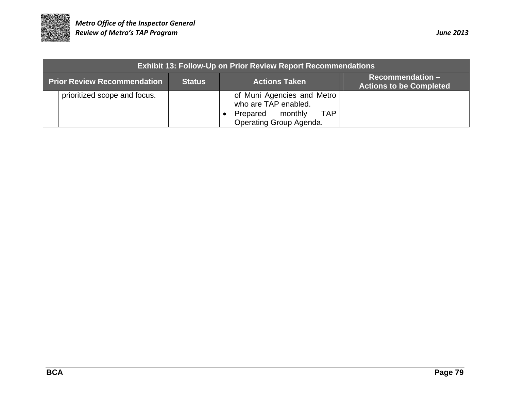

|                                    | <b>Exhibit 13: Follow-Up on Prior Review Report Recommendations</b> |               |                      |                                                                                                                 |                                                       |
|------------------------------------|---------------------------------------------------------------------|---------------|----------------------|-----------------------------------------------------------------------------------------------------------------|-------------------------------------------------------|
| <b>Prior Review Recommendation</b> |                                                                     | <b>Status</b> | <b>Actions Taken</b> |                                                                                                                 | $Recommenulation -$<br><b>Actions to be Completed</b> |
|                                    | prioritized scope and focus.                                        |               |                      | of Muni Agencies and Metro<br>who are TAP enabled.<br><b>TAP</b><br>Prepared monthly<br>Operating Group Agenda. |                                                       |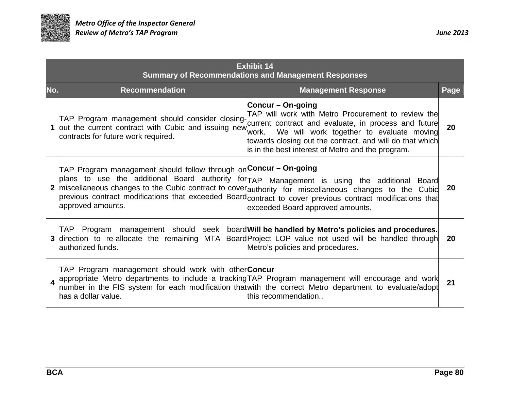

| <b>Exhibit 14</b><br><b>Summary of Recommendations and Management Responses</b>                                                                                                                                                                                                                                                                                                                                                                               |                                                                                                                                                                                                                    |      |  |  |  |  |
|---------------------------------------------------------------------------------------------------------------------------------------------------------------------------------------------------------------------------------------------------------------------------------------------------------------------------------------------------------------------------------------------------------------------------------------------------------------|--------------------------------------------------------------------------------------------------------------------------------------------------------------------------------------------------------------------|------|--|--|--|--|
| <b>Recommendation</b><br>No.                                                                                                                                                                                                                                                                                                                                                                                                                                  | <b>Management Response</b>                                                                                                                                                                                         | Page |  |  |  |  |
| Concur – On-going<br>TAP Program management should consider closing-<br>out the current contract with Cubic and issuing new<br>1<br>work.<br>contracts for future work required.<br>is in the best interest of Metro and the program.                                                                                                                                                                                                                         | TAP will work with Metro Procurement to review the<br>current contract and evaluate, in process and future<br>We will work together to evaluate moving<br>towards closing out the contract, and will do that which | 20   |  |  |  |  |
| TAP Program management should follow through on <sup>l</sup> Concur – On-going<br>plans to use the additional Board authority for TAP Management is using the additional Board<br>miscellaneous changes to the Cubic contract to coverauthority for miscellaneous changes to the Cubid<br>previous contract modifications that exceeded Board contract to cover previous contract modifications that<br>approved amounts.<br>exceeded Board approved amounts. |                                                                                                                                                                                                                    | 20   |  |  |  |  |
| TAP Program management should seek board Will be handled by Metro's policies and procedures.<br>direction to re-allocate the remaining MTA Board Project LOP value not used will be handled through<br>Metro's policies and procedures.<br>lauthorized funds.                                                                                                                                                                                                 |                                                                                                                                                                                                                    | 20   |  |  |  |  |
| TAP Program management should work with other <b>Concur</b><br>appropriate Metro departments to include a tracking TAP Program management will encourage and work<br>number in the FIS system for each modification that with the correct Metro department to evaluate/adopt<br>has a dollar value.<br>this recommendation                                                                                                                                    |                                                                                                                                                                                                                    | 21   |  |  |  |  |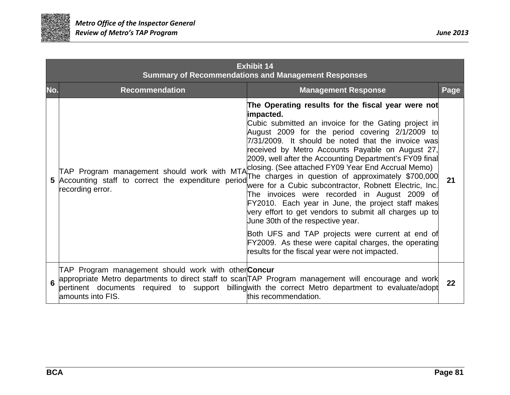

| <b>Exhibit 14</b><br><b>Summary of Recommendations and Management Responses</b> |     |                                                                                                                       |                                                                                                                                                                                                                                                                                                                                                                                                                                                                                                                                                                                                                                                                                                                                                                                                                                                                                          |      |  |  |
|---------------------------------------------------------------------------------|-----|-----------------------------------------------------------------------------------------------------------------------|------------------------------------------------------------------------------------------------------------------------------------------------------------------------------------------------------------------------------------------------------------------------------------------------------------------------------------------------------------------------------------------------------------------------------------------------------------------------------------------------------------------------------------------------------------------------------------------------------------------------------------------------------------------------------------------------------------------------------------------------------------------------------------------------------------------------------------------------------------------------------------------|------|--|--|
|                                                                                 | No. | <b>Recommendation</b>                                                                                                 | <b>Management Response</b>                                                                                                                                                                                                                                                                                                                                                                                                                                                                                                                                                                                                                                                                                                                                                                                                                                                               | Page |  |  |
|                                                                                 | 5   | TAP Program management should work with MTA<br>Accounting staff to correct the expenditure period<br>recording error. | The Operating results for the fiscal year were not<br>impacted.<br>Cubic submitted an invoice for the Gating project in<br>August 2009 for the period covering 2/1/2009 to<br>7/31/2009. It should be noted that the invoice was<br>received by Metro Accounts Payable on August 27,<br>2009, well after the Accounting Department's FY09 final<br>closing. (See attached FY09 Year End Accrual Memo)<br>The charges in question of approximately \$700,000<br>were for a Cubic subcontractor, Robnett Electric, Inc.<br>The invoices were recorded in August 2009 of<br>FY2010. Each year in June, the project staff makes<br>very effort to get vendors to submit all charges up to<br>June 30th of the respective year.<br>Both UFS and TAP projects were current at end of<br>FY2009. As these were capital charges, the operating<br>results for the fiscal year were not impacted. | 21   |  |  |
|                                                                                 |     | TAP Program management should work with other <b>Concur</b><br>lamounts into FIS.                                     | appropriate Metro departments to direct staff to scanTAP Program management will encourage and work<br>pertinent documents required to support billingwith the correct Metro department to evaluate/adopt<br>this recommendation.                                                                                                                                                                                                                                                                                                                                                                                                                                                                                                                                                                                                                                                        | 22   |  |  |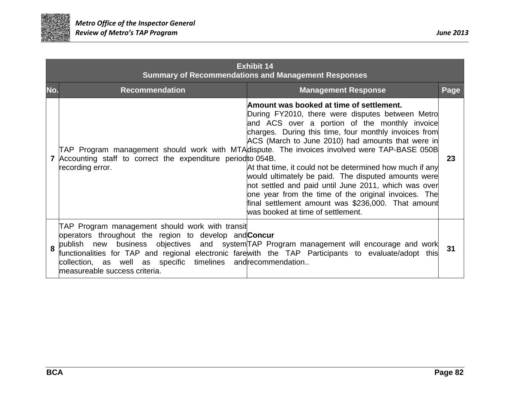

| <b>Exhibit 14</b><br><b>Summary of Recommendations and Management Responses</b> |                                                                                                                                                                                                                  |                                                                                                                                                                                                                                                                                                                                                                                                                                                                                                                                                                                                                                                                                           |      |
|---------------------------------------------------------------------------------|------------------------------------------------------------------------------------------------------------------------------------------------------------------------------------------------------------------|-------------------------------------------------------------------------------------------------------------------------------------------------------------------------------------------------------------------------------------------------------------------------------------------------------------------------------------------------------------------------------------------------------------------------------------------------------------------------------------------------------------------------------------------------------------------------------------------------------------------------------------------------------------------------------------------|------|
| No.                                                                             | <b>Recommendation</b>                                                                                                                                                                                            | <b>Management Response</b>                                                                                                                                                                                                                                                                                                                                                                                                                                                                                                                                                                                                                                                                | Page |
|                                                                                 | Accounting staff to correct the expenditure period to 054B.<br>recording error.                                                                                                                                  | Amount was booked at time of settlement.<br>During FY2010, there were disputes between Metro<br>and ACS over a portion of the monthly invoice<br>charges. During this time, four monthly invoices from<br>ACS (March to June 2010) had amounts that were in<br>TAP Program management should work with MTAdispute. The invoices involved were TAP-BASE 050B<br>At that time, it could not be determined how much if any<br>would ultimately be paid. The disputed amounts were<br>not settled and paid until June 2011, which was over<br>one year from the time of the original invoices. The<br>final settlement amount was \$236,000. That amount<br>was booked at time of settlement. | 23   |
| 8                                                                               | TAP Program management should work with transit<br>operators throughout the region to develop and <b>Concur</b><br>collection, as well as specific timelines and recommendation<br>measureable success criteria. | publish new business objectives and system TAP Program management will encourage and work<br>functionalities for TAP and regional electronic farewith the TAP Participants to evaluate/adopt this                                                                                                                                                                                                                                                                                                                                                                                                                                                                                         | 31   |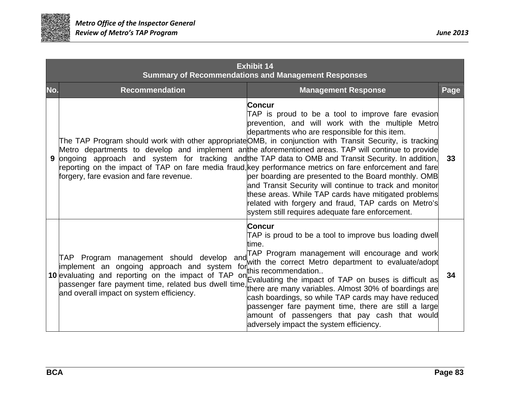

| <b>Exhibit 14</b><br><b>Summary of Recommendations and Management Responses</b> |                                                                                                                                                                                                                                                                                                                                                                                                                                                                                                                                                                                                                                                                                                                                                                                                                                                                                                                                                    |      |  |  |
|---------------------------------------------------------------------------------|----------------------------------------------------------------------------------------------------------------------------------------------------------------------------------------------------------------------------------------------------------------------------------------------------------------------------------------------------------------------------------------------------------------------------------------------------------------------------------------------------------------------------------------------------------------------------------------------------------------------------------------------------------------------------------------------------------------------------------------------------------------------------------------------------------------------------------------------------------------------------------------------------------------------------------------------------|------|--|--|
| No.                                                                             | <b>Recommendation</b><br><b>Management Response</b>                                                                                                                                                                                                                                                                                                                                                                                                                                                                                                                                                                                                                                                                                                                                                                                                                                                                                                | Page |  |  |
| 9                                                                               | <b>Concur</b><br>TAP is proud to be a tool to improve fare evasion<br>prevention, and will work with the multiple Metro<br>departments who are responsible for this item.<br>The TAP Program should work with other appropriate OMB, in conjunction with Transit Security, is tracking<br>Metro departments to develop and implement anthe aforementioned areas. TAP will continue to provide<br>ongoing approach and system for tracking and the TAP data to OMB and Transit Security. In addition,<br>reporting on the impact of TAP on fare media fraud, key performance metrics on fare enforcement and fare<br>forgery, fare evasion and fare revenue.<br>per boarding are presented to the Board monthly. OMB<br>and Transit Security will continue to track and monitor<br>these areas. While TAP cards have mitigated problems<br>related with forgery and fraud, TAP cards on Metro's<br>system still requires adequate fare enforcement. | 33   |  |  |
|                                                                                 | <b>Concur</b><br>TAP is proud to be a tool to improve bus loading dwell<br>time.<br>TAP Program management will encourage and work<br>TAP Program management should develop and<br>with the correct Metro department to evaluate/adopt<br>implement an ongoing approach and system for this recommendation<br>10 evaluating and reporting on the impact of TAP on Evaluating the impact of TAP on buses is difficult as<br>passenger fare payment time, related bus dwell time,<br>there are many variables. Almost 30% of boardings are<br>and overall impact on system efficiency.<br>cash boardings, so while TAP cards may have reduced<br>passenger fare payment time, there are still a large<br>amount of passengers that pay cash that would<br>adversely impact the system efficiency.                                                                                                                                                    | 34   |  |  |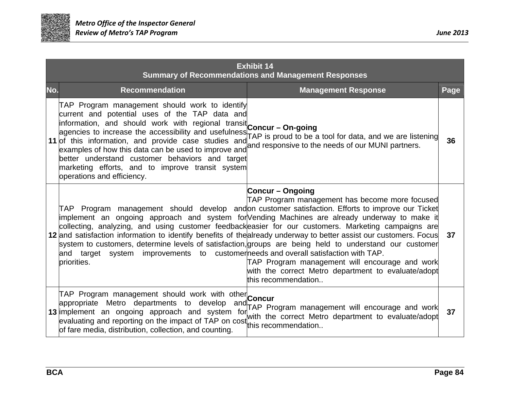

|     | <b>Exhibit 14</b><br><b>Summary of Recommendations and Management Responses</b>                                                                                                                                                                                                                                                                                                                                                                                                                                                                                                                                                                                                                                                                                                                                                                             |      |  |
|-----|-------------------------------------------------------------------------------------------------------------------------------------------------------------------------------------------------------------------------------------------------------------------------------------------------------------------------------------------------------------------------------------------------------------------------------------------------------------------------------------------------------------------------------------------------------------------------------------------------------------------------------------------------------------------------------------------------------------------------------------------------------------------------------------------------------------------------------------------------------------|------|--|
| No. | <b>Recommendation</b><br><b>Management Response</b>                                                                                                                                                                                                                                                                                                                                                                                                                                                                                                                                                                                                                                                                                                                                                                                                         | Page |  |
|     | TAP Program management should work to identify<br>current and potential uses of the TAP data and<br>information, and should work with regional transit Concur - On-going<br>agencies to increase the accessibility and usefulness <b>Concuitive Services</b><br>agencies to increase the accessibility and usefulness <b>Concuitive Service Service</b> and for data, and we are listening<br>11 of this information, and provide case studies and<br>examples of how this data can be used to improve and and responsive to the needs of our MUNI partners.<br>better understand customer behaviors and target<br>marketing efforts, and to improve transit system<br>operations and efficiency.                                                                                                                                                           | 36   |  |
|     | <b>Concur – Ongoing</b><br>TAP Program management has become more focused<br>TAP Program management should develop andon customer satisfaction. Efforts to improve our Ticket<br>implement an ongoing approach and system for Vending Machines are already underway to make it<br>collecting, analyzing, and using customer feedbackeasier for our customers. Marketing campaigns are<br>12 and satisfaction information to identify benefits of the already underway to better assist our customers. Focus<br>system to customers, determine levels of satisfaction, groups are being held to understand our customer<br>and target system improvements to customerneeds and overall satisfaction with TAP.<br>TAP Program management will encourage and work<br>priorities.<br>with the correct Metro department to evaluate/adopt<br>this recommendation | 37   |  |
|     | TAP Program management should work with other Concur<br>appropriate Metro departments to develop and<br>TAP Program management will encourage and work<br>13 implement an ongoing approach and system for the correct Metro department to evaluate/adopt<br>evaluating and reporting on the impact of TAP on cost this recommendation<br>of fare media, distribution, collection, and counting.                                                                                                                                                                                                                                                                                                                                                                                                                                                             | 37   |  |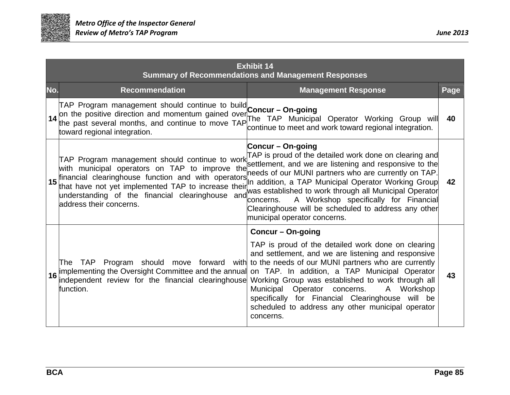

|     | <b>Exhibit 14</b><br><b>Summary of Recommendations and Management Responses</b>                                                                                                                                                                                                                                                                                                                                                                                                                                                                                                                                                                                                                                                                                |      |  |
|-----|----------------------------------------------------------------------------------------------------------------------------------------------------------------------------------------------------------------------------------------------------------------------------------------------------------------------------------------------------------------------------------------------------------------------------------------------------------------------------------------------------------------------------------------------------------------------------------------------------------------------------------------------------------------------------------------------------------------------------------------------------------------|------|--|
| No. | <b>Management Response</b><br><b>Recommendation</b>                                                                                                                                                                                                                                                                                                                                                                                                                                                                                                                                                                                                                                                                                                            | Page |  |
|     | TAP Program management should continue to build Concur - On-going<br>on the positive direction and momentum gained over Concur - On-going<br>the past several months, and continue to move TAP continue to moot and work toward regional integration<br>continue to meet and work toward regional integration.<br>toward regional integration.                                                                                                                                                                                                                                                                                                                                                                                                                 | 40   |  |
| 15  | <b>Concur – On-going</b><br>TAP Program management should continue to work TAP is proud of the detailed work done on clearing and<br>with municipal operators on TAP to improve the settlement, and we are listening and responsive to the<br>needs of our MUNI partners who are currently on TAP.<br>financial clearinghouse function and with operators<br>In addition, a TAP Municipal Operator Working Group<br>that have not yet implemented TAP to increase their<br>was established to work through all Municipal Operator<br>understanding of the financial clearinghouse and<br>A Workshop specifically for Financial<br>concerns.<br>address their concerns.<br>Clearinghouse will be scheduled to address any other<br>municipal operator concerns. | 42   |  |
| 16  | <b>Concur-On-going</b><br>TAP is proud of the detailed work done on clearing<br>and settlement, and we are listening and responsive<br>The TAP Program should move forward with to the needs of our MUNI partners who are currently<br>implementing the Oversight Committee and the annual<br>on TAP. In addition, a TAP Municipal Operator<br>independent review for the financial clearinghouse<br>Working Group was established to work through all<br>Workshop<br>function.<br>Operator<br>Municipal<br>A<br>concerns.<br>specifically for Financial Clearinghouse will be<br>scheduled to address any other municipal operator<br>concerns.                                                                                                               | 43   |  |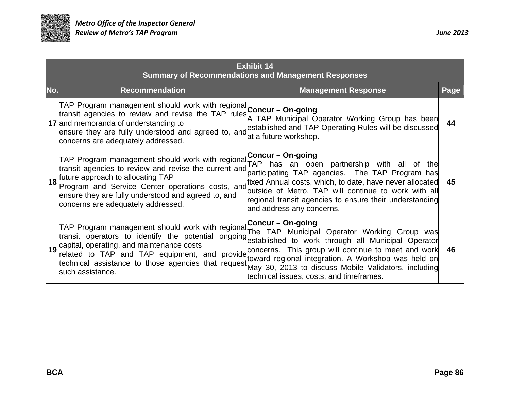

| <b>Exhibit 14</b><br><b>Summary of Recommendations and Management Responses</b> |                                                                                                                                                                                                                                                                                                                                                                                                                                                                                                                                                                                                                                                                                                      |      |  |
|---------------------------------------------------------------------------------|------------------------------------------------------------------------------------------------------------------------------------------------------------------------------------------------------------------------------------------------------------------------------------------------------------------------------------------------------------------------------------------------------------------------------------------------------------------------------------------------------------------------------------------------------------------------------------------------------------------------------------------------------------------------------------------------------|------|--|
|                                                                                 | No.<br><b>Recommendation</b><br><b>Management Response</b>                                                                                                                                                                                                                                                                                                                                                                                                                                                                                                                                                                                                                                           | Page |  |
|                                                                                 | TAP Program management should work with regional <b>Concur - On-going</b><br>transit agencies to review and revise the TAP rules TAP Municipal Operator Working Group has been<br>17 and memoranda of understanding to<br>ensure they are fully understood and agreed to, and established and TAP Operating Rules will be discussed<br>at a future workshop.<br>concerns are adequately addressed.                                                                                                                                                                                                                                                                                                   | 44   |  |
|                                                                                 | TAP Program management should work with regional Concur – On-going<br>transit agencies to review and rovice the gurser saulTAP has an ope<br>an open partnership with all of the<br>transit agencies to review and revise the current and<br>participating TAP agencies. The TAP Program has<br>future approach to allocating TAP<br>18<br>fixed Annual costs, which, to date, have never allocated<br>Program and Service Center operations costs, and<br>outside of Metro. TAP will continue to work with all<br>ensure they are fully understood and agreed to, and<br>regional transit agencies to ensure their understanding<br>concerns are adequately addressed.<br>and address any concerns. | 45   |  |
|                                                                                 | TAP Program management should work with regional Concur - On-going<br>The TAP Municipal Operator Working Group was<br>transit operators to identify the potential ongoing<br>established to work through all Municipal Operator<br>19 capital, operating, and maintenance costs<br>related to TAP and TAP equipment, and provide concerns. This group will continue to meet and work<br>toward regional integration. A Workshop was held on<br>technical assistance to those agencies that request May 30, 2013 to discuss Mobile Validators, including<br>technical issues, costs, and timeframes.                                                                                                  | 46   |  |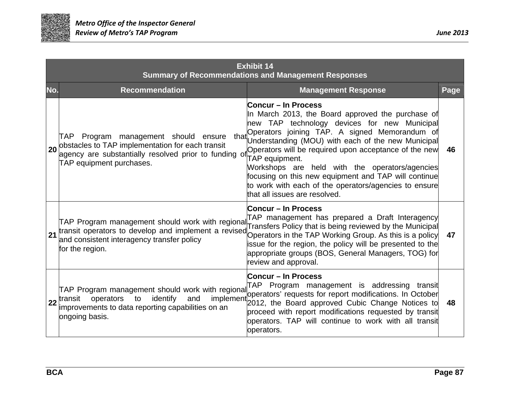

|    | <b>Exhibit 14</b><br><b>Summary of Recommendations and Management Responses</b>                                                                                                             |                                                                                                                                                                                                                                                                                                                                                                                                                                                                                                                |      |  |  |
|----|---------------------------------------------------------------------------------------------------------------------------------------------------------------------------------------------|----------------------------------------------------------------------------------------------------------------------------------------------------------------------------------------------------------------------------------------------------------------------------------------------------------------------------------------------------------------------------------------------------------------------------------------------------------------------------------------------------------------|------|--|--|
|    | No.<br><b>Recommendation</b>                                                                                                                                                                | <b>Management Response</b>                                                                                                                                                                                                                                                                                                                                                                                                                                                                                     | Page |  |  |
|    | TAP Program management should ensure<br>that<br>obstacles to TAP implementation for each transit<br>20<br>agency are substantially resolved prior to funding of<br>TAP equipment purchases. | Concur – In Process<br>In March 2013, the Board approved the purchase of<br>new TAP technology devices for new Municipal<br>Operators joining TAP. A signed Memorandum of<br>Understanding (MOU) with each of the new Municipal<br>Operators will be required upon acceptance of the new<br>TAP equipment.<br>Workshops are held with the operators/agencies<br>focusing on this new equipment and TAP will continue<br>to work with each of the operators/agencies to ensure<br>that all issues are resolved. | 46   |  |  |
| 21 | TAP Program management should work with regional<br>and consistent interagency transfer policy<br>for the region.                                                                           | <b>Concur – In Process</b><br>TAP management has prepared a Draft Interagency<br>Transfers Policy that is being reviewed by the Municipal<br>transit operators to develop and implement a revised Operators in the TAP Working Group. As this is a policy<br>issue for the region, the policy will be presented to the<br>appropriate groups (BOS, General Managers, TOG) for<br>review and approval.                                                                                                          | 47   |  |  |
|    | TAP Program management should work with regional<br>implement<br>identify<br>operators to<br>and<br>transit<br>22<br>improvements to data reporting capabilities on an<br>ongoing basis.    | <b>Concur – In Process</b><br>TAP Program management is addressing transit<br>operators' requests for report modifications. In October<br>2012, the Board approved Cubic Change Notices to<br>proceed with report modifications requested by transit<br>operators. TAP will continue to work with all transit<br>operators.                                                                                                                                                                                    | 48   |  |  |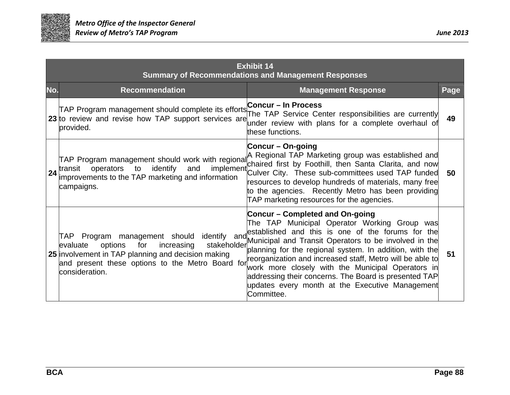

| <b>Exhibit 14</b><br><b>Summary of Recommendations and Management Responses</b> |                                                                                                                                                                                                                                   |                                                                                                                                                                                                                                                                                                                                                                                                                                                                                                             |      |
|---------------------------------------------------------------------------------|-----------------------------------------------------------------------------------------------------------------------------------------------------------------------------------------------------------------------------------|-------------------------------------------------------------------------------------------------------------------------------------------------------------------------------------------------------------------------------------------------------------------------------------------------------------------------------------------------------------------------------------------------------------------------------------------------------------------------------------------------------------|------|
| No.                                                                             | <b>Recommendation</b>                                                                                                                                                                                                             | <b>Management Response</b>                                                                                                                                                                                                                                                                                                                                                                                                                                                                                  | Page |
|                                                                                 | TAP Program management should complete its efforts Concur - In Process<br>23 to review and revise how TAP support services are<br>provided.                                                                                       | The TAP Service Center responsibilities are currently<br>under review with plans for a complete overhaul of<br>these functions.                                                                                                                                                                                                                                                                                                                                                                             | 49   |
|                                                                                 | TAP Program management should work with regional<br>operators to identify and<br>24 transit<br>improvements to the TAP marketing and information<br>campaigns.                                                                    | <b>Concur – On-going</b><br>A Regional TAP Marketing group was established and<br>chaired first by Foothill, then Santa Clarita, and now<br>implement Culver City. These sub-committees used TAP funded<br>resources to develop hundreds of materials, many free<br>to the agencies. Recently Metro has been providing<br>TAP marketing resources for the agencies.                                                                                                                                         | 50   |
|                                                                                 | TAP Program management should identify and<br>for<br>increasing<br>stakeholder<br>options<br>evaluate<br>25 involvement in TAP planning and decision making<br>and present these options to the Metro Board for<br>consideration. | <b>Concur – Completed and On-going</b><br>The TAP Municipal Operator Working Group was<br>established and this is one of the forums for the<br>Municipal and Transit Operators to be involved in the<br>planning for the regional system. In addition, with the<br>reorganization and increased staff, Metro will be able to<br>work more closely with the Municipal Operators in<br>addressing their concerns. The Board is presented TAP<br>updates every month at the Executive Management<br>Committee. | 51   |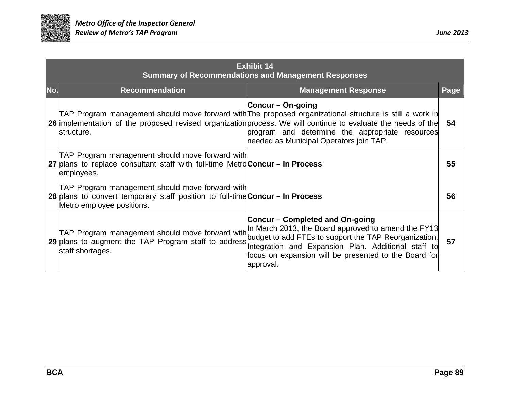

| <b>Exhibit 14</b><br><b>Summary of Recommendations and Management Responses</b> |                                                                                                                                                               |                                                                                                                                                                                                                                                                                                                                              |      |
|---------------------------------------------------------------------------------|---------------------------------------------------------------------------------------------------------------------------------------------------------------|----------------------------------------------------------------------------------------------------------------------------------------------------------------------------------------------------------------------------------------------------------------------------------------------------------------------------------------------|------|
| No.                                                                             | <b>Recommendation</b>                                                                                                                                         | <b>Management Response</b>                                                                                                                                                                                                                                                                                                                   | Page |
|                                                                                 | structure.                                                                                                                                                    | Concur – On-going<br>TAP Program management should move forward with The proposed organizational structure is still a work in<br>26 implementation of the proposed revised organization process. We will continue to evaluate the needs of the<br>program and determine the appropriate resources<br>needed as Municipal Operators join TAP. | 54   |
|                                                                                 | TAP Program management should move forward with<br>27 plans to replace consultant staff with full-time MetroConcur – In Process<br>employees.                 |                                                                                                                                                                                                                                                                                                                                              | 55   |
|                                                                                 | TAP Program management should move forward with<br>28 plans to convert temporary staff position to full-time Concur - In Process<br>Metro employee positions. |                                                                                                                                                                                                                                                                                                                                              | 56   |
|                                                                                 | staff shortages.                                                                                                                                              | <b>Concur - Completed and On-going</b><br>TAP Program management should move forward with In March 2013, the Board approved to amend the FY13<br>29 plans to augment the TAP Program staff to address pudget to add FTEs to support the TAP Reorganization,<br>focus on expansion will be presented to the Board for<br>approval.            | 57   |